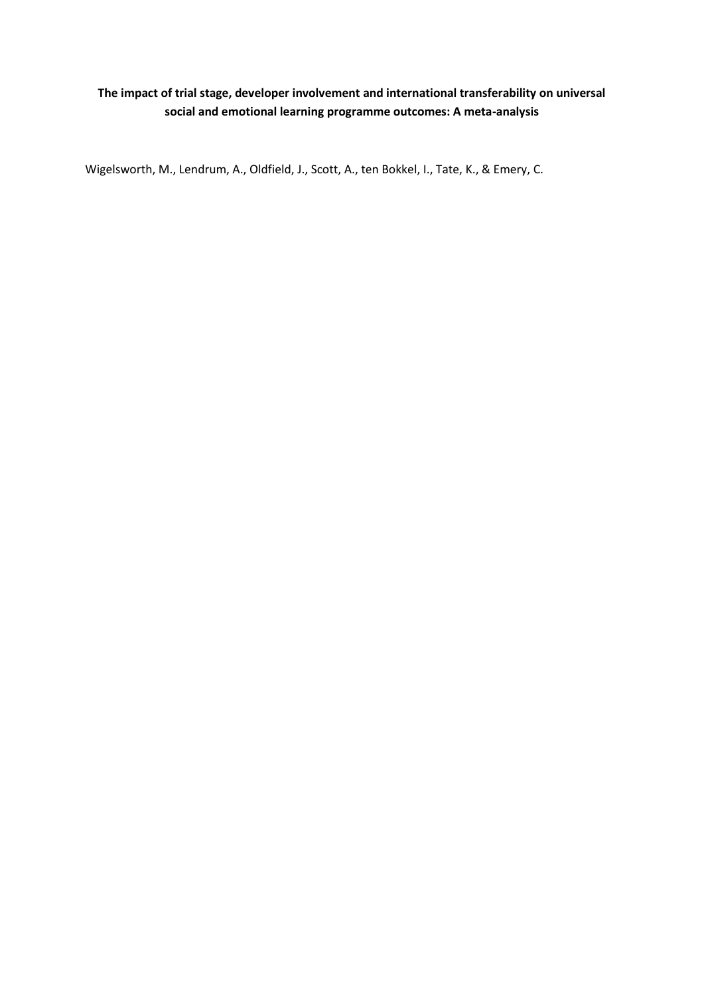# **The impact of trial stage, developer involvement and international transferability on universal social and emotional learning programme outcomes: A meta-analysis**

Wigelsworth, M., Lendrum, A., Oldfield, J., Scott, A., ten Bokkel, I., Tate, K., & Emery, C.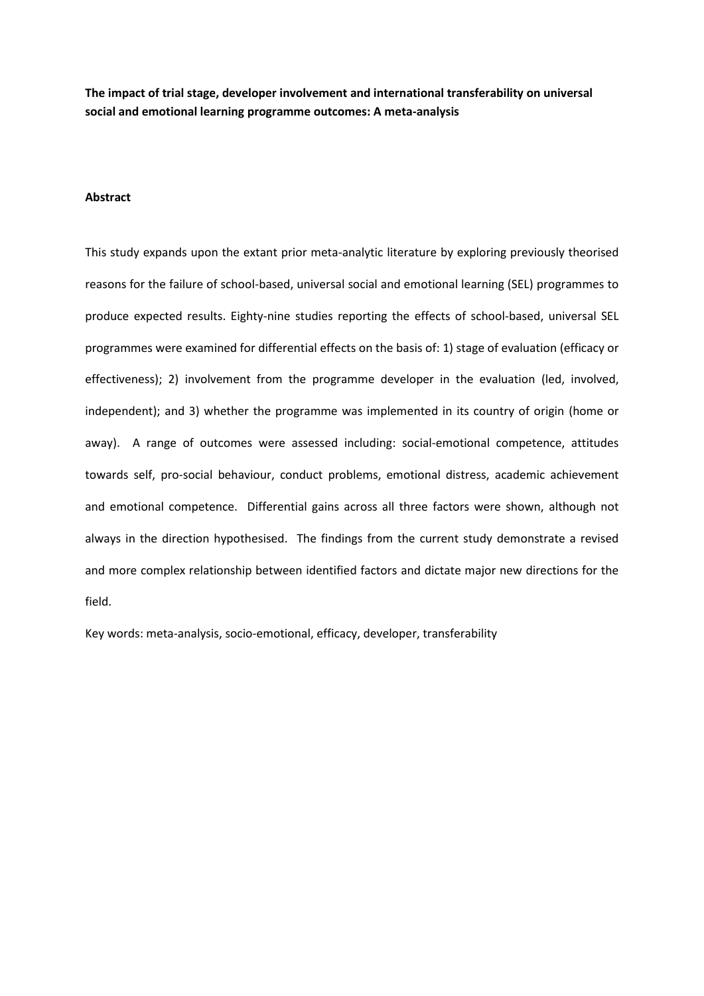**The impact of trial stage, developer involvement and international transferability on universal social and emotional learning programme outcomes: A meta-analysis**

# **Abstract**

This study expands upon the extant prior meta-analytic literature by exploring previously theorised reasons for the failure of school-based, universal social and emotional learning (SEL) programmes to produce expected results. Eighty-nine studies reporting the effects of school-based, universal SEL programmes were examined for differential effects on the basis of: 1) stage of evaluation (efficacy or effectiveness); 2) involvement from the programme developer in the evaluation (led, involved, independent); and 3) whether the programme was implemented in its country of origin (home or away). A range of outcomes were assessed including: social-emotional competence, attitudes towards self, pro-social behaviour, conduct problems, emotional distress, academic achievement and emotional competence. Differential gains across all three factors were shown, although not always in the direction hypothesised. The findings from the current study demonstrate a revised and more complex relationship between identified factors and dictate major new directions for the field.

Key words: meta-analysis, socio-emotional, efficacy, developer, transferability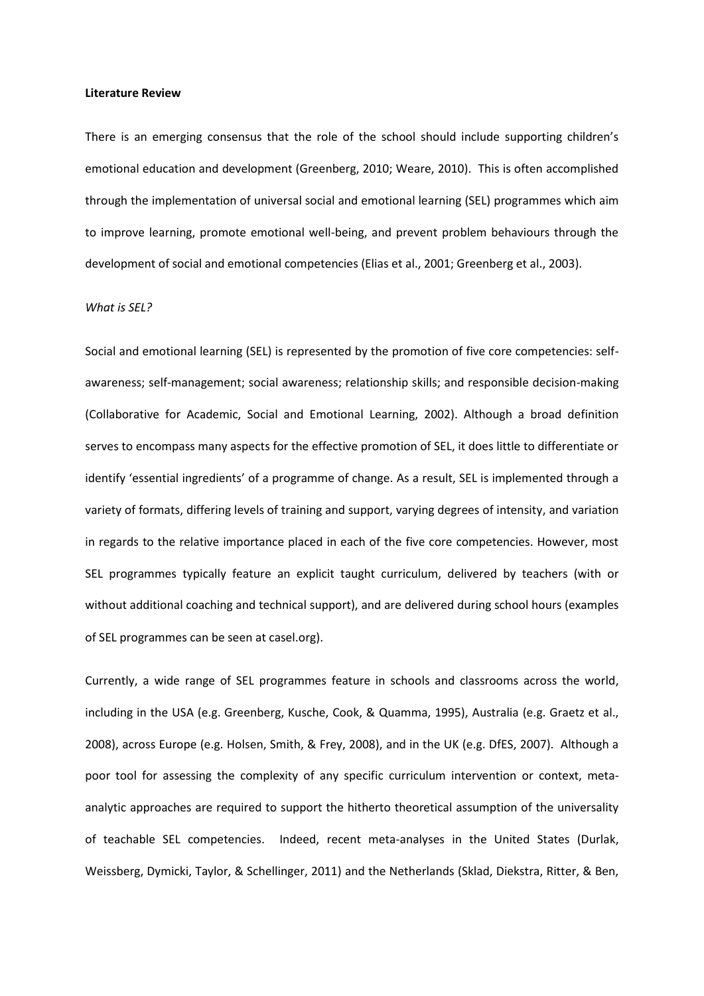#### **Literature Review**

There is an emerging consensus that the role of the school should include supporting children's emotional education and development (Greenberg, 2010; Weare, 2010). This is often accomplished through the implementation of universal social and emotional learning (SEL) programmes which aim to improve learning, promote emotional well-being, and prevent problem behaviours through the development of social and emotional competencies (Elias et al., 2001; Greenberg et al., 2003).

# *What is SEL?*

Social and emotional learning (SEL) is represented by the promotion of five core competencies: selfawareness; self-management; social awareness; relationship skills; and responsible decision-making (Collaborative for Academic, Social and Emotional Learning, 2002). Although a broad definition serves to encompass many aspects for the effective promotion of SEL, it does little to differentiate or identify 'essential ingredients' of a programme of change. As a result, SEL is implemented through a variety of formats, differing levels of training and support, varying degrees of intensity, and variation in regards to the relative importance placed in each of the five core competencies. However, most SEL programmes typically feature an explicit taught curriculum, delivered by teachers (with or without additional coaching and technical support), and are delivered during school hours (examples of SEL programmes can be seen at casel.org).

Currently, a wide range of SEL programmes feature in schools and classrooms across the world, including in the USA (e.g. Greenberg, Kusche, Cook, & Quamma, 1995), Australia (e.g. Graetz et al., 2008), across Europe (e.g. Holsen, Smith, & Frey, 2008), and in the UK (e.g. DfES, 2007). Although a poor tool for assessing the complexity of any specific curriculum intervention or context, metaanalytic approaches are required to support the hitherto theoretical assumption of the universality of teachable SEL competencies. Indeed, recent meta-analyses in the United States (Durlak, Weissberg, Dymicki, Taylor, & Schellinger, 2011) and the Netherlands (Sklad, Diekstra, Ritter, & Ben,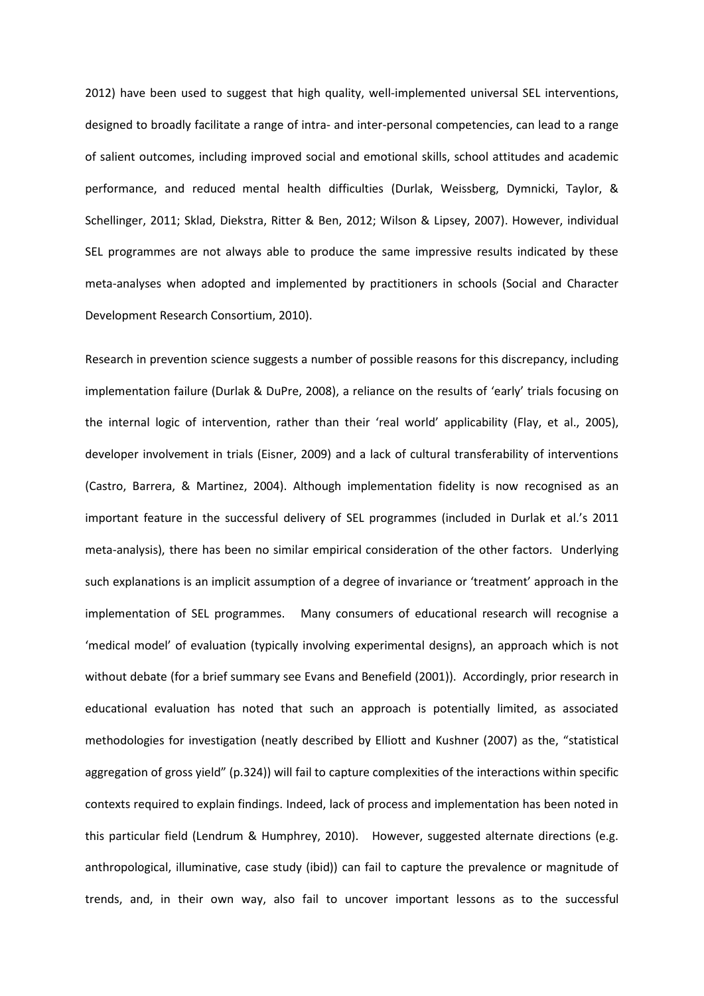2012) have been used to suggest that high quality, well-implemented universal SEL interventions, designed to broadly facilitate a range of intra- and inter-personal competencies, can lead to a range of salient outcomes, including improved social and emotional skills, school attitudes and academic performance, and reduced mental health difficulties (Durlak, Weissberg, Dymnicki, Taylor, & Schellinger, 2011; Sklad, Diekstra, Ritter & Ben, 2012; Wilson & Lipsey, 2007). However, individual SEL programmes are not always able to produce the same impressive results indicated by these meta-analyses when adopted and implemented by practitioners in schools (Social and Character Development Research Consortium, 2010).

Research in prevention science suggests a number of possible reasons for this discrepancy, including implementation failure (Durlak & DuPre, 2008), a reliance on the results of 'early' trials focusing on the internal logic of intervention, rather than their 'real world' applicability (Flay, et al., 2005), developer involvement in trials (Eisner, 2009) and a lack of cultural transferability of interventions (Castro, Barrera, & Martinez, 2004). Although implementation fidelity is now recognised as an important feature in the successful delivery of SEL programmes (included in Durlak et al.'s 2011 meta-analysis), there has been no similar empirical consideration of the other factors. Underlying such explanations is an implicit assumption of a degree of invariance or 'treatment' approach in the implementation of SEL programmes. Many consumers of educational research will recognise a 'medical model' of evaluation (typically involving experimental designs), an approach which is not without debate (for a brief summary see Evans and Benefield (2001)). Accordingly, prior research in educational evaluation has noted that such an approach is potentially limited, as associated methodologies for investigation (neatly described by Elliott and Kushner (2007) as the, "statistical aggregation of gross yield" (p.324)) will fail to capture complexities of the interactions within specific contexts required to explain findings. Indeed, lack of process and implementation has been noted in this particular field (Lendrum & Humphrey, 2010). However, suggested alternate directions (e.g. anthropological, illuminative, case study (ibid)) can fail to capture the prevalence or magnitude of trends, and, in their own way, also fail to uncover important lessons as to the successful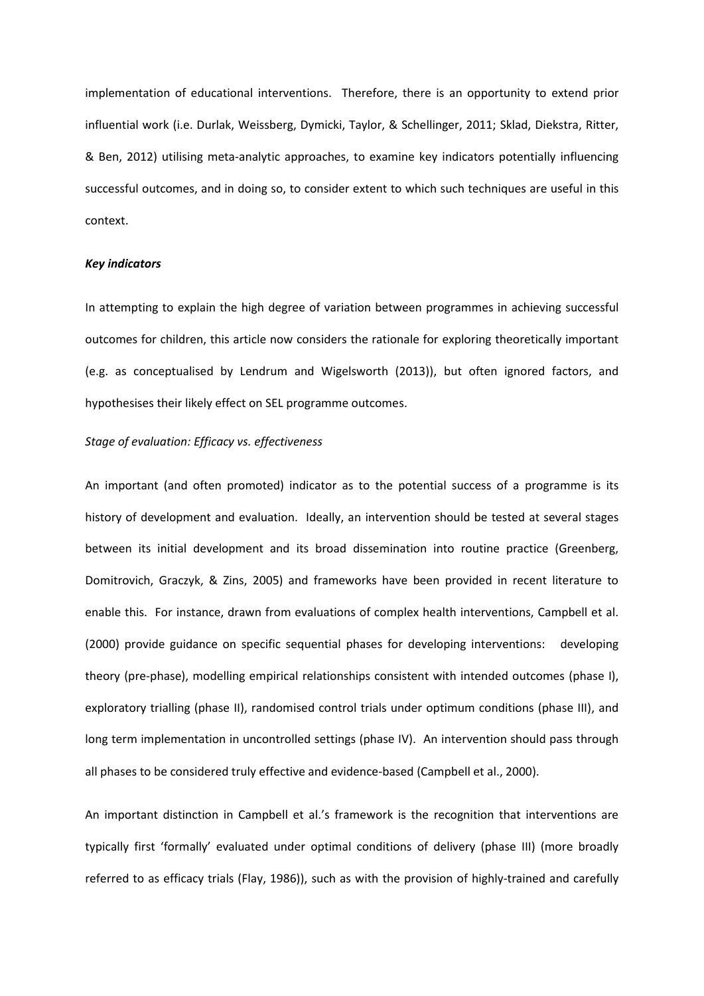implementation of educational interventions. Therefore, there is an opportunity to extend prior influential work (i.e. Durlak, Weissberg, Dymicki, Taylor, & Schellinger, 2011; Sklad, Diekstra, Ritter, & Ben, 2012) utilising meta-analytic approaches, to examine key indicators potentially influencing successful outcomes, and in doing so, to consider extent to which such techniques are useful in this context.

# *Key indicators*

In attempting to explain the high degree of variation between programmes in achieving successful outcomes for children, this article now considers the rationale for exploring theoretically important (e.g. as conceptualised by Lendrum and Wigelsworth (2013)), but often ignored factors, and hypothesises their likely effect on SEL programme outcomes.

# *Stage of evaluation: Efficacy vs. effectiveness*

An important (and often promoted) indicator as to the potential success of a programme is its history of development and evaluation. Ideally, an intervention should be tested at several stages between its initial development and its broad dissemination into routine practice (Greenberg, Domitrovich, Graczyk, & Zins, 2005) and frameworks have been provided in recent literature to enable this. For instance, drawn from evaluations of complex health interventions, Campbell et al. (2000) provide guidance on specific sequential phases for developing interventions: developing theory (pre-phase), modelling empirical relationships consistent with intended outcomes (phase I), exploratory trialling (phase II), randomised control trials under optimum conditions (phase III), and long term implementation in uncontrolled settings (phase IV). An intervention should pass through all phases to be considered truly effective and evidence-based (Campbell et al., 2000).

An important distinction in Campbell et al.'s framework is the recognition that interventions are typically first 'formally' evaluated under optimal conditions of delivery (phase III) (more broadly referred to as efficacy trials (Flay, 1986)), such as with the provision of highly-trained and carefully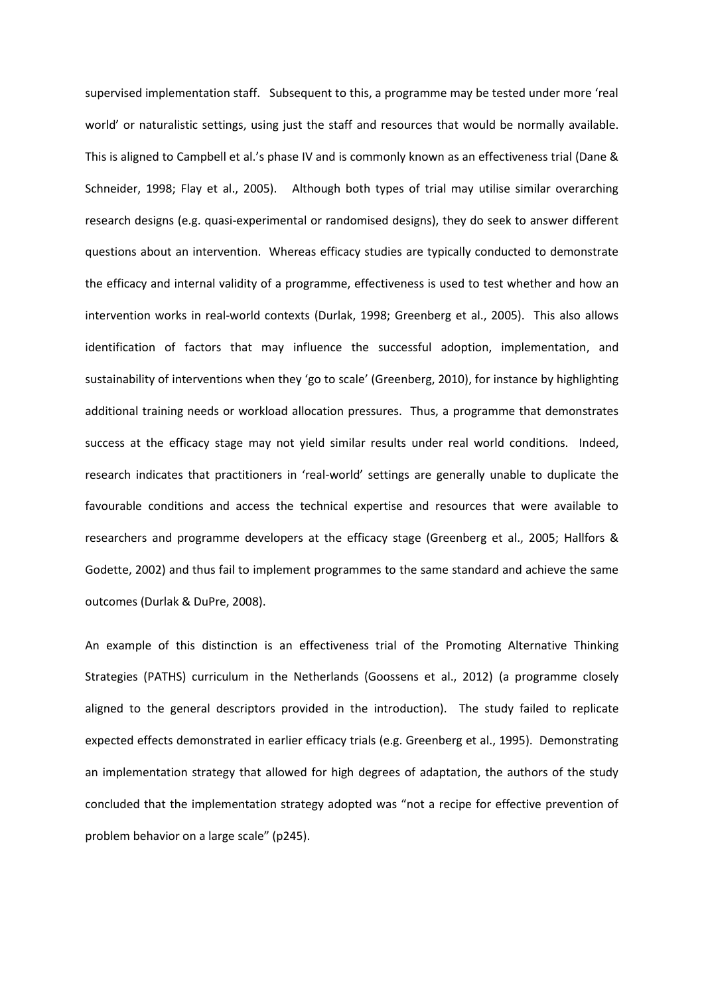supervised implementation staff. Subsequent to this, a programme may be tested under more 'real world' or naturalistic settings, using just the staff and resources that would be normally available. This is aligned to Campbell et al.'s phase IV and is commonly known as an effectiveness trial (Dane & Schneider, 1998; Flay et al., 2005). Although both types of trial may utilise similar overarching research designs (e.g. quasi-experimental or randomised designs), they do seek to answer different questions about an intervention. Whereas efficacy studies are typically conducted to demonstrate the efficacy and internal validity of a programme, effectiveness is used to test whether and how an intervention works in real-world contexts (Durlak, 1998; Greenberg et al., 2005). This also allows identification of factors that may influence the successful adoption, implementation, and sustainability of interventions when they 'go to scale' (Greenberg, 2010), for instance by highlighting additional training needs or workload allocation pressures. Thus, a programme that demonstrates success at the efficacy stage may not yield similar results under real world conditions. Indeed, research indicates that practitioners in 'real-world' settings are generally unable to duplicate the favourable conditions and access the technical expertise and resources that were available to researchers and programme developers at the efficacy stage (Greenberg et al., 2005; Hallfors & Godette, 2002) and thus fail to implement programmes to the same standard and achieve the same outcomes (Durlak & DuPre, 2008).

An example of this distinction is an effectiveness trial of the Promoting Alternative Thinking Strategies (PATHS) curriculum in the Netherlands (Goossens et al., 2012) (a programme closely aligned to the general descriptors provided in the introduction). The study failed to replicate expected effects demonstrated in earlier efficacy trials (e.g. Greenberg et al., 1995). Demonstrating an implementation strategy that allowed for high degrees of adaptation, the authors of the study concluded that the implementation strategy adopted was "not a recipe for effective prevention of problem behavior on a large scale" (p245).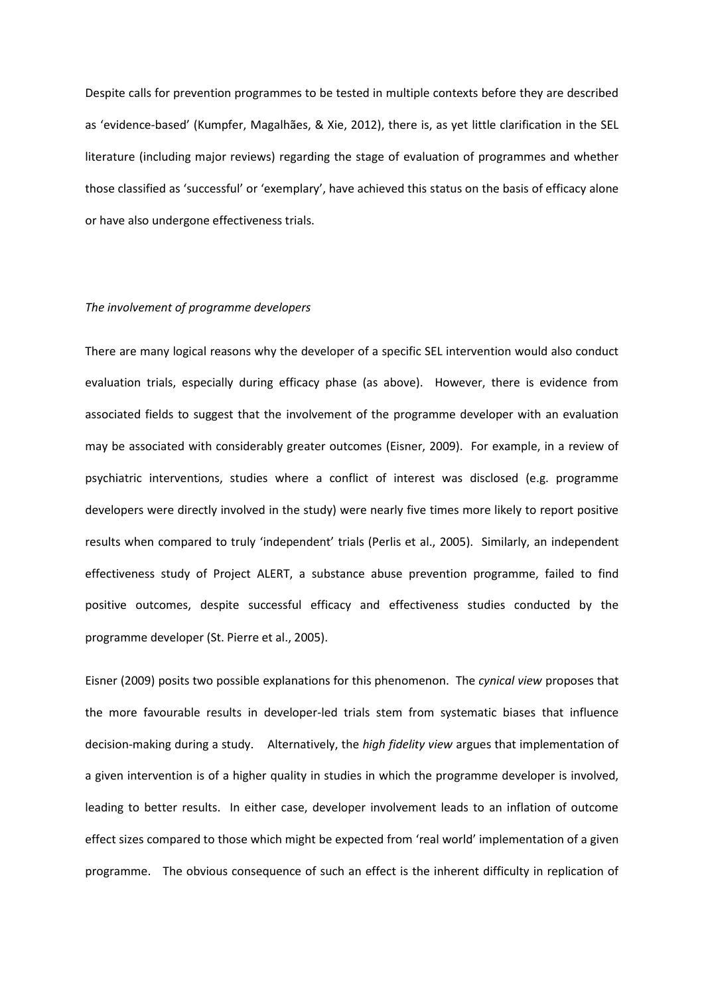Despite calls for prevention programmes to be tested in multiple contexts before they are described as 'evidence-based' (Kumpfer, Magalhães, & Xie, 2012), there is, as yet little clarification in the SEL literature (including major reviews) regarding the stage of evaluation of programmes and whether those classified as 'successful' or 'exemplary', have achieved this status on the basis of efficacy alone or have also undergone effectiveness trials.

# *The involvement of programme developers*

There are many logical reasons why the developer of a specific SEL intervention would also conduct evaluation trials, especially during efficacy phase (as above). However, there is evidence from associated fields to suggest that the involvement of the programme developer with an evaluation may be associated with considerably greater outcomes (Eisner, 2009). For example, in a review of psychiatric interventions, studies where a conflict of interest was disclosed (e.g. programme developers were directly involved in the study) were nearly five times more likely to report positive results when compared to truly 'independent' trials (Perlis et al., 2005). Similarly, an independent effectiveness study of Project ALERT, a substance abuse prevention programme, failed to find positive outcomes, despite successful efficacy and effectiveness studies conducted by the programme developer (St. Pierre et al., 2005).

Eisner (2009) posits two possible explanations for this phenomenon. The *cynical view* proposes that the more favourable results in developer-led trials stem from systematic biases that influence decision-making during a study. Alternatively, the *high fidelity view* argues that implementation of a given intervention is of a higher quality in studies in which the programme developer is involved, leading to better results. In either case, developer involvement leads to an inflation of outcome effect sizes compared to those which might be expected from 'real world' implementation of a given programme. The obvious consequence of such an effect is the inherent difficulty in replication of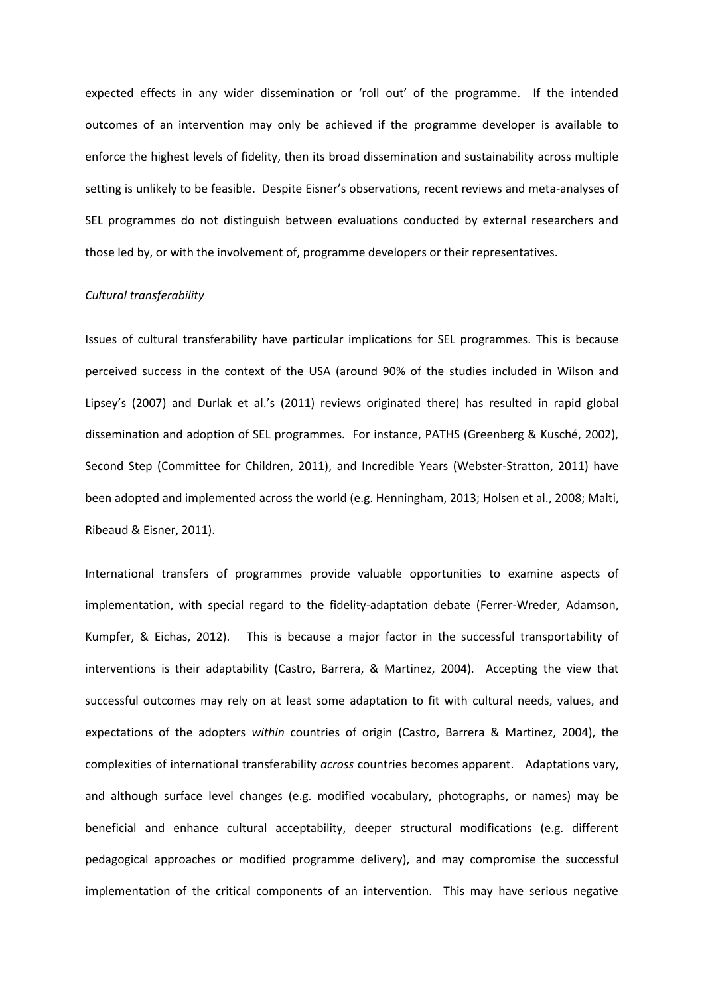expected effects in any wider dissemination or 'roll out' of the programme. If the intended outcomes of an intervention may only be achieved if the programme developer is available to enforce the highest levels of fidelity, then its broad dissemination and sustainability across multiple setting is unlikely to be feasible. Despite Eisner's observations, recent reviews and meta-analyses of SEL programmes do not distinguish between evaluations conducted by external researchers and those led by, or with the involvement of, programme developers or their representatives.

# *Cultural transferability*

Issues of cultural transferability have particular implications for SEL programmes. This is because perceived success in the context of the USA (around 90% of the studies included in Wilson and Lipsey's (2007) and Durlak et al.'s (2011) reviews originated there) has resulted in rapid global dissemination and adoption of SEL programmes. For instance, PATHS (Greenberg & Kusché, 2002), Second Step (Committee for Children, 2011), and Incredible Years (Webster-Stratton, 2011) have been adopted and implemented across the world (e.g. Henningham, 2013; Holsen et al., 2008; Malti, Ribeaud & Eisner, 2011).

International transfers of programmes provide valuable opportunities to examine aspects of implementation, with special regard to the fidelity-adaptation debate (Ferrer-Wreder, Adamson, Kumpfer, & Eichas, 2012). This is because a major factor in the successful transportability of interventions is their adaptability (Castro, Barrera, & Martinez, 2004). Accepting the view that successful outcomes may rely on at least some adaptation to fit with cultural needs, values, and expectations of the adopters *within* countries of origin (Castro, Barrera & Martinez, 2004), the complexities of international transferability *across* countries becomes apparent. Adaptations vary, and although surface level changes (e.g. modified vocabulary, photographs, or names) may be beneficial and enhance cultural acceptability, deeper structural modifications (e.g. different pedagogical approaches or modified programme delivery), and may compromise the successful implementation of the critical components of an intervention. This may have serious negative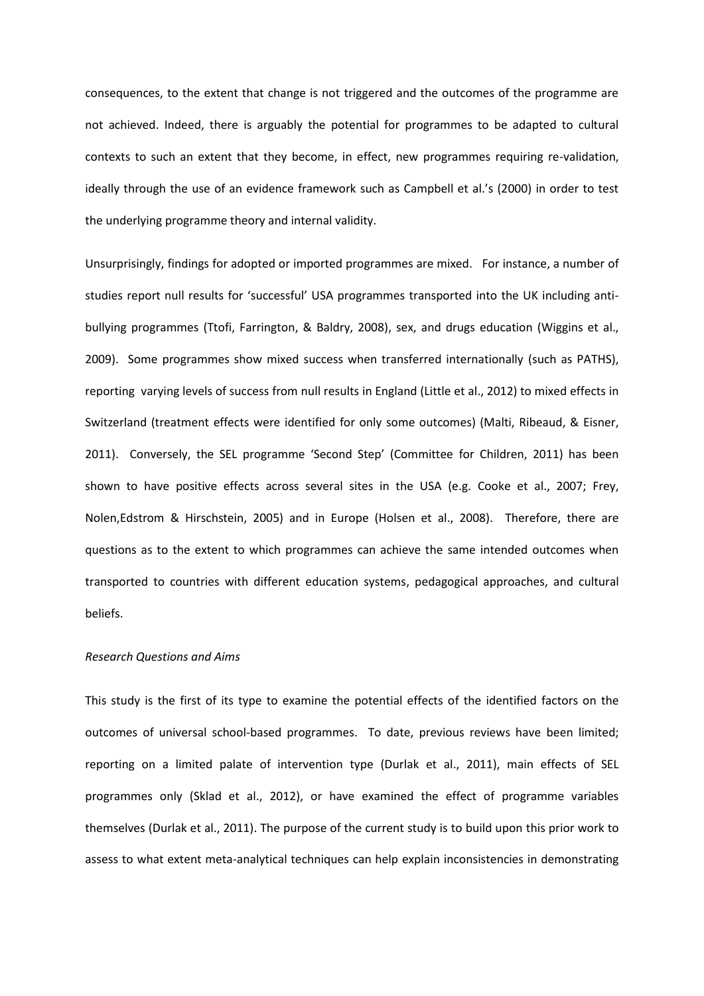consequences, to the extent that change is not triggered and the outcomes of the programme are not achieved. Indeed, there is arguably the potential for programmes to be adapted to cultural contexts to such an extent that they become, in effect, new programmes requiring re-validation, ideally through the use of an evidence framework such as Campbell et al.'s (2000) in order to test the underlying programme theory and internal validity.

Unsurprisingly, findings for adopted or imported programmes are mixed. For instance, a number of studies report null results for 'successful' USA programmes transported into the UK including antibullying programmes (Ttofi, Farrington, & Baldry, 2008), sex, and drugs education (Wiggins et al., 2009). Some programmes show mixed success when transferred internationally (such as PATHS), reporting varying levels of success from null results in England (Little et al., 2012) to mixed effects in Switzerland (treatment effects were identified for only some outcomes) (Malti, Ribeaud, & Eisner, 2011). Conversely, the SEL programme 'Second Step' (Committee for Children, 2011) has been shown to have positive effects across several sites in the USA (e.g. Cooke et al., 2007; Frey, Nolen,Edstrom & Hirschstein, 2005) and in Europe (Holsen et al., 2008). Therefore, there are questions as to the extent to which programmes can achieve the same intended outcomes when transported to countries with different education systems, pedagogical approaches, and cultural beliefs.

# *Research Questions and Aims*

This study is the first of its type to examine the potential effects of the identified factors on the outcomes of universal school-based programmes. To date, previous reviews have been limited; reporting on a limited palate of intervention type (Durlak et al., 2011), main effects of SEL programmes only (Sklad et al., 2012), or have examined the effect of programme variables themselves (Durlak et al., 2011). The purpose of the current study is to build upon this prior work to assess to what extent meta-analytical techniques can help explain inconsistencies in demonstrating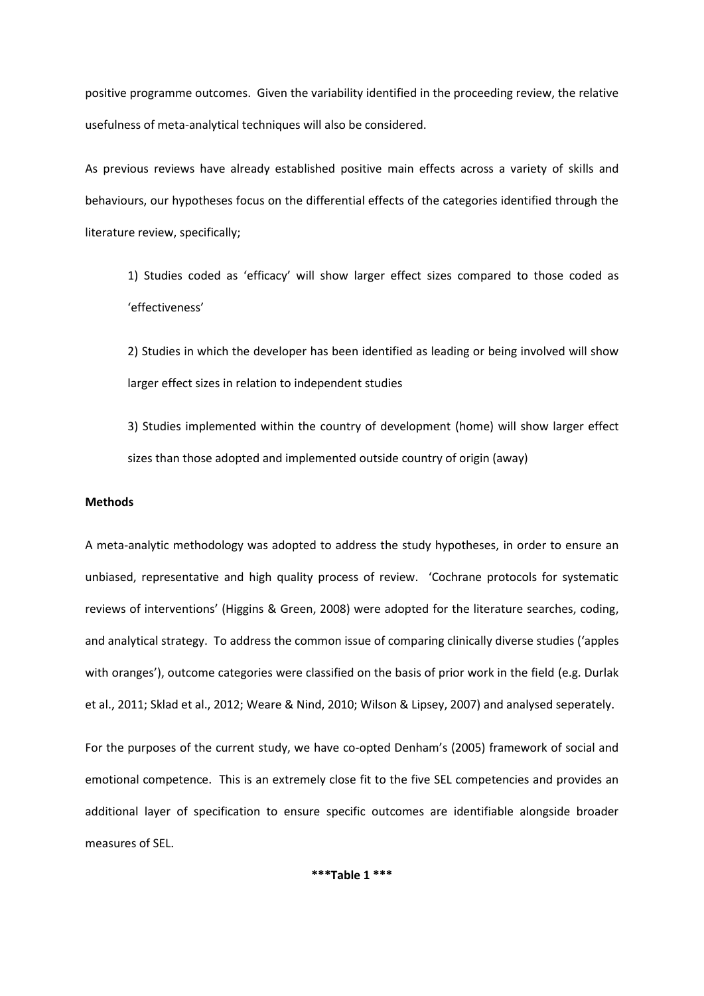positive programme outcomes. Given the variability identified in the proceeding review, the relative usefulness of meta-analytical techniques will also be considered.

As previous reviews have already established positive main effects across a variety of skills and behaviours, our hypotheses focus on the differential effects of the categories identified through the literature review, specifically;

1) Studies coded as 'efficacy' will show larger effect sizes compared to those coded as 'effectiveness'

2) Studies in which the developer has been identified as leading or being involved will show larger effect sizes in relation to independent studies

3) Studies implemented within the country of development (home) will show larger effect sizes than those adopted and implemented outside country of origin (away)

# **Methods**

A meta-analytic methodology was adopted to address the study hypotheses, in order to ensure an unbiased, representative and high quality process of review. 'Cochrane protocols for systematic reviews of interventions' (Higgins & Green, 2008) were adopted for the literature searches, coding, and analytical strategy. To address the common issue of comparing clinically diverse studies ('apples with oranges'), outcome categories were classified on the basis of prior work in the field (e.g. Durlak et al., 2011; Sklad et al., 2012; Weare & Nind, 2010; Wilson & Lipsey, 2007) and analysed seperately.

For the purposes of the current study, we have co-opted Denham's (2005) framework of social and emotional competence. This is an extremely close fit to the five SEL competencies and provides an additional layer of specification to ensure specific outcomes are identifiable alongside broader measures of SEL.

**\*\*\*Table 1 \*\*\***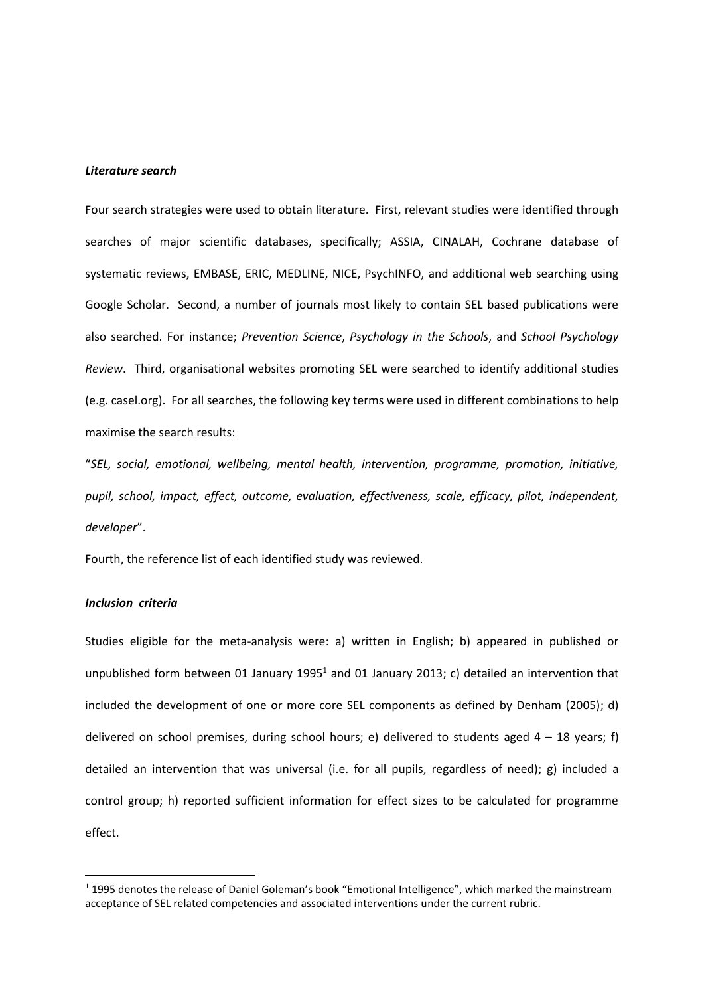## *Literature search*

Four search strategies were used to obtain literature. First, relevant studies were identified through searches of major scientific databases, specifically; ASSIA, CINALAH, Cochrane database of systematic reviews, EMBASE, ERIC, MEDLINE, NICE, PsychINFO, and additional web searching using Google Scholar. Second, a number of journals most likely to contain SEL based publications were also searched. For instance; *Prevention Science*, *Psychology in the Schools*, and *School Psychology Review*. Third, organisational websites promoting SEL were searched to identify additional studies (e.g. casel.org). For all searches, the following key terms were used in different combinations to help maximise the search results:

"*SEL, social, emotional, wellbeing, mental health, intervention, programme, promotion, initiative, pupil, school, impact, effect, outcome, evaluation, effectiveness, scale, efficacy, pilot, independent, developer*".

Fourth, the reference list of each identified study was reviewed.

# *Inclusion criteria*

**.** 

Studies eligible for the meta-analysis were: a) written in English; b) appeared in published or unpublished form between 01 January 1995<sup>1</sup> and 01 January 2013; c) detailed an intervention that included the development of one or more core SEL components as defined by Denham (2005); d) delivered on school premises, during school hours; e) delivered to students aged  $4 - 18$  years; f) detailed an intervention that was universal (i.e. for all pupils, regardless of need); g) included a control group; h) reported sufficient information for effect sizes to be calculated for programme effect.

<sup>&</sup>lt;sup>1</sup> 1995 denotes the release of Daniel Goleman's book "Emotional Intelligence", which marked the mainstream acceptance of SEL related competencies and associated interventions under the current rubric.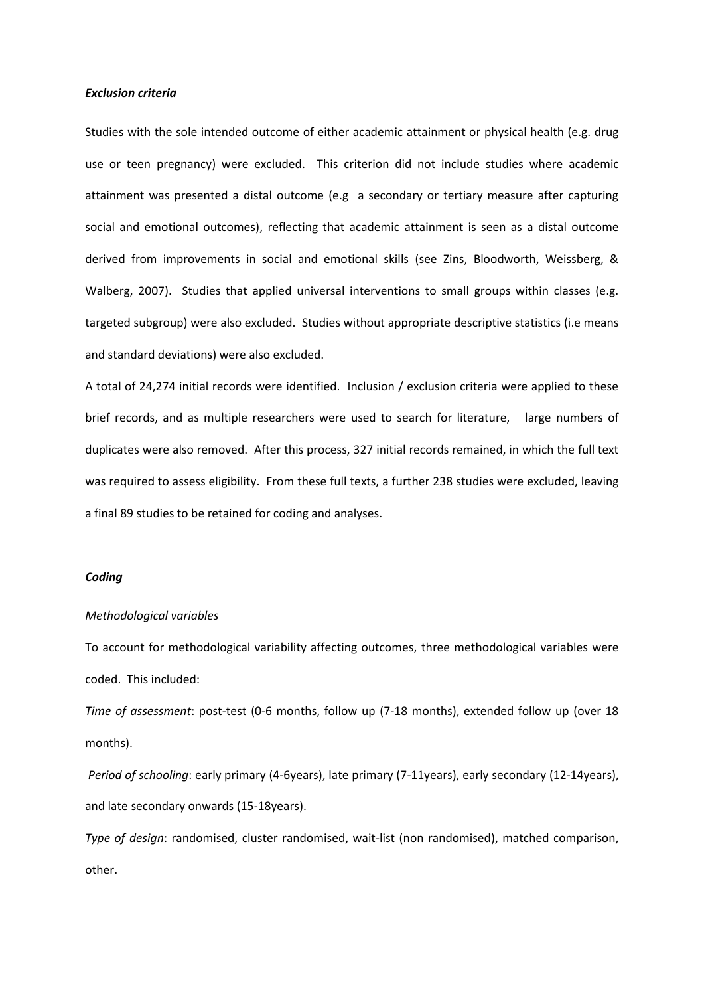# *Exclusion criteria*

Studies with the sole intended outcome of either academic attainment or physical health (e.g. drug use or teen pregnancy) were excluded. This criterion did not include studies where academic attainment was presented a distal outcome (e.g a secondary or tertiary measure after capturing social and emotional outcomes), reflecting that academic attainment is seen as a distal outcome derived from improvements in social and emotional skills (see Zins, Bloodworth, Weissberg, & Walberg, 2007). Studies that applied universal interventions to small groups within classes (e.g. targeted subgroup) were also excluded. Studies without appropriate descriptive statistics (i.e means and standard deviations) were also excluded.

A total of 24,274 initial records were identified. Inclusion / exclusion criteria were applied to these brief records, and as multiple researchers were used to search for literature, large numbers of duplicates were also removed. After this process, 327 initial records remained, in which the full text was required to assess eligibility. From these full texts, a further 238 studies were excluded, leaving a final 89 studies to be retained for coding and analyses.

# *Coding*

## *Methodological variables*

To account for methodological variability affecting outcomes, three methodological variables were coded. This included:

*Time of assessment*: post-test (0-6 months, follow up (7-18 months), extended follow up (over 18 months).

*Period of schooling*: early primary (4-6years), late primary (7-11years), early secondary (12-14years), and late secondary onwards (15-18years).

*Type of design*: randomised, cluster randomised, wait-list (non randomised), matched comparison, other.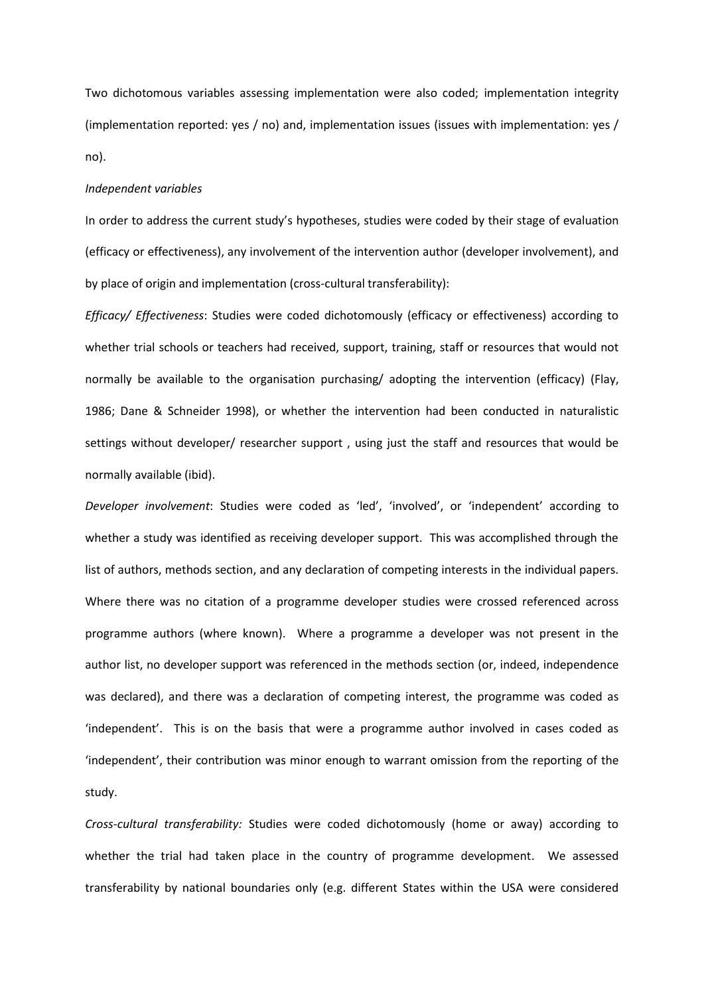Two dichotomous variables assessing implementation were also coded; implementation integrity (implementation reported: yes / no) and, implementation issues (issues with implementation: yes / no).

# *Independent variables*

In order to address the current study's hypotheses, studies were coded by their stage of evaluation (efficacy or effectiveness), any involvement of the intervention author (developer involvement), and by place of origin and implementation (cross-cultural transferability):

*Efficacy/ Effectiveness*: Studies were coded dichotomously (efficacy or effectiveness) according to whether trial schools or teachers had received, support, training, staff or resources that would not normally be available to the organisation purchasing/ adopting the intervention (efficacy) (Flay, 1986; Dane & Schneider 1998), or whether the intervention had been conducted in naturalistic settings without developer/ researcher support , using just the staff and resources that would be normally available (ibid).

*Developer involvement*: Studies were coded as 'led', 'involved', or 'independent' according to whether a study was identified as receiving developer support. This was accomplished through the list of authors, methods section, and any declaration of competing interests in the individual papers. Where there was no citation of a programme developer studies were crossed referenced across programme authors (where known). Where a programme a developer was not present in the author list, no developer support was referenced in the methods section (or, indeed, independence was declared), and there was a declaration of competing interest, the programme was coded as 'independent'. This is on the basis that were a programme author involved in cases coded as 'independent', their contribution was minor enough to warrant omission from the reporting of the study.

*Cross-cultural transferability:* Studies were coded dichotomously (home or away) according to whether the trial had taken place in the country of programme development. We assessed transferability by national boundaries only (e.g. different States within the USA were considered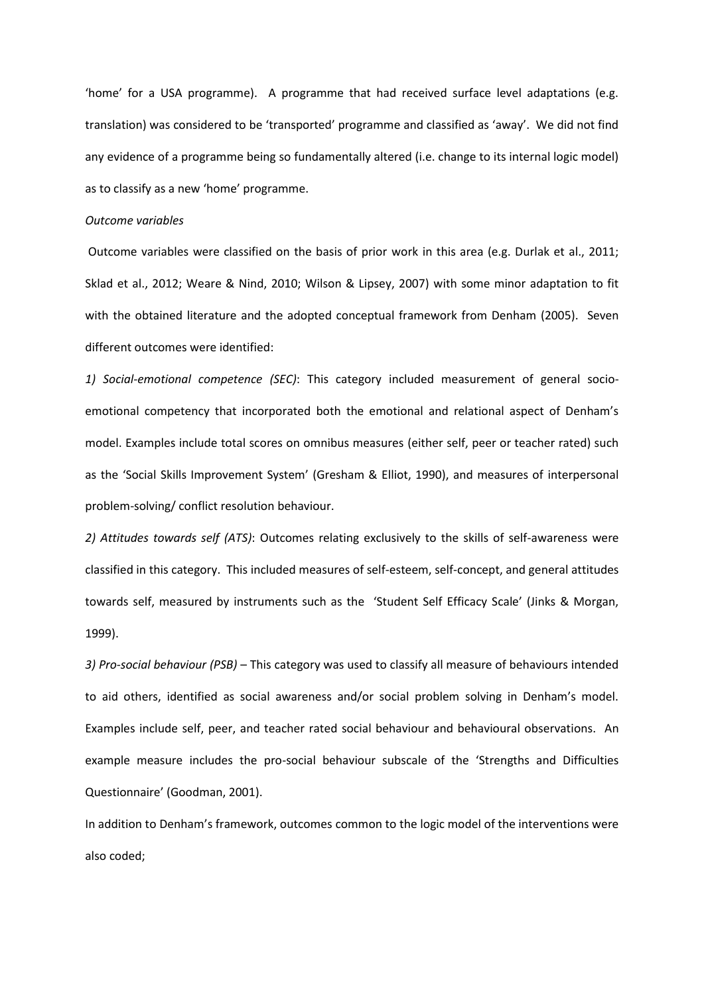'home' for a USA programme). A programme that had received surface level adaptations (e.g. translation) was considered to be 'transported' programme and classified as 'away'. We did not find any evidence of a programme being so fundamentally altered (i.e. change to its internal logic model) as to classify as a new 'home' programme.

# *Outcome variables*

Outcome variables were classified on the basis of prior work in this area (e.g. Durlak et al., 2011; Sklad et al., 2012; Weare & Nind, 2010; Wilson & Lipsey, 2007) with some minor adaptation to fit with the obtained literature and the adopted conceptual framework from Denham (2005). Seven different outcomes were identified:

*1) Social-emotional competence (SEC)*: This category included measurement of general socioemotional competency that incorporated both the emotional and relational aspect of Denham's model. Examples include total scores on omnibus measures (either self, peer or teacher rated) such as the 'Social Skills Improvement System' (Gresham & Elliot, 1990), and measures of interpersonal problem-solving/ conflict resolution behaviour.

*2) Attitudes towards self (ATS)*: Outcomes relating exclusively to the skills of self-awareness were classified in this category. This included measures of self-esteem, self-concept, and general attitudes towards self, measured by instruments such as the 'Student Self Efficacy Scale' (Jinks & Morgan, 1999).

*3) Pro-social behaviour (PSB)* – This category was used to classify all measure of behaviours intended to aid others, identified as social awareness and/or social problem solving in Denham's model. Examples include self, peer, and teacher rated social behaviour and behavioural observations. An example measure includes the pro-social behaviour subscale of the 'Strengths and Difficulties Questionnaire' (Goodman, 2001).

In addition to Denham's framework, outcomes common to the logic model of the interventions were also coded;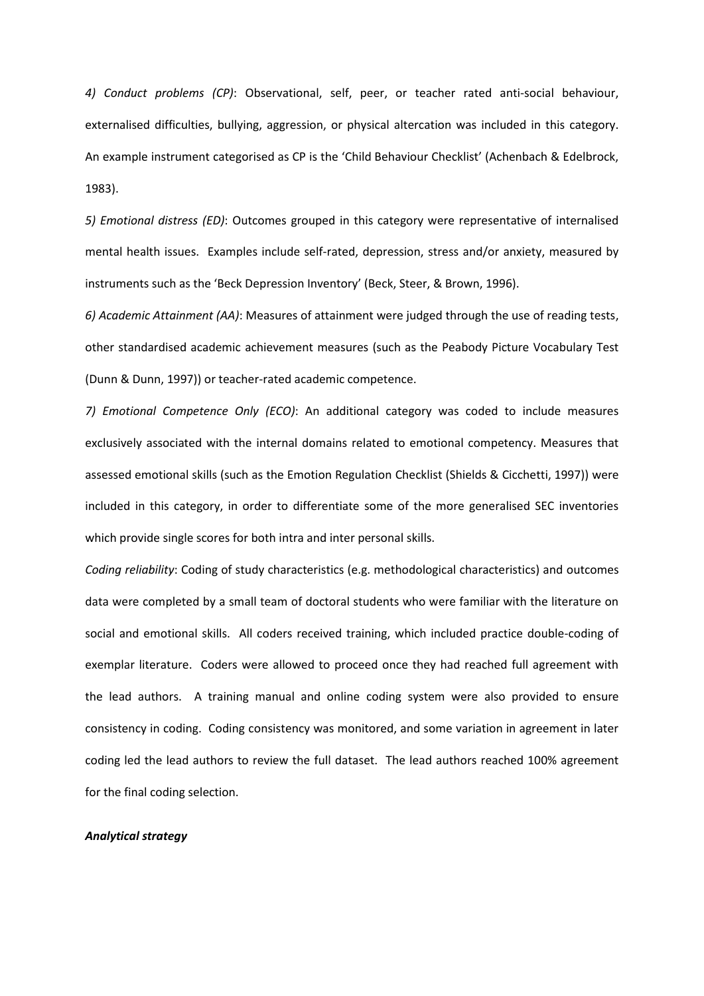*4) Conduct problems (CP)*: Observational, self, peer, or teacher rated anti-social behaviour, externalised difficulties, bullying, aggression, or physical altercation was included in this category. An example instrument categorised as CP is the 'Child Behaviour Checklist' (Achenbach & Edelbrock, 1983).

*5) Emotional distress (ED)*: Outcomes grouped in this category were representative of internalised mental health issues. Examples include self-rated, depression, stress and/or anxiety, measured by instruments such as the 'Beck Depression Inventory' (Beck, Steer, & Brown, 1996).

*6) Academic Attainment (AA)*: Measures of attainment were judged through the use of reading tests, other standardised academic achievement measures (such as the Peabody Picture Vocabulary Test (Dunn & Dunn, 1997)) or teacher-rated academic competence.

*7) Emotional Competence Only (ECO)*: An additional category was coded to include measures exclusively associated with the internal domains related to emotional competency. Measures that assessed emotional skills (such as the Emotion Regulation Checklist (Shields & Cicchetti, 1997)) were included in this category, in order to differentiate some of the more generalised SEC inventories which provide single scores for both intra and inter personal skills.

*Coding reliability*: Coding of study characteristics (e.g. methodological characteristics) and outcomes data were completed by a small team of doctoral students who were familiar with the literature on social and emotional skills. All coders received training, which included practice double-coding of exemplar literature. Coders were allowed to proceed once they had reached full agreement with the lead authors. A training manual and online coding system were also provided to ensure consistency in coding. Coding consistency was monitored, and some variation in agreement in later coding led the lead authors to review the full dataset. The lead authors reached 100% agreement for the final coding selection.

# *Analytical strategy*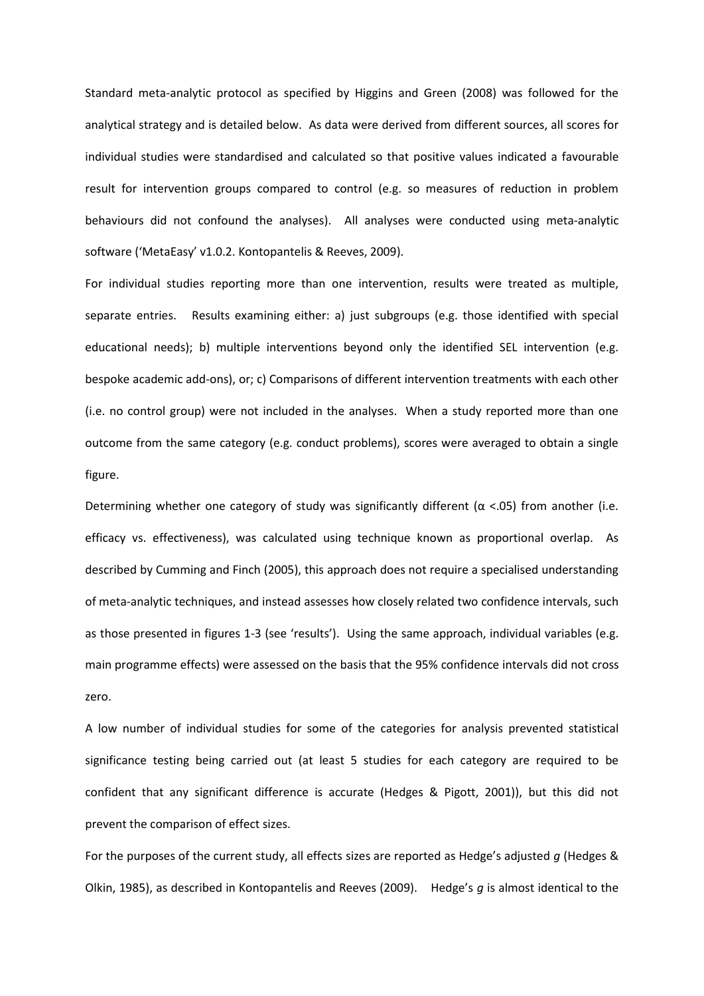Standard meta-analytic protocol as specified by Higgins and Green (2008) was followed for the analytical strategy and is detailed below. As data were derived from different sources, all scores for individual studies were standardised and calculated so that positive values indicated a favourable result for intervention groups compared to control (e.g. so measures of reduction in problem behaviours did not confound the analyses). All analyses were conducted using meta-analytic software ('MetaEasy' v1.0.2. Kontopantelis & Reeves, 2009).

For individual studies reporting more than one intervention, results were treated as multiple, separate entries. Results examining either: a) just subgroups (e.g. those identified with special educational needs); b) multiple interventions beyond only the identified SEL intervention (e.g. bespoke academic add-ons), or; c) Comparisons of different intervention treatments with each other (i.e. no control group) were not included in the analyses. When a study reported more than one outcome from the same category (e.g. conduct problems), scores were averaged to obtain a single figure.

Determining whether one category of study was significantly different ( $\alpha$  <.05) from another (i.e. efficacy vs. effectiveness), was calculated using technique known as proportional overlap. As described by Cumming and Finch (2005), this approach does not require a specialised understanding of meta-analytic techniques, and instead assesses how closely related two confidence intervals, such as those presented in figures 1-3 (see 'results'). Using the same approach, individual variables (e.g. main programme effects) were assessed on the basis that the 95% confidence intervals did not cross zero.

A low number of individual studies for some of the categories for analysis prevented statistical significance testing being carried out (at least 5 studies for each category are required to be confident that any significant difference is accurate (Hedges & Pigott, 2001)), but this did not prevent the comparison of effect sizes.

For the purposes of the current study, all effects sizes are reported as Hedge's adjusted *g* (Hedges & Olkin, 1985), as described in Kontopantelis and Reeves (2009). Hedge's *g* is almost identical to the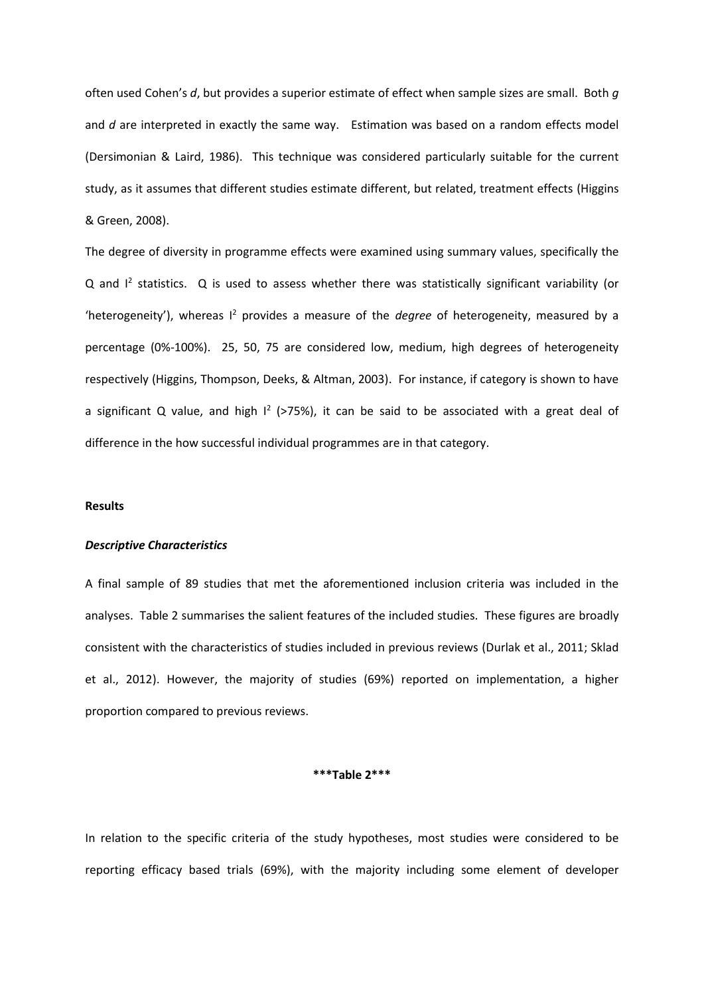often used Cohen's *d*, but provides a superior estimate of effect when sample sizes are small. Both *g*  and *d* are interpreted in exactly the same way. Estimation was based on a random effects model (Dersimonian & Laird, 1986). This technique was considered particularly suitable for the current study, as it assumes that different studies estimate different, but related, treatment effects (Higgins & Green, 2008).

The degree of diversity in programme effects were examined using summary values, specifically the  $Q$  and  $I<sup>2</sup>$  statistics.  $Q$  is used to assess whether there was statistically significant variability (or 'heterogeneity'), whereas I<sup>2</sup> provides a measure of the *degree* of heterogeneity, measured by a percentage (0%-100%). 25, 50, 75 are considered low, medium, high degrees of heterogeneity respectively (Higgins, Thompson, Deeks, & Altman, 2003). For instance, if category is shown to have a significant Q value, and high  $I^2$  (>75%), it can be said to be associated with a great deal of difference in the how successful individual programmes are in that category.

## **Results**

# *Descriptive Characteristics*

A final sample of 89 studies that met the aforementioned inclusion criteria was included in the analyses. Table 2 summarises the salient features of the included studies. These figures are broadly consistent with the characteristics of studies included in previous reviews (Durlak et al., 2011; Sklad et al., 2012). However, the majority of studies (69%) reported on implementation, a higher proportion compared to previous reviews.

# **\*\*\*Table 2\*\*\***

In relation to the specific criteria of the study hypotheses, most studies were considered to be reporting efficacy based trials (69%), with the majority including some element of developer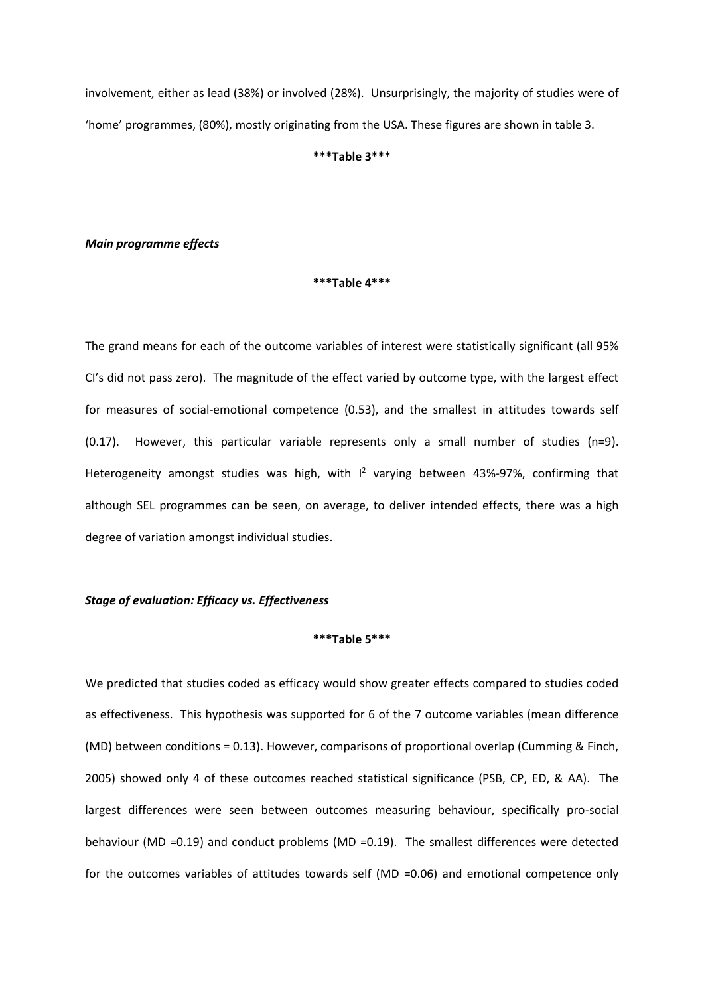involvement, either as lead (38%) or involved (28%). Unsurprisingly, the majority of studies were of 'home' programmes, (80%), mostly originating from the USA. These figures are shown in table 3.

#### **\*\*\*Table 3\*\*\***

# *Main programme effects*

#### **\*\*\*Table 4\*\*\***

The grand means for each of the outcome variables of interest were statistically significant (all 95% CI's did not pass zero). The magnitude of the effect varied by outcome type, with the largest effect for measures of social-emotional competence (0.53), and the smallest in attitudes towards self (0.17). However, this particular variable represents only a small number of studies (n=9). Heterogeneity amongst studies was high, with I<sup>2</sup> varying between 43%-97%, confirming that although SEL programmes can be seen, on average, to deliver intended effects, there was a high degree of variation amongst individual studies.

# *Stage of evaluation: Efficacy vs. Effectiveness*

# **\*\*\*Table 5\*\*\***

We predicted that studies coded as efficacy would show greater effects compared to studies coded as effectiveness. This hypothesis was supported for 6 of the 7 outcome variables (mean difference (MD) between conditions = 0.13). However, comparisons of proportional overlap (Cumming & Finch, 2005) showed only 4 of these outcomes reached statistical significance (PSB, CP, ED, & AA). The largest differences were seen between outcomes measuring behaviour, specifically pro-social behaviour (MD =0.19) and conduct problems (MD =0.19). The smallest differences were detected for the outcomes variables of attitudes towards self (MD =0.06) and emotional competence only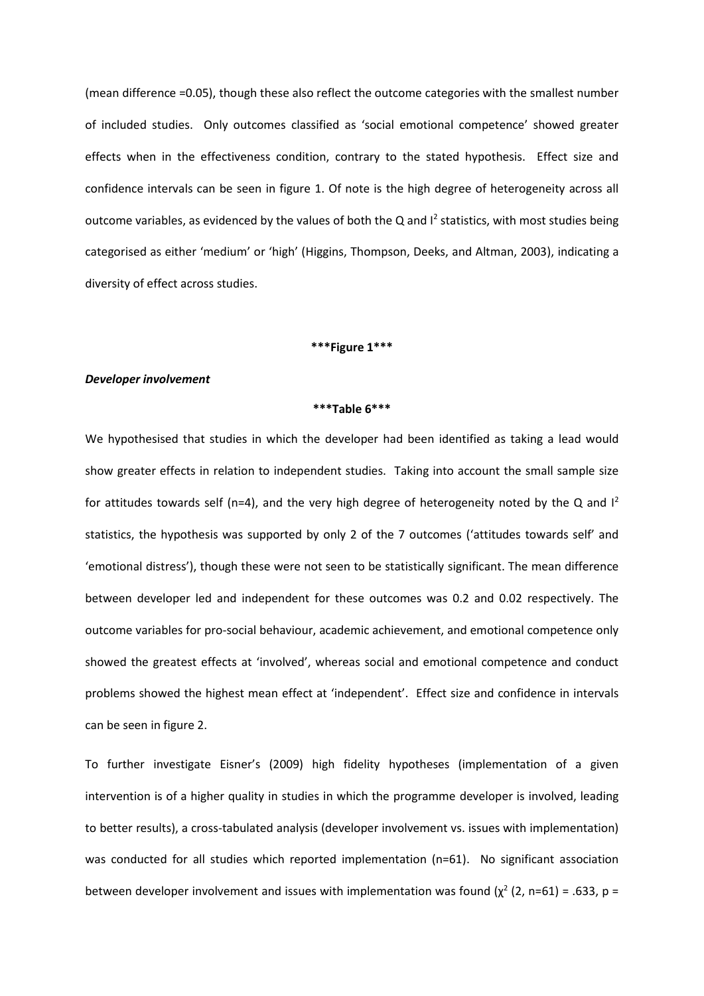(mean difference =0.05), though these also reflect the outcome categories with the smallest number of included studies. Only outcomes classified as 'social emotional competence' showed greater effects when in the effectiveness condition, contrary to the stated hypothesis. Effect size and confidence intervals can be seen in figure 1. Of note is the high degree of heterogeneity across all outcome variables, as evidenced by the values of both the Q and  $I^2$  statistics, with most studies being categorised as either 'medium' or 'high' (Higgins, Thompson, Deeks, and Altman, 2003), indicating a diversity of effect across studies.

## **\*\*\*Figure 1\*\*\***

## *Developer involvement*

#### **\*\*\*Table 6\*\*\***

We hypothesised that studies in which the developer had been identified as taking a lead would show greater effects in relation to independent studies. Taking into account the small sample size for attitudes towards self (n=4), and the very high degree of heterogeneity noted by the Q and  $I^2$ statistics, the hypothesis was supported by only 2 of the 7 outcomes ('attitudes towards self' and 'emotional distress'), though these were not seen to be statistically significant. The mean difference between developer led and independent for these outcomes was 0.2 and 0.02 respectively. The outcome variables for pro-social behaviour, academic achievement, and emotional competence only showed the greatest effects at 'involved', whereas social and emotional competence and conduct problems showed the highest mean effect at 'independent'. Effect size and confidence in intervals can be seen in figure 2.

To further investigate Eisner's (2009) high fidelity hypotheses (implementation of a given intervention is of a higher quality in studies in which the programme developer is involved, leading to better results), a cross-tabulated analysis (developer involvement vs. issues with implementation) was conducted for all studies which reported implementation (n=61). No significant association between developer involvement and issues with implementation was found ( $\chi^2$  (2, n=61) = .633, p =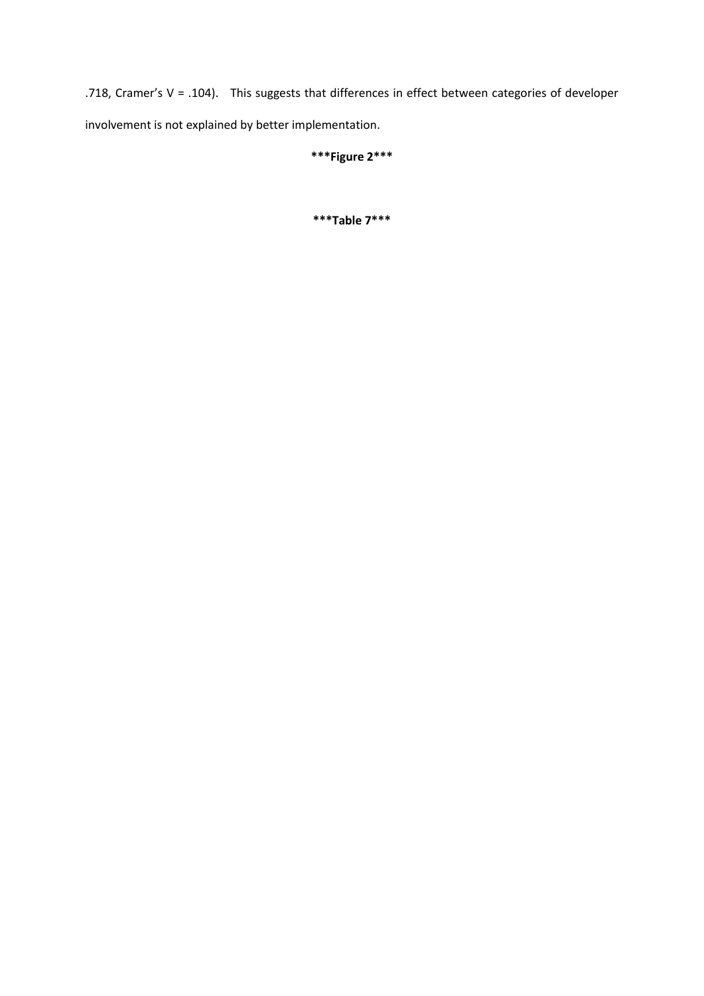.718, Cramer's V = .104). This suggests that differences in effect between categories of developer involvement is not explained by better implementation.

# **\*\*\*Figure 2\*\*\***

**\*\*\*Table 7\*\*\***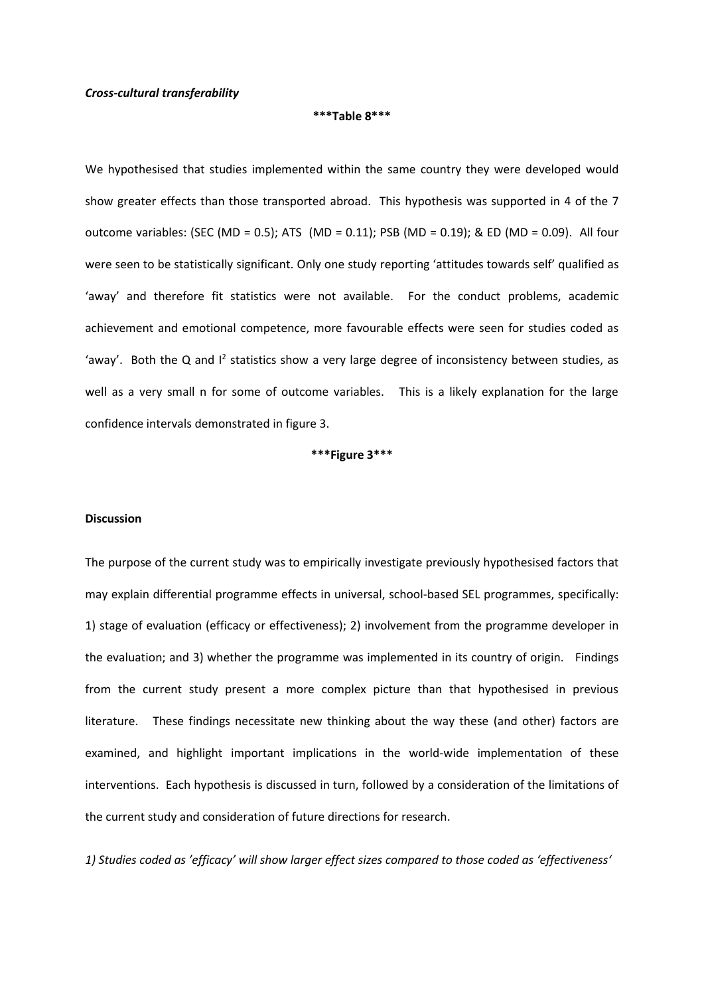# *Cross-cultural transferability*

#### **\*\*\*Table 8\*\*\***

We hypothesised that studies implemented within the same country they were developed would show greater effects than those transported abroad. This hypothesis was supported in 4 of the 7 outcome variables: (SEC (MD = 0.5); ATS (MD = 0.11); PSB (MD = 0.19); & ED (MD = 0.09). All four were seen to be statistically significant. Only one study reporting 'attitudes towards self' qualified as 'away' and therefore fit statistics were not available. For the conduct problems, academic achievement and emotional competence, more favourable effects were seen for studies coded as 'away'. Both the Q and  $I^2$  statistics show a very large degree of inconsistency between studies, as well as a very small n for some of outcome variables. This is a likely explanation for the large confidence intervals demonstrated in figure 3.

**\*\*\*Figure 3\*\*\***

## **Discussion**

The purpose of the current study was to empirically investigate previously hypothesised factors that may explain differential programme effects in universal, school-based SEL programmes, specifically: 1) stage of evaluation (efficacy or effectiveness); 2) involvement from the programme developer in the evaluation; and 3) whether the programme was implemented in its country of origin. Findings from the current study present a more complex picture than that hypothesised in previous literature. These findings necessitate new thinking about the way these (and other) factors are examined, and highlight important implications in the world-wide implementation of these interventions. Each hypothesis is discussed in turn, followed by a consideration of the limitations of the current study and consideration of future directions for research.

*1) Studies coded as 'efficacy' will show larger effect sizes compared to those coded as 'effectiveness'*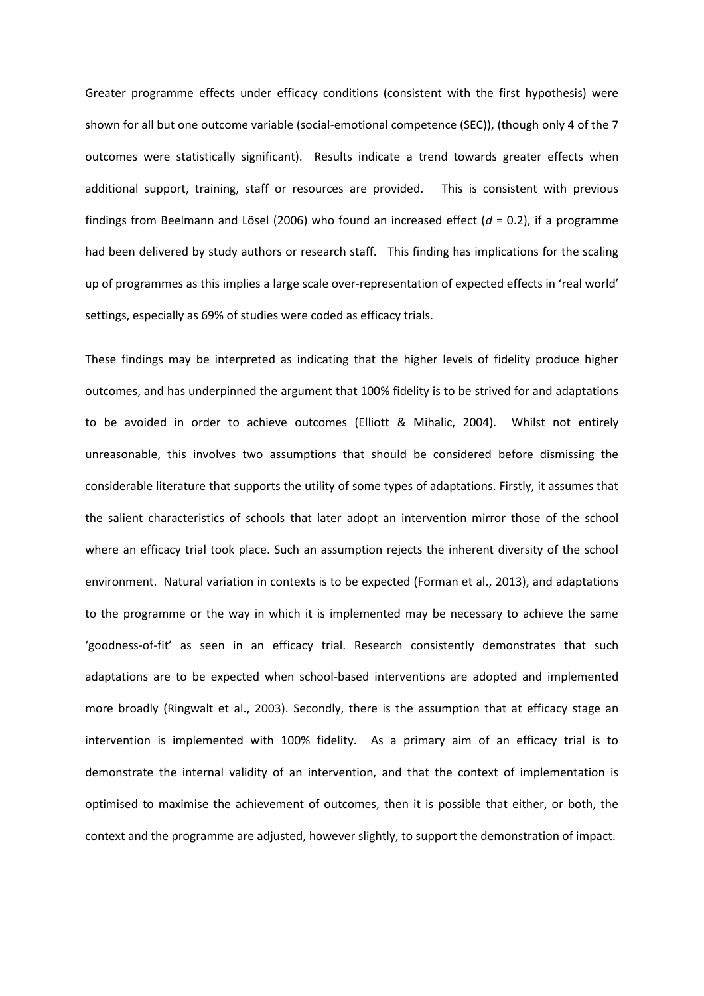Greater programme effects under efficacy conditions (consistent with the first hypothesis) were shown for all but one outcome variable (social-emotional competence (SEC)), (though only 4 of the 7 outcomes were statistically significant). Results indicate a trend towards greater effects when additional support, training, staff or resources are provided. This is consistent with previous findings from Beelmann and Lösel (2006) who found an increased effect  $(d = 0.2)$ , if a programme had been delivered by study authors or research staff. This finding has implications for the scaling up of programmes as this implies a large scale over-representation of expected effects in 'real world' settings, especially as 69% of studies were coded as efficacy trials.

These findings may be interpreted as indicating that the higher levels of fidelity produce higher outcomes, and has underpinned the argument that 100% fidelity is to be strived for and adaptations to be avoided in order to achieve outcomes (Elliott & Mihalic, 2004). Whilst not entirely unreasonable, this involves two assumptions that should be considered before dismissing the considerable literature that supports the utility of some types of adaptations. Firstly, it assumes that the salient characteristics of schools that later adopt an intervention mirror those of the school where an efficacy trial took place. Such an assumption rejects the inherent diversity of the school environment. Natural variation in contexts is to be expected (Forman et al., 2013), and adaptations to the programme or the way in which it is implemented may be necessary to achieve the same 'goodness-of-fit' as seen in an efficacy trial. Research consistently demonstrates that such adaptations are to be expected when school-based interventions are adopted and implemented more broadly (Ringwalt et al., 2003). Secondly, there is the assumption that at efficacy stage an intervention is implemented with 100% fidelity. As a primary aim of an efficacy trial is to demonstrate the internal validity of an intervention, and that the context of implementation is optimised to maximise the achievement of outcomes, then it is possible that either, or both, the context and the programme are adjusted, however slightly, to support the demonstration of impact.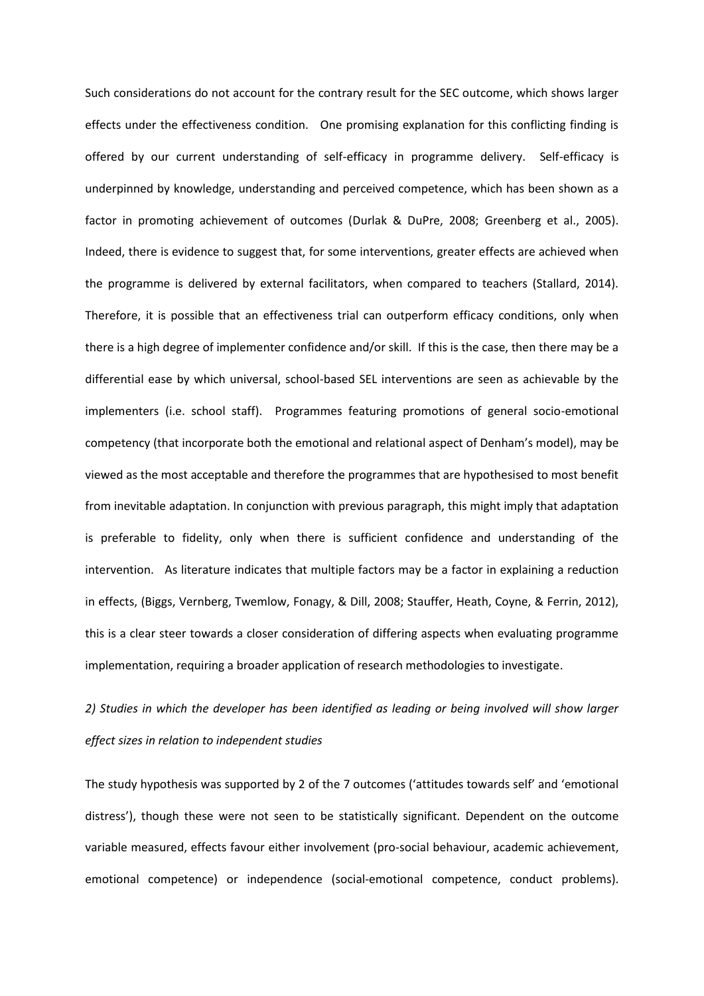Such considerations do not account for the contrary result for the SEC outcome, which shows larger effects under the effectiveness condition. One promising explanation for this conflicting finding is offered by our current understanding of self-efficacy in programme delivery. Self-efficacy is underpinned by knowledge, understanding and perceived competence, which has been shown as a factor in promoting achievement of outcomes (Durlak & DuPre, 2008; Greenberg et al., 2005). Indeed, there is evidence to suggest that, for some interventions, greater effects are achieved when the programme is delivered by external facilitators, when compared to teachers (Stallard, 2014). Therefore, it is possible that an effectiveness trial can outperform efficacy conditions, only when there is a high degree of implementer confidence and/or skill. If this is the case, then there may be a differential ease by which universal, school-based SEL interventions are seen as achievable by the implementers (i.e. school staff). Programmes featuring promotions of general socio-emotional competency (that incorporate both the emotional and relational aspect of Denham's model), may be viewed as the most acceptable and therefore the programmes that are hypothesised to most benefit from inevitable adaptation. In conjunction with previous paragraph, this might imply that adaptation is preferable to fidelity, only when there is sufficient confidence and understanding of the intervention. As literature indicates that multiple factors may be a factor in explaining a reduction in effects, (Biggs, Vernberg, Twemlow, Fonagy, & Dill, 2008; Stauffer, Heath, Coyne, & Ferrin, 2012), this is a clear steer towards a closer consideration of differing aspects when evaluating programme implementation, requiring a broader application of research methodologies to investigate.

# *2) Studies in which the developer has been identified as leading or being involved will show larger effect sizes in relation to independent studies*

The study hypothesis was supported by 2 of the 7 outcomes ('attitudes towards self' and 'emotional distress'), though these were not seen to be statistically significant. Dependent on the outcome variable measured, effects favour either involvement (pro-social behaviour, academic achievement, emotional competence) or independence (social-emotional competence, conduct problems).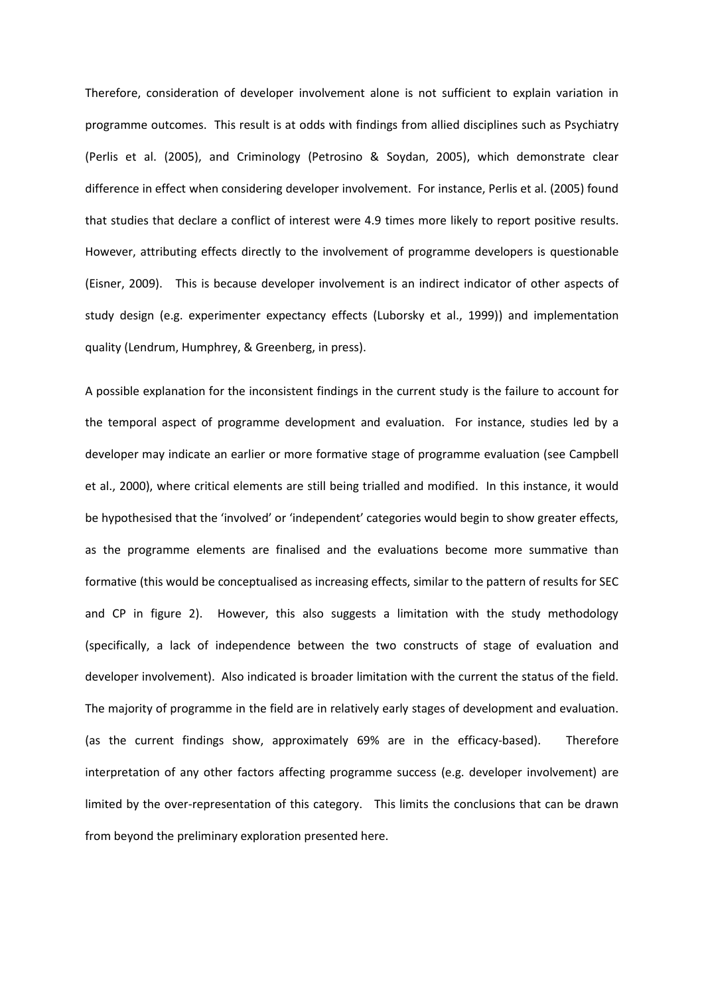Therefore, consideration of developer involvement alone is not sufficient to explain variation in programme outcomes. This result is at odds with findings from allied disciplines such as Psychiatry (Perlis et al. (2005), and Criminology (Petrosino & Soydan, 2005), which demonstrate clear difference in effect when considering developer involvement. For instance, Perlis et al. (2005) found that studies that declare a conflict of interest were 4.9 times more likely to report positive results. However, attributing effects directly to the involvement of programme developers is questionable (Eisner, 2009). This is because developer involvement is an indirect indicator of other aspects of study design (e.g. experimenter expectancy effects (Luborsky et al., 1999)) and implementation quality (Lendrum, Humphrey, & Greenberg, in press).

A possible explanation for the inconsistent findings in the current study is the failure to account for the temporal aspect of programme development and evaluation. For instance, studies led by a developer may indicate an earlier or more formative stage of programme evaluation (see Campbell et al., 2000), where critical elements are still being trialled and modified. In this instance, it would be hypothesised that the 'involved' or 'independent' categories would begin to show greater effects, as the programme elements are finalised and the evaluations become more summative than formative (this would be conceptualised as increasing effects, similar to the pattern of results for SEC and CP in figure 2). However, this also suggests a limitation with the study methodology (specifically, a lack of independence between the two constructs of stage of evaluation and developer involvement). Also indicated is broader limitation with the current the status of the field. The majority of programme in the field are in relatively early stages of development and evaluation. (as the current findings show, approximately 69% are in the efficacy-based). Therefore interpretation of any other factors affecting programme success (e.g. developer involvement) are limited by the over-representation of this category. This limits the conclusions that can be drawn from beyond the preliminary exploration presented here.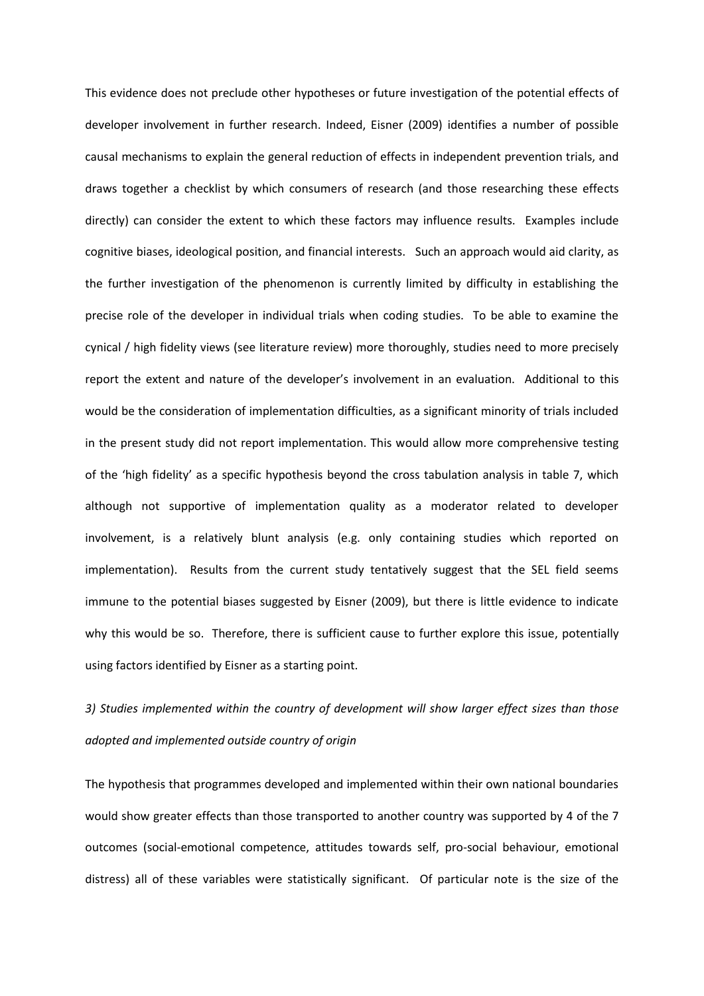This evidence does not preclude other hypotheses or future investigation of the potential effects of developer involvement in further research. Indeed, Eisner (2009) identifies a number of possible causal mechanisms to explain the general reduction of effects in independent prevention trials, and draws together a checklist by which consumers of research (and those researching these effects directly) can consider the extent to which these factors may influence results. Examples include cognitive biases, ideological position, and financial interests. Such an approach would aid clarity, as the further investigation of the phenomenon is currently limited by difficulty in establishing the precise role of the developer in individual trials when coding studies. To be able to examine the cynical / high fidelity views (see literature review) more thoroughly, studies need to more precisely report the extent and nature of the developer's involvement in an evaluation. Additional to this would be the consideration of implementation difficulties, as a significant minority of trials included in the present study did not report implementation. This would allow more comprehensive testing of the 'high fidelity' as a specific hypothesis beyond the cross tabulation analysis in table 7, which although not supportive of implementation quality as a moderator related to developer involvement, is a relatively blunt analysis (e.g. only containing studies which reported on implementation). Results from the current study tentatively suggest that the SEL field seems immune to the potential biases suggested by Eisner (2009), but there is little evidence to indicate why this would be so. Therefore, there is sufficient cause to further explore this issue, potentially using factors identified by Eisner as a starting point.

# *3) Studies implemented within the country of development will show larger effect sizes than those adopted and implemented outside country of origin*

The hypothesis that programmes developed and implemented within their own national boundaries would show greater effects than those transported to another country was supported by 4 of the 7 outcomes (social-emotional competence, attitudes towards self, pro-social behaviour, emotional distress) all of these variables were statistically significant. Of particular note is the size of the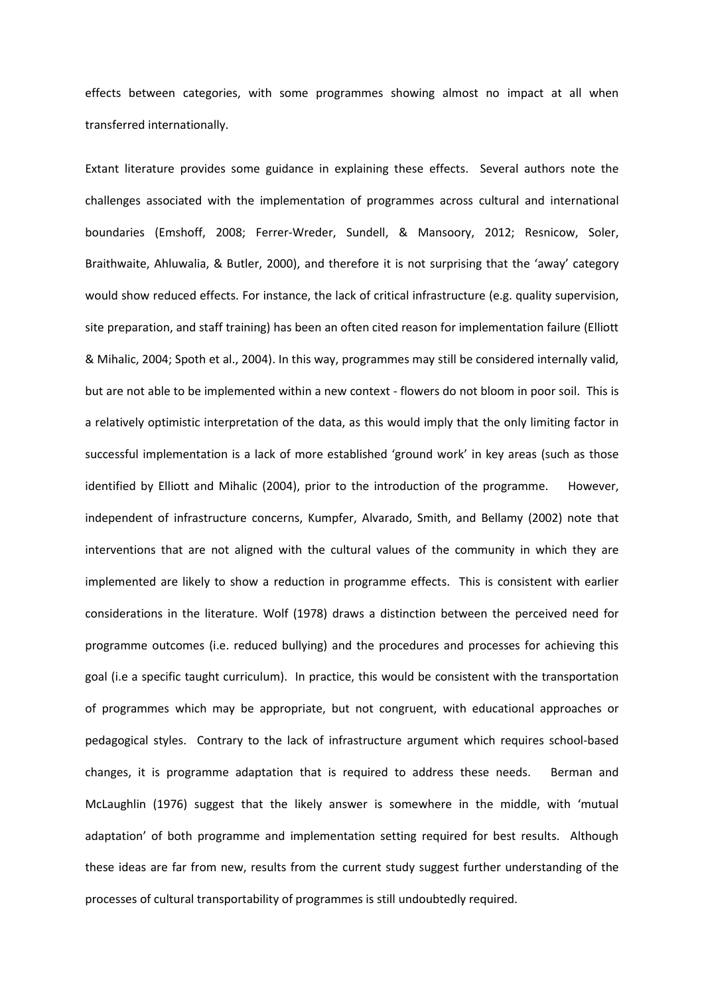effects between categories, with some programmes showing almost no impact at all when transferred internationally.

Extant literature provides some guidance in explaining these effects. Several authors note the challenges associated with the implementation of programmes across cultural and international boundaries (Emshoff, 2008; Ferrer-Wreder, Sundell, & Mansoory, 2012; Resnicow, Soler, Braithwaite, Ahluwalia, & Butler, 2000), and therefore it is not surprising that the 'away' category would show reduced effects. For instance, the lack of critical infrastructure (e.g. quality supervision, site preparation, and staff training) has been an often cited reason for implementation failure (Elliott & Mihalic, 2004; Spoth et al., 2004). In this way, programmes may still be considered internally valid, but are not able to be implemented within a new context - flowers do not bloom in poor soil. This is a relatively optimistic interpretation of the data, as this would imply that the only limiting factor in successful implementation is a lack of more established 'ground work' in key areas (such as those identified by Elliott and Mihalic (2004), prior to the introduction of the programme. However, independent of infrastructure concerns, Kumpfer, Alvarado, Smith, and Bellamy (2002) note that interventions that are not aligned with the cultural values of the community in which they are implemented are likely to show a reduction in programme effects. This is consistent with earlier considerations in the literature. Wolf (1978) draws a distinction between the perceived need for programme outcomes (i.e. reduced bullying) and the procedures and processes for achieving this goal (i.e a specific taught curriculum). In practice, this would be consistent with the transportation of programmes which may be appropriate, but not congruent, with educational approaches or pedagogical styles. Contrary to the lack of infrastructure argument which requires school-based changes, it is programme adaptation that is required to address these needs. Berman and McLaughlin (1976) suggest that the likely answer is somewhere in the middle, with 'mutual adaptation' of both programme and implementation setting required for best results. Although these ideas are far from new, results from the current study suggest further understanding of the processes of cultural transportability of programmes is still undoubtedly required.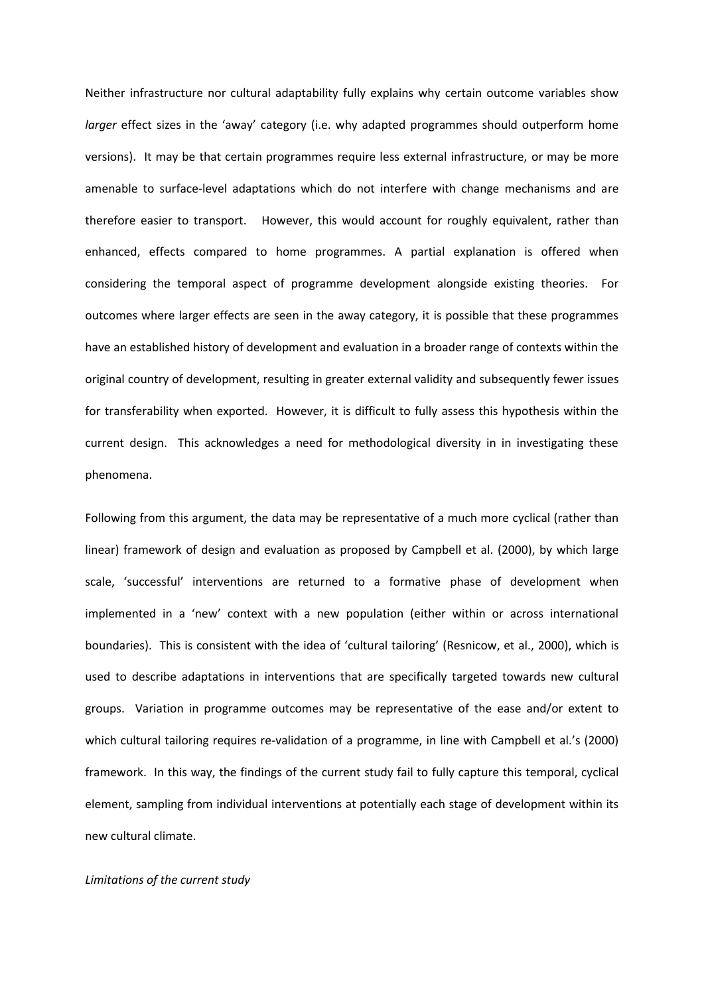Neither infrastructure nor cultural adaptability fully explains why certain outcome variables show *larger* effect sizes in the 'away' category (i.e. why adapted programmes should outperform home versions). It may be that certain programmes require less external infrastructure, or may be more amenable to surface-level adaptations which do not interfere with change mechanisms and are therefore easier to transport. However, this would account for roughly equivalent, rather than enhanced, effects compared to home programmes. A partial explanation is offered when considering the temporal aspect of programme development alongside existing theories. For outcomes where larger effects are seen in the away category, it is possible that these programmes have an established history of development and evaluation in a broader range of contexts within the original country of development, resulting in greater external validity and subsequently fewer issues for transferability when exported. However, it is difficult to fully assess this hypothesis within the current design. This acknowledges a need for methodological diversity in in investigating these phenomena.

Following from this argument, the data may be representative of a much more cyclical (rather than linear) framework of design and evaluation as proposed by Campbell et al. (2000), by which large scale, 'successful' interventions are returned to a formative phase of development when implemented in a 'new' context with a new population (either within or across international boundaries). This is consistent with the idea of 'cultural tailoring' (Resnicow, et al., 2000), which is used to describe adaptations in interventions that are specifically targeted towards new cultural groups. Variation in programme outcomes may be representative of the ease and/or extent to which cultural tailoring requires re-validation of a programme, in line with Campbell et al.'s (2000) framework. In this way, the findings of the current study fail to fully capture this temporal, cyclical element, sampling from individual interventions at potentially each stage of development within its new cultural climate.

# *Limitations of the current study*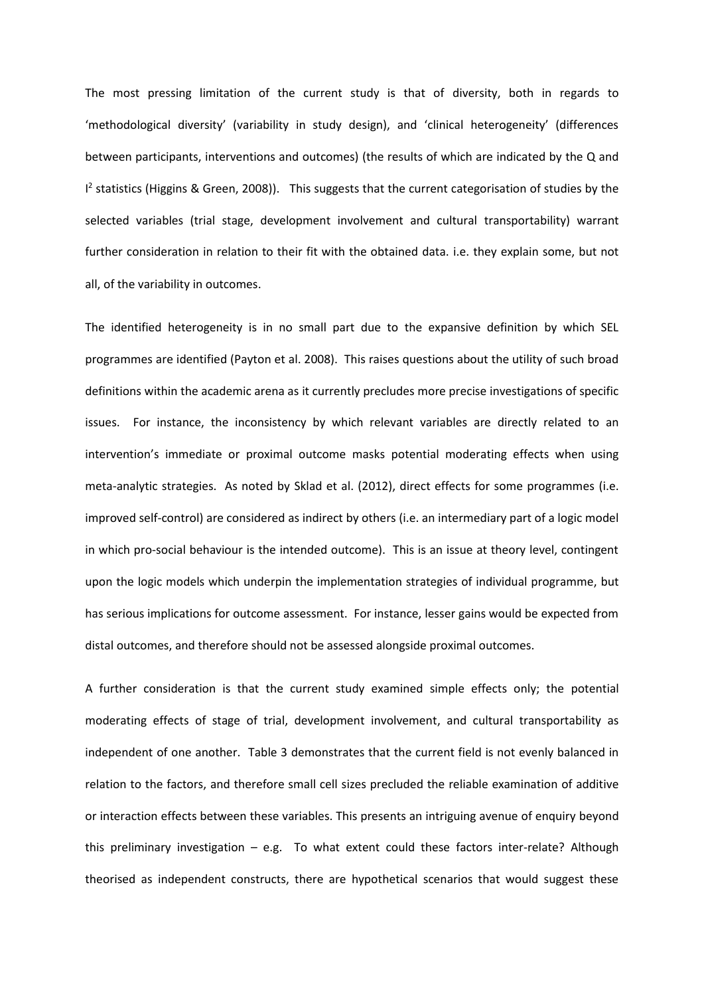The most pressing limitation of the current study is that of diversity, both in regards to 'methodological diversity' (variability in study design), and 'clinical heterogeneity' (differences between participants, interventions and outcomes) (the results of which are indicated by the Q and <sup>12</sup> statistics (Higgins & Green, 2008)). This suggests that the current categorisation of studies by the selected variables (trial stage, development involvement and cultural transportability) warrant further consideration in relation to their fit with the obtained data. i.e. they explain some, but not all, of the variability in outcomes.

The identified heterogeneity is in no small part due to the expansive definition by which SEL programmes are identified (Payton et al. 2008). This raises questions about the utility of such broad definitions within the academic arena as it currently precludes more precise investigations of specific issues. For instance, the inconsistency by which relevant variables are directly related to an intervention's immediate or proximal outcome masks potential moderating effects when using meta-analytic strategies. As noted by Sklad et al. (2012), direct effects for some programmes (i.e. improved self-control) are considered as indirect by others (i.e. an intermediary part of a logic model in which pro-social behaviour is the intended outcome). This is an issue at theory level, contingent upon the logic models which underpin the implementation strategies of individual programme, but has serious implications for outcome assessment. For instance, lesser gains would be expected from distal outcomes, and therefore should not be assessed alongside proximal outcomes.

A further consideration is that the current study examined simple effects only; the potential moderating effects of stage of trial, development involvement, and cultural transportability as independent of one another. Table 3 demonstrates that the current field is not evenly balanced in relation to the factors, and therefore small cell sizes precluded the reliable examination of additive or interaction effects between these variables. This presents an intriguing avenue of enquiry beyond this preliminary investigation – e.g. To what extent could these factors inter-relate? Although theorised as independent constructs, there are hypothetical scenarios that would suggest these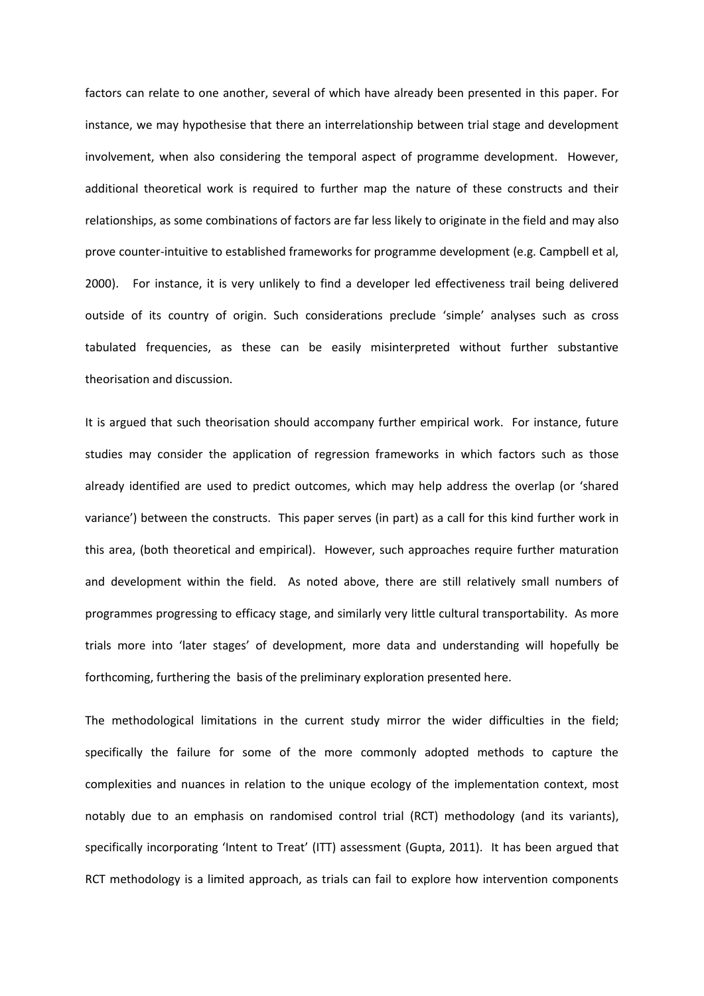factors can relate to one another, several of which have already been presented in this paper. For instance, we may hypothesise that there an interrelationship between trial stage and development involvement, when also considering the temporal aspect of programme development. However, additional theoretical work is required to further map the nature of these constructs and their relationships, as some combinations of factors are far less likely to originate in the field and may also prove counter-intuitive to established frameworks for programme development (e.g. Campbell et al, 2000). For instance, it is very unlikely to find a developer led effectiveness trail being delivered outside of its country of origin. Such considerations preclude 'simple' analyses such as cross tabulated frequencies, as these can be easily misinterpreted without further substantive theorisation and discussion.

It is argued that such theorisation should accompany further empirical work. For instance, future studies may consider the application of regression frameworks in which factors such as those already identified are used to predict outcomes, which may help address the overlap (or 'shared variance') between the constructs. This paper serves (in part) as a call for this kind further work in this area, (both theoretical and empirical). However, such approaches require further maturation and development within the field. As noted above, there are still relatively small numbers of programmes progressing to efficacy stage, and similarly very little cultural transportability. As more trials more into 'later stages' of development, more data and understanding will hopefully be forthcoming, furthering the basis of the preliminary exploration presented here.

The methodological limitations in the current study mirror the wider difficulties in the field; specifically the failure for some of the more commonly adopted methods to capture the complexities and nuances in relation to the unique ecology of the implementation context, most notably due to an emphasis on randomised control trial (RCT) methodology (and its variants), specifically incorporating 'Intent to Treat' (ITT) assessment (Gupta, 2011). It has been argued that RCT methodology is a limited approach, as trials can fail to explore how intervention components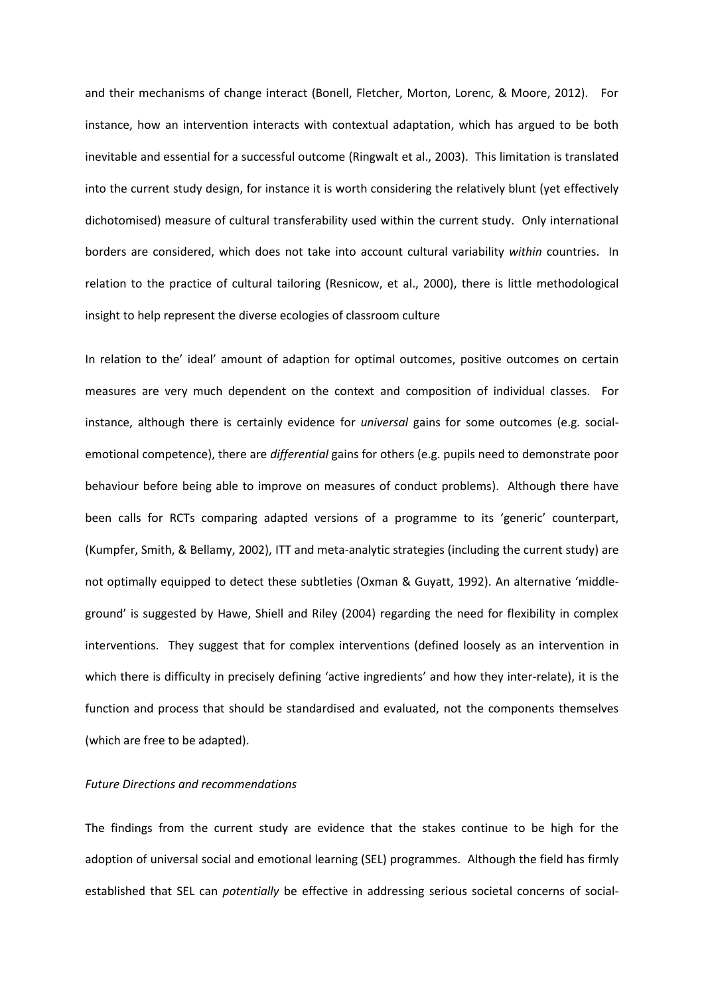and their mechanisms of change interact (Bonell, Fletcher, Morton, Lorenc, & Moore, 2012). For instance, how an intervention interacts with contextual adaptation, which has argued to be both inevitable and essential for a successful outcome (Ringwalt et al., 2003). This limitation is translated into the current study design, for instance it is worth considering the relatively blunt (yet effectively dichotomised) measure of cultural transferability used within the current study. Only international borders are considered, which does not take into account cultural variability *within* countries. In relation to the practice of cultural tailoring (Resnicow, et al., 2000), there is little methodological insight to help represent the diverse ecologies of classroom culture

In relation to the' ideal' amount of adaption for optimal outcomes, positive outcomes on certain measures are very much dependent on the context and composition of individual classes. For instance, although there is certainly evidence for *universal* gains for some outcomes (e.g. socialemotional competence), there are *differential* gains for others (e.g. pupils need to demonstrate poor behaviour before being able to improve on measures of conduct problems). Although there have been calls for RCTs comparing adapted versions of a programme to its 'generic' counterpart, (Kumpfer, Smith, & Bellamy, 2002), ITT and meta-analytic strategies (including the current study) are not optimally equipped to detect these subtleties (Oxman & Guyatt, 1992). An alternative 'middleground' is suggested by Hawe, Shiell and Riley (2004) regarding the need for flexibility in complex interventions. They suggest that for complex interventions (defined loosely as an intervention in which there is difficulty in precisely defining 'active ingredients' and how they inter-relate), it is the function and process that should be standardised and evaluated, not the components themselves (which are free to be adapted).

# *Future Directions and recommendations*

The findings from the current study are evidence that the stakes continue to be high for the adoption of universal social and emotional learning (SEL) programmes. Although the field has firmly established that SEL can *potentially* be effective in addressing serious societal concerns of social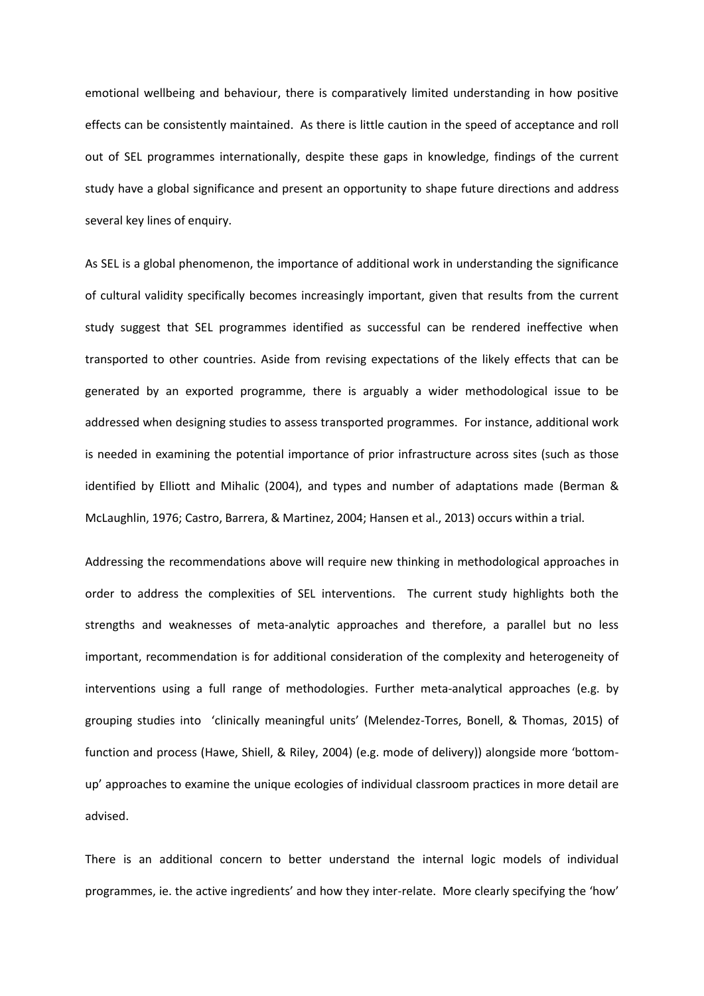emotional wellbeing and behaviour, there is comparatively limited understanding in how positive effects can be consistently maintained. As there is little caution in the speed of acceptance and roll out of SEL programmes internationally, despite these gaps in knowledge, findings of the current study have a global significance and present an opportunity to shape future directions and address several key lines of enquiry.

As SEL is a global phenomenon, the importance of additional work in understanding the significance of cultural validity specifically becomes increasingly important, given that results from the current study suggest that SEL programmes identified as successful can be rendered ineffective when transported to other countries. Aside from revising expectations of the likely effects that can be generated by an exported programme, there is arguably a wider methodological issue to be addressed when designing studies to assess transported programmes. For instance, additional work is needed in examining the potential importance of prior infrastructure across sites (such as those identified by Elliott and Mihalic (2004), and types and number of adaptations made (Berman & McLaughlin, 1976; Castro, Barrera, & Martinez, 2004; Hansen et al., 2013) occurs within a trial.

Addressing the recommendations above will require new thinking in methodological approaches in order to address the complexities of SEL interventions. The current study highlights both the strengths and weaknesses of meta-analytic approaches and therefore, a parallel but no less important, recommendation is for additional consideration of the complexity and heterogeneity of interventions using a full range of methodologies. Further meta-analytical approaches (e.g. by grouping studies into 'clinically meaningful units' (Melendez-Torres, Bonell, & Thomas, 2015) of function and process (Hawe, Shiell, & Riley, 2004) (e.g. mode of delivery)) alongside more 'bottomup' approaches to examine the unique ecologies of individual classroom practices in more detail are advised.

There is an additional concern to better understand the internal logic models of individual programmes, ie. the active ingredients' and how they inter-relate. More clearly specifying the 'how'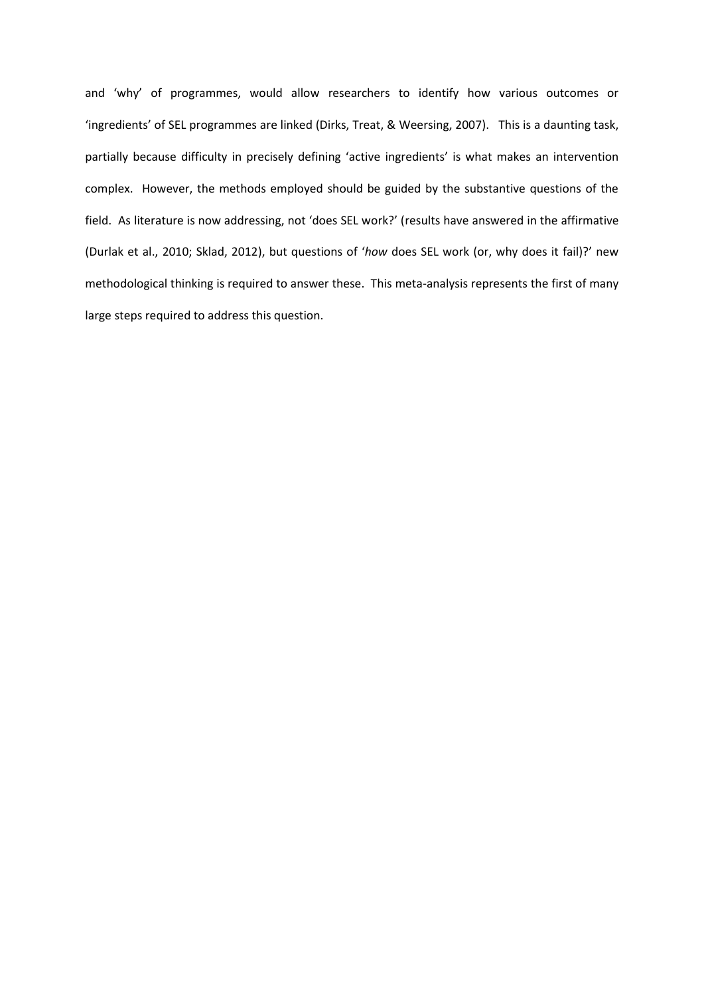and 'why' of programmes, would allow researchers to identify how various outcomes or 'ingredients' of SEL programmes are linked (Dirks, Treat, & Weersing, 2007). This is a daunting task, partially because difficulty in precisely defining 'active ingredients' is what makes an intervention complex. However, the methods employed should be guided by the substantive questions of the field. As literature is now addressing, not 'does SEL work?' (results have answered in the affirmative (Durlak et al., 2010; Sklad, 2012), but questions of '*how* does SEL work (or, why does it fail)?' new methodological thinking is required to answer these. This meta-analysis represents the first of many large steps required to address this question.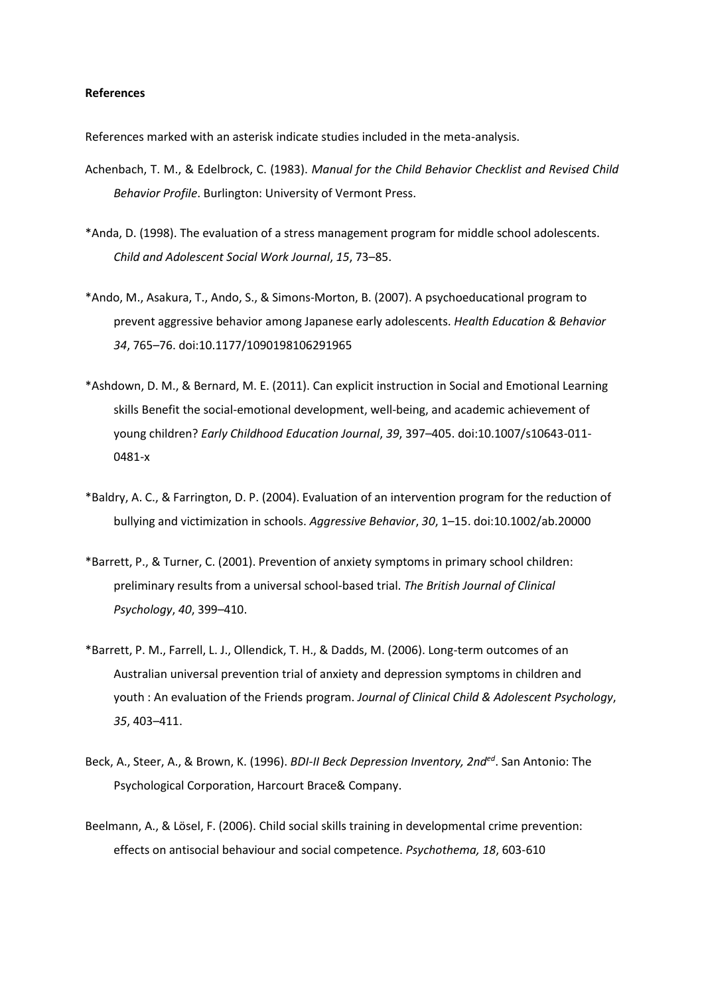# **References**

References marked with an asterisk indicate studies included in the meta-analysis.

- Achenbach, T. M., & Edelbrock, C. (1983). *Manual for the Child Behavior Checklist and Revised Child Behavior Profile*. Burlington: University of Vermont Press.
- \*Anda, D. (1998). The evaluation of a stress management program for middle school adolescents. *Child and Adolescent Social Work Journal*, *15*, 73–85.
- \*Ando, M., Asakura, T., Ando, S., & Simons-Morton, B. (2007). A psychoeducational program to prevent aggressive behavior among Japanese early adolescents. *Health Education & Behavior 34*, 765–76. doi:10.1177/1090198106291965
- \*Ashdown, D. M., & Bernard, M. E. (2011). Can explicit instruction in Social and Emotional Learning skills Benefit the social-emotional development, well-being, and academic achievement of young children? *Early Childhood Education Journal*, *39*, 397–405. doi:10.1007/s10643-011- 0481-x
- \*Baldry, A. C., & Farrington, D. P. (2004). Evaluation of an intervention program for the reduction of bullying and victimization in schools. *Aggressive Behavior*, *30*, 1–15. doi:10.1002/ab.20000
- \*Barrett, P., & Turner, C. (2001). Prevention of anxiety symptoms in primary school children: preliminary results from a universal school-based trial. *The British Journal of Clinical Psychology*, *40*, 399–410.
- \*Barrett, P. M., Farrell, L. J., Ollendick, T. H., & Dadds, M. (2006). Long-term outcomes of an Australian universal prevention trial of anxiety and depression symptoms in children and youth : An evaluation of the Friends program. *Journal of Clinical Child & Adolescent Psychology*, *35*, 403–411.
- Beck, A., Steer, A., & Brown, K. (1996). *BDI-II Beck Depression Inventory, 2nded*. San Antonio: The Psychological Corporation, Harcourt Brace& Company.
- Beelmann, A., & Lösel, F. (2006). Child social skills training in developmental crime prevention: effects on antisocial behaviour and social competence. *Psychothema, 18*, 603-610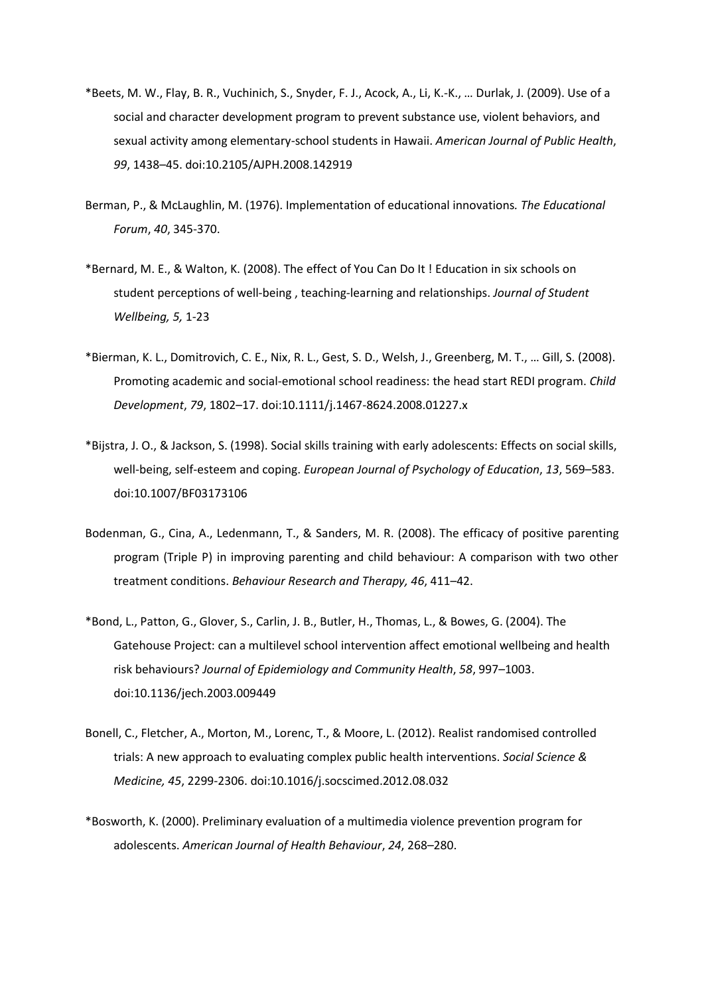- \*Beets, M. W., Flay, B. R., Vuchinich, S., Snyder, F. J., Acock, A., Li, K.-K., … Durlak, J. (2009). Use of a social and character development program to prevent substance use, violent behaviors, and sexual activity among elementary-school students in Hawaii. *American Journal of Public Health*, *99*, 1438–45. doi:10.2105/AJPH.2008.142919
- Berman, P., & McLaughlin, M. (1976). Implementation of educational innovations*. The Educational Forum*, *40*, 345-370.
- \*Bernard, M. E., & Walton, K. (2008). The effect of You Can Do It ! Education in six schools on student perceptions of well-being , teaching-learning and relationships. *Journal of Student Wellbeing, 5,* 1-23
- \*Bierman, K. L., Domitrovich, C. E., Nix, R. L., Gest, S. D., Welsh, J., Greenberg, M. T., … Gill, S. (2008). Promoting academic and social-emotional school readiness: the head start REDI program. *Child Development*, *79*, 1802–17. doi:10.1111/j.1467-8624.2008.01227.x
- \*Bijstra, J. O., & Jackson, S. (1998). Social skills training with early adolescents: Effects on social skills, well-being, self-esteem and coping. *European Journal of Psychology of Education*, *13*, 569–583. doi:10.1007/BF03173106
- Bodenman, G., Cina, A., Ledenmann, T., & Sanders, M. R. (2008). The efficacy of positive parenting program (Triple P) in improving parenting and child behaviour: A comparison with two other treatment conditions. *Behaviour Research and Therapy, 46*, 411–42.
- \*Bond, L., Patton, G., Glover, S., Carlin, J. B., Butler, H., Thomas, L., & Bowes, G. (2004). The Gatehouse Project: can a multilevel school intervention affect emotional wellbeing and health risk behaviours? *Journal of Epidemiology and Community Health*, *58*, 997–1003. doi:10.1136/jech.2003.009449
- Bonell, C., Fletcher, A., Morton, M., Lorenc, T., & Moore, L. (2012). Realist randomised controlled trials: A new approach to evaluating complex public health interventions. *Social Science & Medicine, 45*, 2299-2306. doi:10.1016/j.socscimed.2012.08.032
- \*Bosworth, K. (2000). Preliminary evaluation of a multimedia violence prevention program for adolescents. *American Journal of Health Behaviour*, *24*, 268–280.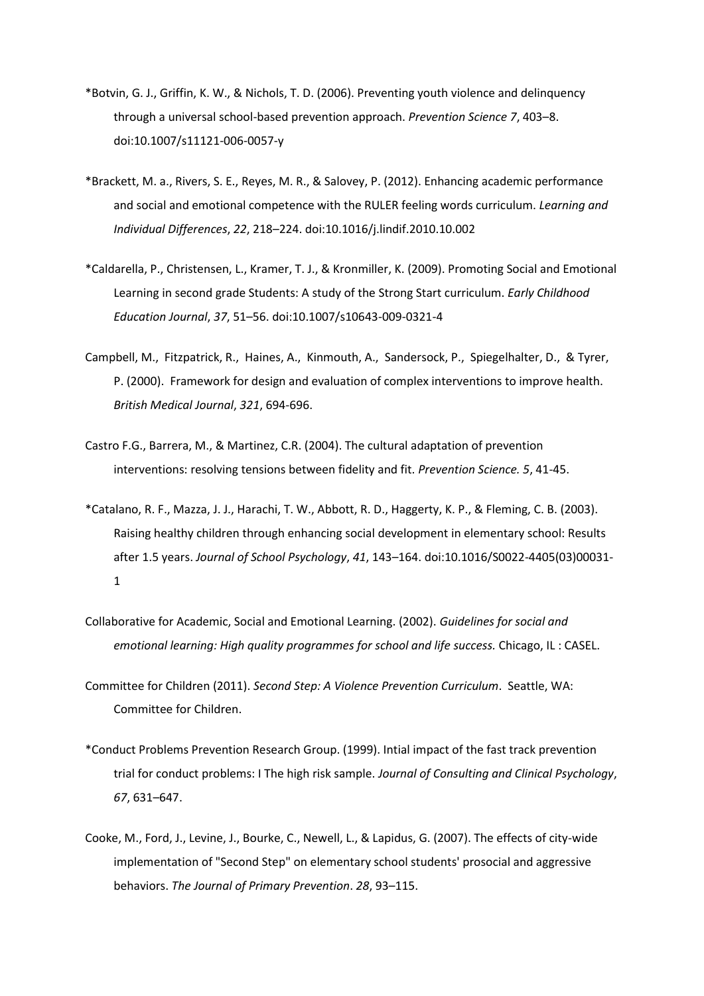- \*Botvin, G. J., Griffin, K. W., & Nichols, T. D. (2006). Preventing youth violence and delinquency through a universal school-based prevention approach. *Prevention Science 7*, 403–8. doi:10.1007/s11121-006-0057-y
- \*Brackett, M. a., Rivers, S. E., Reyes, M. R., & Salovey, P. (2012). Enhancing academic performance and social and emotional competence with the RULER feeling words curriculum. *Learning and Individual Differences*, *22*, 218–224. doi:10.1016/j.lindif.2010.10.002
- \*Caldarella, P., Christensen, L., Kramer, T. J., & Kronmiller, K. (2009). Promoting Social and Emotional Learning in second grade Students: A study of the Strong Start curriculum. *Early Childhood Education Journal*, *37*, 51–56. doi:10.1007/s10643-009-0321-4
- Campbell, M., Fitzpatrick, R., Haines, A., Kinmouth, A., Sandersock, P., Spiegelhalter, D., & Tyrer, P. (2000). Framework for design and evaluation of complex interventions to improve health. *British Medical Journal*, *321*, 694-696.
- Castro F.G., Barrera, M., & Martinez, C.R. (2004). The cultural adaptation of prevention interventions: resolving tensions between fidelity and fit. *Prevention Science. 5*, 41-45.
- \*Catalano, R. F., Mazza, J. J., Harachi, T. W., Abbott, R. D., Haggerty, K. P., & Fleming, C. B. (2003). Raising healthy children through enhancing social development in elementary school: Results after 1.5 years. *Journal of School Psychology*, *41*, 143–164. doi:10.1016/S0022-4405(03)00031- 1
- Collaborative for Academic, Social and Emotional Learning. (2002). *Guidelines for social and emotional learning: High quality programmes for school and life success.* Chicago, IL : CASEL.
- Committee for Children (2011). *Second Step: A Violence Prevention Curriculum*. Seattle, WA: Committee for Children.
- \*Conduct Problems Prevention Research Group. (1999). Intial impact of the fast track prevention trial for conduct problems: I The high risk sample. *Journal of Consulting and Clinical Psychology*, *67*, 631–647.
- Cooke, M., Ford, J., Levine, J., Bourke, C., Newell, L., & Lapidus, G. (2007). The effects of city-wide implementation of "Second Step" on elementary school students' prosocial and aggressive behaviors. *The Journal of Primary Prevention*. *28*, 93–115.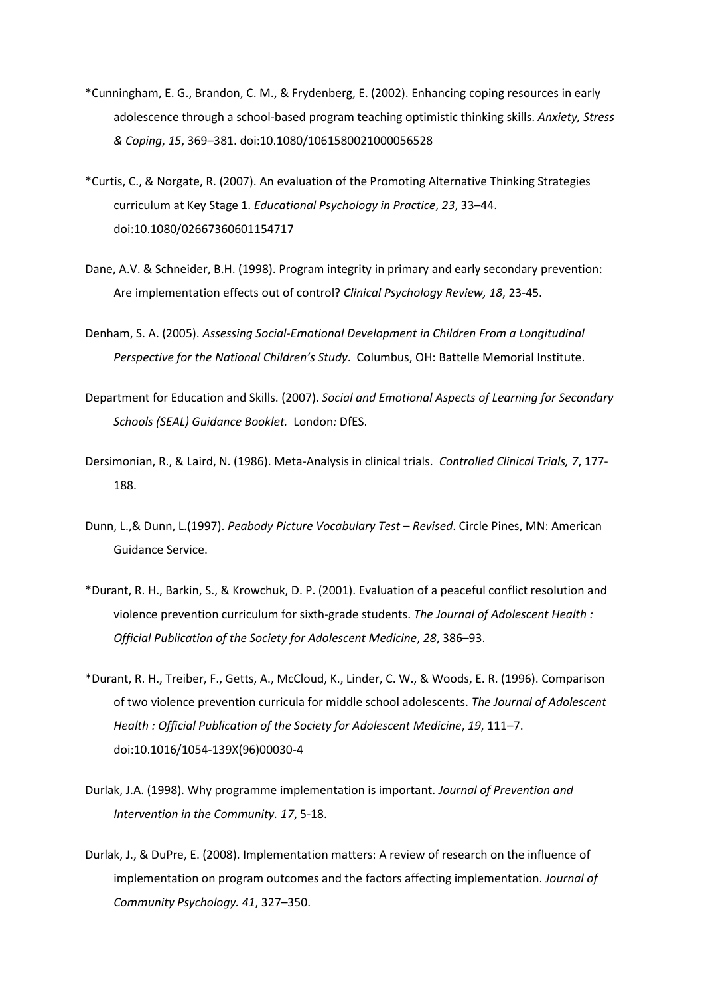- \*Cunningham, E. G., Brandon, C. M., & Frydenberg, E. (2002). Enhancing coping resources in early adolescence through a school-based program teaching optimistic thinking skills. *Anxiety, Stress & Coping*, *15*, 369–381. doi:10.1080/1061580021000056528
- \*Curtis, C., & Norgate, R. (2007). An evaluation of the Promoting Alternative Thinking Strategies curriculum at Key Stage 1. *Educational Psychology in Practice*, *23*, 33–44. doi:10.1080/02667360601154717
- Dane, A.V. & Schneider, B.H. (1998). Program integrity in primary and early secondary prevention: Are implementation effects out of control? *Clinical Psychology Review, 18*, 23-45.
- Denham, S. A. (2005). *Assessing Social-Emotional Development in Children From a Longitudinal Perspective for the National Children's Study*. Columbus, OH: Battelle Memorial Institute.
- Department for Education and Skills. (2007). *Social and Emotional Aspects of Learning for Secondary Schools (SEAL) Guidance Booklet.* London*:* DfES.
- Dersimonian, R., & Laird, N. (1986). Meta-Analysis in clinical trials. *Controlled Clinical Trials, 7*, 177- 188.
- Dunn, L.,& Dunn, L.(1997). *Peabody Picture Vocabulary Test – Revised*. Circle Pines, MN: American Guidance Service.
- \*Durant, R. H., Barkin, S., & Krowchuk, D. P. (2001). Evaluation of a peaceful conflict resolution and violence prevention curriculum for sixth-grade students. *The Journal of Adolescent Health : Official Publication of the Society for Adolescent Medicine*, *28*, 386–93.
- \*Durant, R. H., Treiber, F., Getts, A., McCloud, K., Linder, C. W., & Woods, E. R. (1996). Comparison of two violence prevention curricula for middle school adolescents. *The Journal of Adolescent Health : Official Publication of the Society for Adolescent Medicine*, *19*, 111–7. doi:10.1016/1054-139X(96)00030-4
- Durlak, J.A. (1998). Why programme implementation is important. *Journal of Prevention and Intervention in the Community. 17*, 5-18.
- Durlak, J., & DuPre, E. (2008). Implementation matters: A review of research on the influence of implementation on program outcomes and the factors affecting implementation. *Journal of Community Psychology. 41*, 327–350.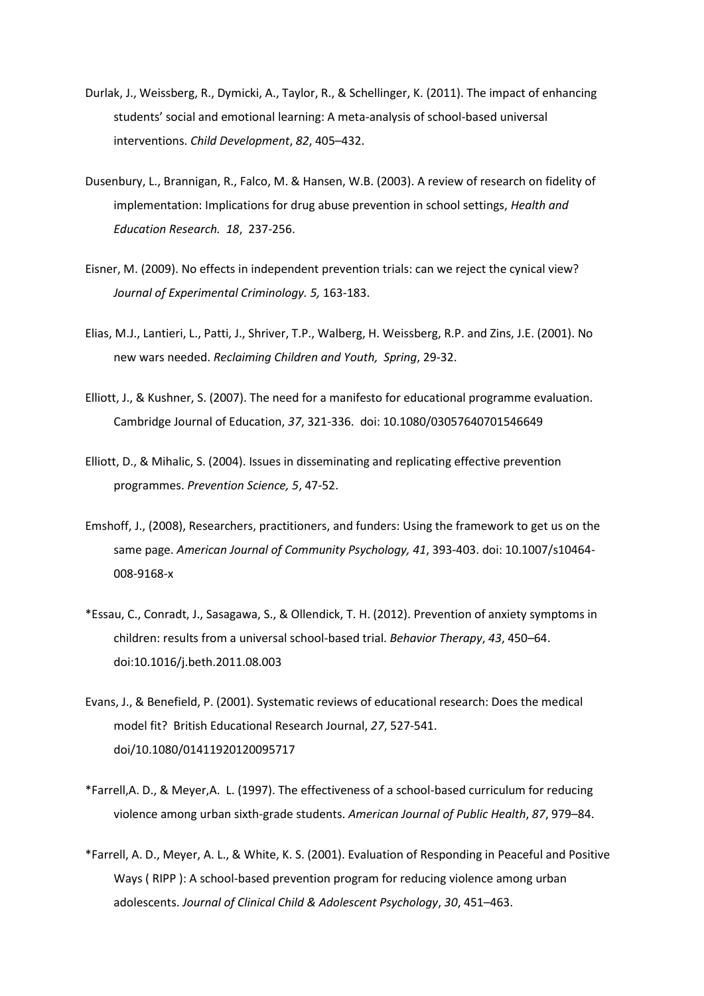- Durlak, J., Weissberg, R., Dymicki, A., Taylor, R., & Schellinger, K. (2011). The impact of enhancing students' social and emotional learning: A meta-analysis of school-based universal interventions. *Child Development*, *82*, 405–432.
- Dusenbury, L., Brannigan, R., Falco, M. & Hansen, W.B. (2003). A review of research on fidelity of implementation: Implications for drug abuse prevention in school settings, *Health and Education Research. 18*, 237-256.
- Eisner, M. (2009). No effects in independent prevention trials: can we reject the cynical view? *Journal of Experimental Criminology. 5,* 163-183.
- Elias, M.J., Lantieri, L., Patti, J., Shriver, T.P., Walberg, H. Weissberg, R.P. and Zins, J.E. (2001). No new wars needed. *Reclaiming Children and Youth, Spring*, 29-32.
- Elliott, J., & Kushner, S. (2007). The need for a manifesto for educational programme evaluation. Cambridge Journal of Education, *37*, 321-336. doi: 10.1080/03057640701546649
- Elliott, D., & Mihalic, S. (2004). Issues in disseminating and replicating effective prevention programmes. *Prevention Science, 5*, 47-52.
- Emshoff, J., (2008), Researchers, practitioners, and funders: Using the framework to get us on the same page. *American Journal of Community Psychology, 41*, 393-403. doi: 10.1007/s10464- 008-9168-x
- \*Essau, C., Conradt, J., Sasagawa, S., & Ollendick, T. H. (2012). Prevention of anxiety symptoms in children: results from a universal school-based trial. *Behavior Therapy*, *43*, 450–64. doi:10.1016/j.beth.2011.08.003
- Evans, J., & Benefield, P. (2001). Systematic reviews of educational research: Does the medical model fit? British Educational Research Journal, *27*, 527-541. doi/10.1080/01411920120095717
- \*Farrell,A. D., & Meyer,A. L. (1997). The effectiveness of a school-based curriculum for reducing violence among urban sixth-grade students. *American Journal of Public Health*, *87*, 979–84.
- \*Farrell, A. D., Meyer, A. L., & White, K. S. (2001). Evaluation of Responding in Peaceful and Positive Ways ( RIPP ): A school-based prevention program for reducing violence among urban adolescents. *Journal of Clinical Child & Adolescent Psychology*, *30*, 451–463.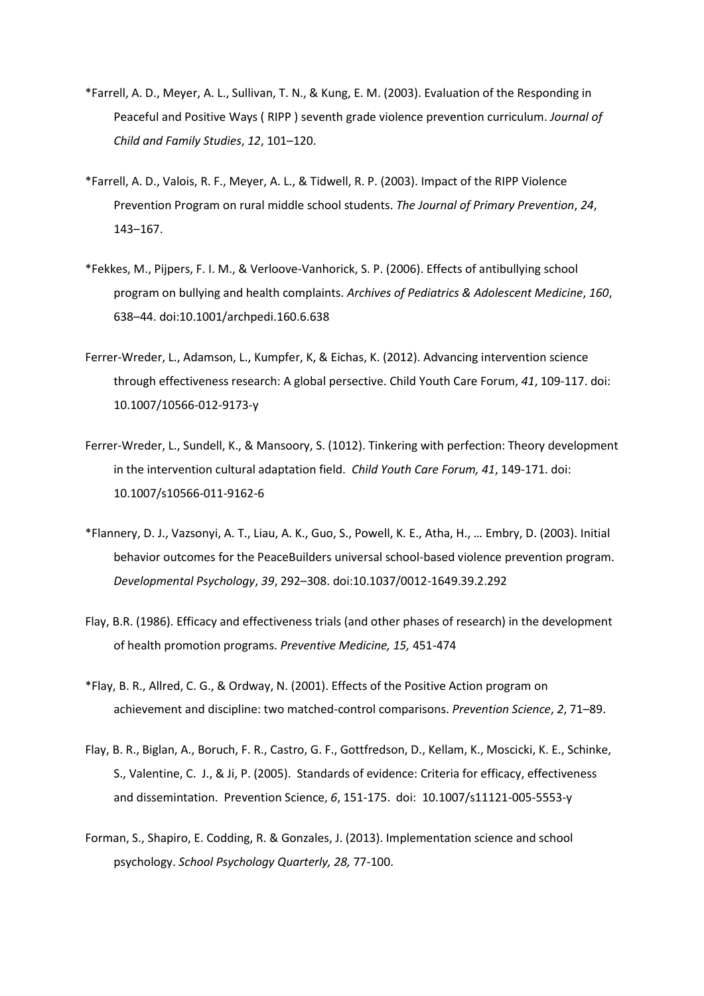- \*Farrell, A. D., Meyer, A. L., Sullivan, T. N., & Kung, E. M. (2003). Evaluation of the Responding in Peaceful and Positive Ways ( RIPP ) seventh grade violence prevention curriculum. *Journal of Child and Family Studies*, *12*, 101–120.
- \*Farrell, A. D., Valois, R. F., Meyer, A. L., & Tidwell, R. P. (2003). Impact of the RIPP Violence Prevention Program on rural middle school students. *The Journal of Primary Prevention*, *24*, 143–167.
- \*Fekkes, M., Pijpers, F. I. M., & Verloove-Vanhorick, S. P. (2006). Effects of antibullying school program on bullying and health complaints. *Archives of Pediatrics & Adolescent Medicine*, *160*, 638–44. doi:10.1001/archpedi.160.6.638
- Ferrer-Wreder, L., Adamson, L., Kumpfer, K, & Eichas, K. (2012). Advancing intervention science through effectiveness research: A global persective. Child Youth Care Forum, *41*, 109-117. doi: 10.1007/10566-012-9173-y
- Ferrer-Wreder, L., Sundell, K., & Mansoory, S. (1012). Tinkering with perfection: Theory development in the intervention cultural adaptation field. *Child Youth Care Forum, 41*, 149-171. doi: 10.1007/s10566-011-9162-6
- \*Flannery, D. J., Vazsonyi, A. T., Liau, A. K., Guo, S., Powell, K. E., Atha, H., … Embry, D. (2003). Initial behavior outcomes for the PeaceBuilders universal school-based violence prevention program. *Developmental Psychology*, *39*, 292–308. doi:10.1037/0012-1649.39.2.292
- Flay, B.R. (1986). Efficacy and effectiveness trials (and other phases of research) in the development of health promotion programs. *Preventive Medicine, 15,* 451-474
- \*Flay, B. R., Allred, C. G., & Ordway, N. (2001). Effects of the Positive Action program on achievement and discipline: two matched-control comparisons. *Prevention Science*, *2*, 71–89.
- Flay, B. R., Biglan, A., Boruch, F. R., Castro, G. F., Gottfredson, D., Kellam, K., Moscicki, K. E., Schinke, S., Valentine, C. J., & Ji, P. (2005). Standards of evidence: Criteria for efficacy, effectiveness and dissemintation. Prevention Science, *6*, 151-175. doi: 10.1007/s11121-005-5553-y
- Forman, S., Shapiro, E. Codding, R. & Gonzales, J. (2013). Implementation science and school psychology. *School Psychology Quarterly, 28,* 77-100.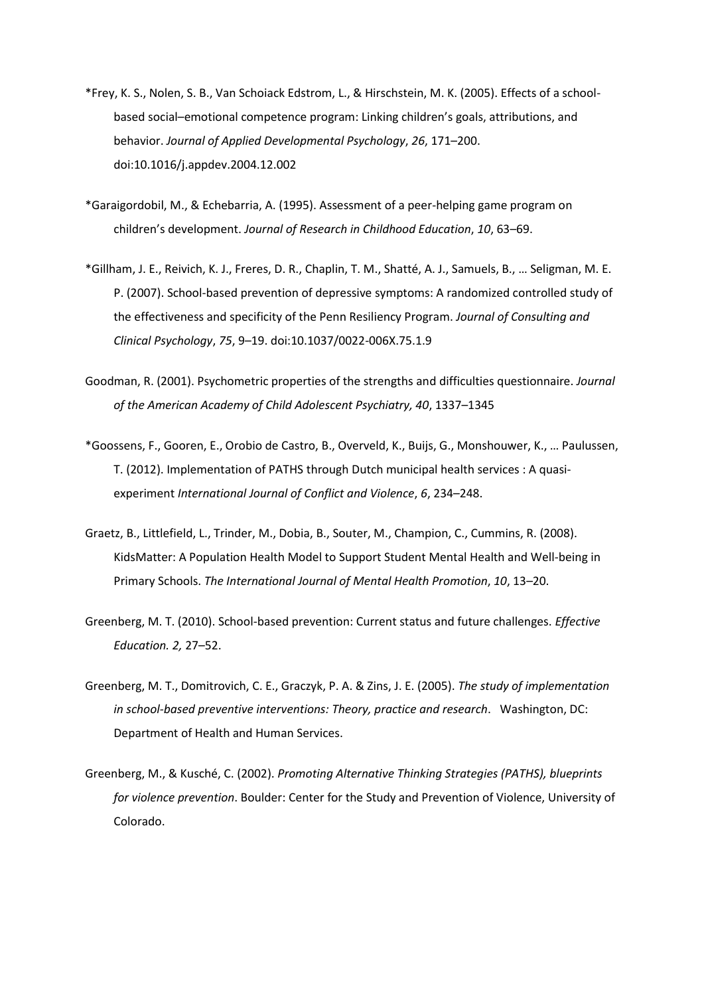- \*Frey, K. S., Nolen, S. B., Van Schoiack Edstrom, L., & Hirschstein, M. K. (2005). Effects of a schoolbased social–emotional competence program: Linking children's goals, attributions, and behavior. *Journal of Applied Developmental Psychology*, *26*, 171–200. doi:10.1016/j.appdev.2004.12.002
- \*Garaigordobil, M., & Echebarria, A. (1995). Assessment of a peer-helping game program on children's development. *Journal of Research in Childhood Education*, *10*, 63–69.
- \*Gillham, J. E., Reivich, K. J., Freres, D. R., Chaplin, T. M., Shatté, A. J., Samuels, B., … Seligman, M. E. P. (2007). School-based prevention of depressive symptoms: A randomized controlled study of the effectiveness and specificity of the Penn Resiliency Program. *Journal of Consulting and Clinical Psychology*, *75*, 9–19. doi:10.1037/0022-006X.75.1.9
- Goodman, R. (2001). Psychometric properties of the strengths and difficulties questionnaire. *Journal of the American Academy of Child Adolescent Psychiatry, 40*, 1337–1345
- \*Goossens, F., Gooren, E., Orobio de Castro, B., Overveld, K., Buijs, G., Monshouwer, K., … Paulussen, T. (2012). Implementation of PATHS through Dutch municipal health services : A quasiexperiment *International Journal of Conflict and Violence*, *6*, 234–248.
- Graetz, B., Littlefield, L., Trinder, M., Dobia, B., Souter, M., Champion, C., Cummins, R. (2008). KidsMatter: A Population Health Model to Support Student Mental Health and Well-being in Primary Schools. *The International Journal of Mental Health Promotion*, *10*, 13–20.
- Greenberg, M. T. (2010). School-based prevention: Current status and future challenges. *Effective Education. 2,* 27–52.
- Greenberg, M. T., Domitrovich, C. E., Graczyk, P. A. & Zins, J. E. (2005). *The study of implementation in school-based preventive interventions: Theory, practice and research*. Washington, DC: Department of Health and Human Services.
- Greenberg, M., & Kusché, C. (2002). *Promoting Alternative Thinking Strategies (PATHS), blueprints for violence prevention*. Boulder: Center for the Study and Prevention of Violence, University of Colorado.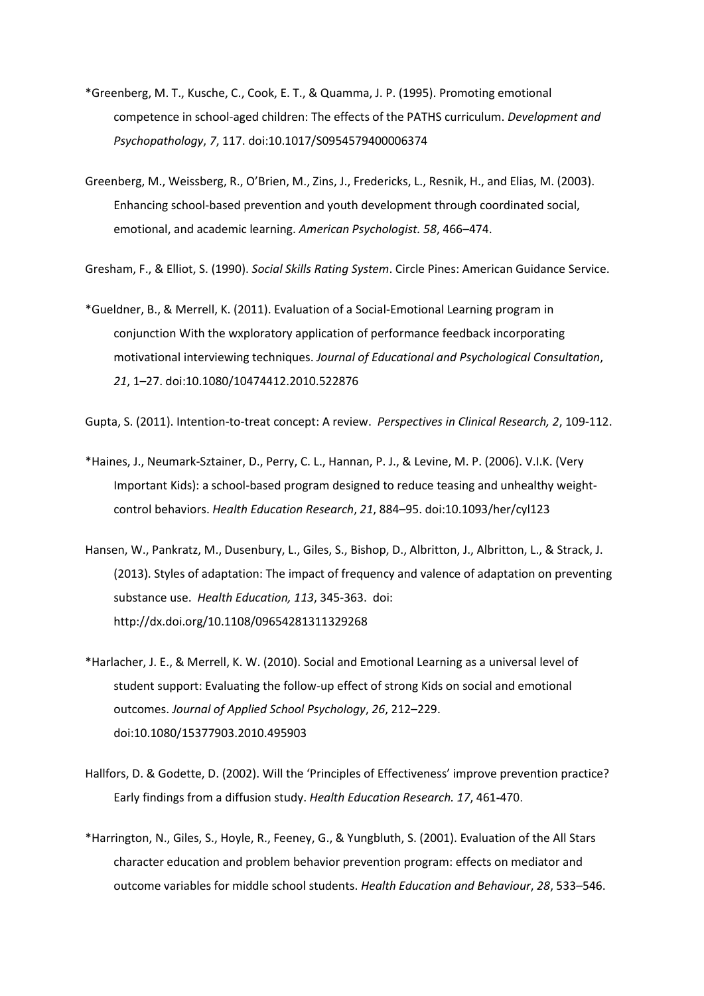- \*Greenberg, M. T., Kusche, C., Cook, E. T., & Quamma, J. P. (1995). Promoting emotional competence in school-aged children: The effects of the PATHS curriculum. *Development and Psychopathology*, *7*, 117. doi:10.1017/S0954579400006374
- Greenberg, M., Weissberg, R., O'Brien, M., Zins, J., Fredericks, L., Resnik, H., and Elias, M. (2003). Enhancing school-based prevention and youth development through coordinated social, emotional, and academic learning. *American Psychologist. 58*, 466–474.

Gresham, F., & Elliot, S. (1990). *Social Skills Rating System*. Circle Pines: American Guidance Service.

\*Gueldner, B., & Merrell, K. (2011). Evaluation of a Social-Emotional Learning program in conjunction With the wxploratory application of performance feedback incorporating motivational interviewing techniques. *Journal of Educational and Psychological Consultation*, *21*, 1–27. doi:10.1080/10474412.2010.522876

Gupta, S. (2011). Intention-to-treat concept: A review. *Perspectives in Clinical Research, 2*, 109-112.

- \*Haines, J., Neumark-Sztainer, D., Perry, C. L., Hannan, P. J., & Levine, M. P. (2006). V.I.K. (Very Important Kids): a school-based program designed to reduce teasing and unhealthy weightcontrol behaviors. *Health Education Research*, *21*, 884–95. doi:10.1093/her/cyl123
- Hansen, W., Pankratz, M., Dusenbury, L., Giles, S., Bishop, D., Albritton, J., Albritton, L., & Strack, J. (2013). Styles of adaptation: The impact of frequency and valence of adaptation on preventing substance use. *Health Education, 113*, 345-363. doi: http://dx.doi.org/10.1108/09654281311329268
- \*Harlacher, J. E., & Merrell, K. W. (2010). Social and Emotional Learning as a universal level of student support: Evaluating the follow-up effect of strong Kids on social and emotional outcomes. *Journal of Applied School Psychology*, *26*, 212–229. doi:10.1080/15377903.2010.495903
- Hallfors, D. & Godette, D. (2002). Will the 'Principles of Effectiveness' improve prevention practice? Early findings from a diffusion study. *Health Education Research. 17*, 461-470.
- \*Harrington, N., Giles, S., Hoyle, R., Feeney, G., & Yungbluth, S. (2001). Evaluation of the All Stars character education and problem behavior prevention program: effects on mediator and outcome variables for middle school students. *Health Education and Behaviour*, *28*, 533–546.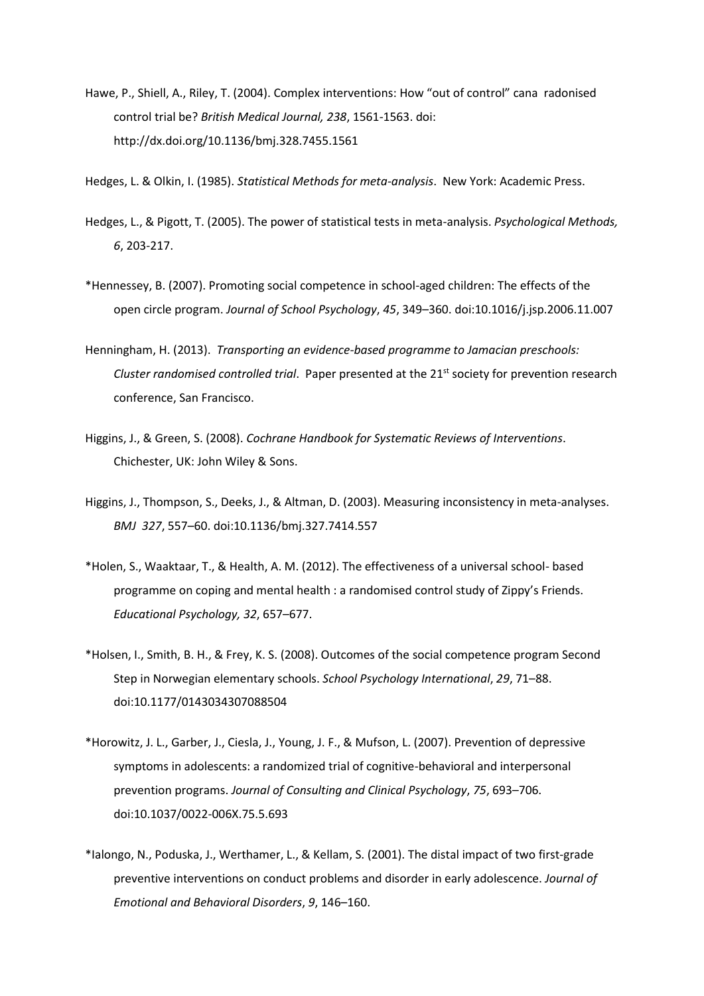Hawe, P., Shiell, A., Riley, T. (2004). Complex interventions: How "out of control" cana radonised control trial be? *British Medical Journal, 238*, 1561-1563. doi: http://dx.doi.org/10.1136/bmj.328.7455.1561

Hedges, L. & Olkin, I. (1985). *Statistical Methods for meta-analysis*. New York: Academic Press.

- Hedges, L., & Pigott, T. (2005). The power of statistical tests in meta-analysis. *Psychological Methods, 6*, 203-217.
- \*Hennessey, B. (2007). Promoting social competence in school-aged children: The effects of the open circle program. *Journal of School Psychology*, *45*, 349–360. doi:10.1016/j.jsp.2006.11.007
- Henningham, H. (2013). *Transporting an evidence-based programme to Jamacian preschools: Cluster randomised controlled trial*. Paper presented at the 21st society for prevention research conference, San Francisco.
- Higgins, J., & Green, S. (2008). *Cochrane Handbook for Systematic Reviews of Interventions*. Chichester, UK: John Wiley & Sons.
- Higgins, J., Thompson, S., Deeks, J., & Altman, D. (2003). Measuring inconsistency in meta-analyses. *BMJ 327*, 557–60. doi:10.1136/bmj.327.7414.557
- \*Holen, S., Waaktaar, T., & Health, A. M. (2012). The effectiveness of a universal school- based programme on coping and mental health : a randomised control study of Zippy's Friends. *Educational Psychology, 32*, 657–677.
- \*Holsen, I., Smith, B. H., & Frey, K. S. (2008). Outcomes of the social competence program Second Step in Norwegian elementary schools. *School Psychology International*, *29*, 71–88. doi:10.1177/0143034307088504
- \*Horowitz, J. L., Garber, J., Ciesla, J., Young, J. F., & Mufson, L. (2007). Prevention of depressive symptoms in adolescents: a randomized trial of cognitive-behavioral and interpersonal prevention programs. *Journal of Consulting and Clinical Psychology*, *75*, 693–706. doi:10.1037/0022-006X.75.5.693
- \*Ialongo, N., Poduska, J., Werthamer, L., & Kellam, S. (2001). The distal impact of two first-grade preventive interventions on conduct problems and disorder in early adolescence. *Journal of Emotional and Behavioral Disorders*, *9*, 146–160.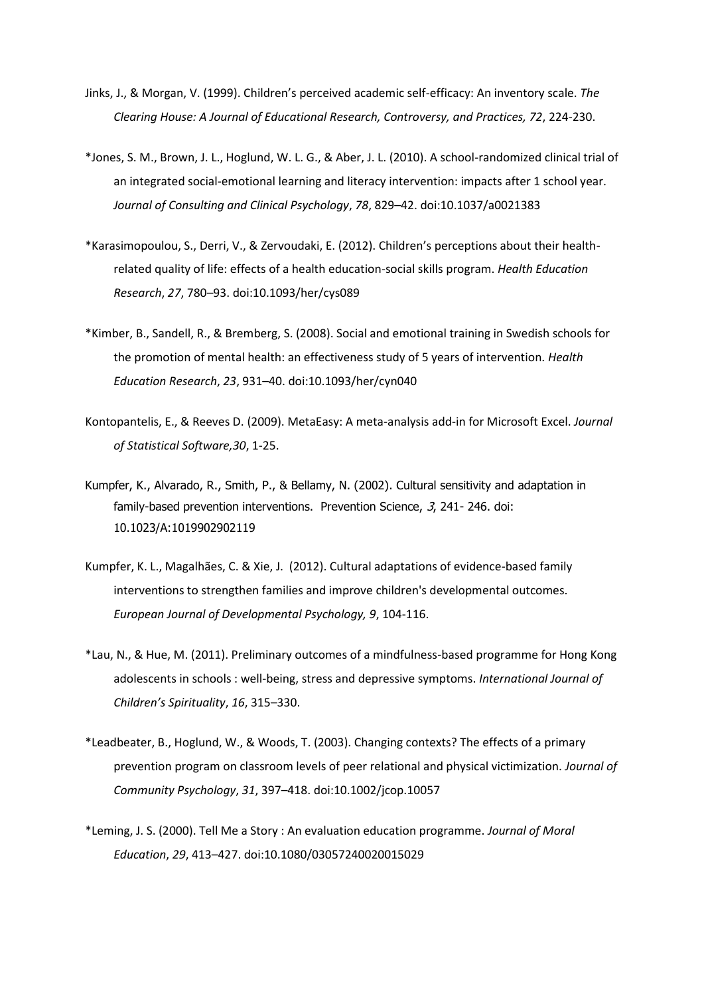- Jinks, J., & Morgan, V. (1999). Children's perceived academic self-efficacy: An inventory scale. *The Clearing House: A Journal of Educational Research, Controversy, and Practices, 72*, 224-230.
- \*Jones, S. M., Brown, J. L., Hoglund, W. L. G., & Aber, J. L. (2010). A school-randomized clinical trial of an integrated social-emotional learning and literacy intervention: impacts after 1 school year. *Journal of Consulting and Clinical Psychology*, *78*, 829–42. doi:10.1037/a0021383
- \*Karasimopoulou, S., Derri, V., & Zervoudaki, E. (2012). Children's perceptions about their healthrelated quality of life: effects of a health education-social skills program. *Health Education Research*, *27*, 780–93. doi:10.1093/her/cys089
- \*Kimber, B., Sandell, R., & Bremberg, S. (2008). Social and emotional training in Swedish schools for the promotion of mental health: an effectiveness study of 5 years of intervention. *Health Education Research*, *23*, 931–40. doi:10.1093/her/cyn040
- Kontopantelis, E., & Reeves D. (2009). MetaEasy: A meta-analysis add-in for Microsoft Excel. *Journal of Statistical Software,30*, 1-25.
- Kumpfer, K., Alvarado, R., Smith, P., & Bellamy, N. (2002). Cultural sensitivity and adaptation in family-based prevention interventions. Prevention Science, 3, 241- 246. doi: 10.1023/A:1019902902119
- Kumpfer, K. L., Magalhães, C. & Xie, J. (2012). Cultural adaptations of evidence-based family interventions to strengthen families and improve children's developmental outcomes. *European Journal of Developmental Psychology, 9*, 104-116.
- \*Lau, N., & Hue, M. (2011). Preliminary outcomes of a mindfulness-based programme for Hong Kong adolescents in schools : well-being, stress and depressive symptoms. *International Journal of Children's Spirituality*, *16*, 315–330.
- \*Leadbeater, B., Hoglund, W., & Woods, T. (2003). Changing contexts? The effects of a primary prevention program on classroom levels of peer relational and physical victimization. *Journal of Community Psychology*, *31*, 397–418. doi:10.1002/jcop.10057
- \*Leming, J. S. (2000). Tell Me a Story : An evaluation education programme. *Journal of Moral Education*, *29*, 413–427. doi:10.1080/03057240020015029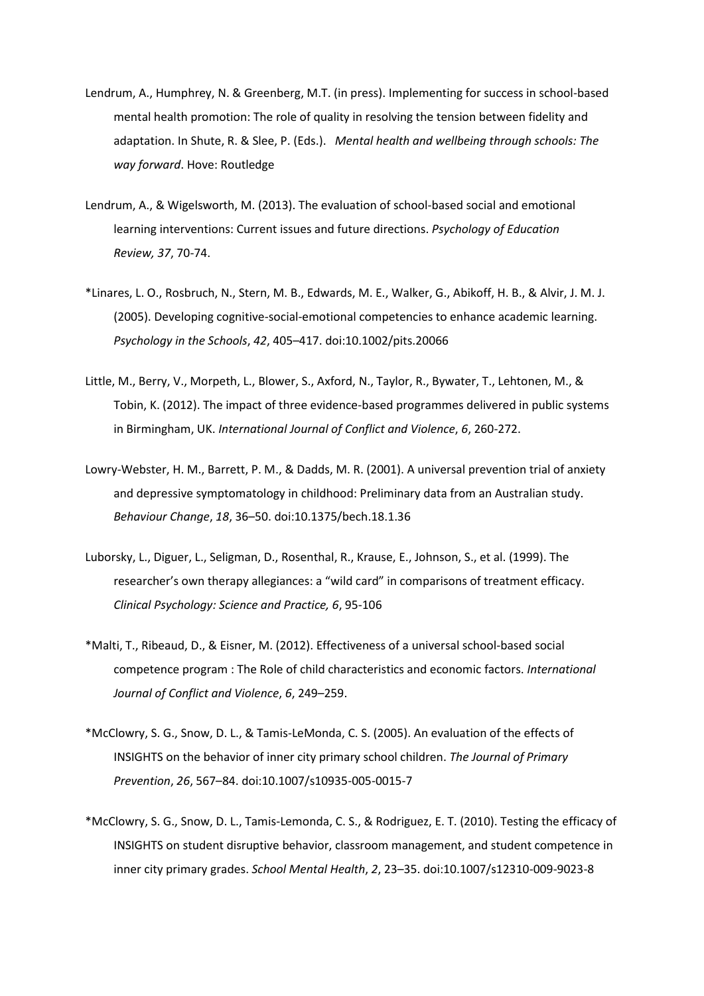- Lendrum, A., Humphrey, N. & Greenberg, M.T. (in press). Implementing for success in school-based mental health promotion: The role of quality in resolving the tension between fidelity and adaptation. In Shute, R. & Slee, P. (Eds.). *Mental health and wellbeing through schools: The way forward*. Hove: Routledge
- Lendrum, A., & Wigelsworth, M. (2013). The evaluation of school-based social and emotional learning interventions: Current issues and future directions. *Psychology of Education Review, 37*, 70-74.
- \*Linares, L. O., Rosbruch, N., Stern, M. B., Edwards, M. E., Walker, G., Abikoff, H. B., & Alvir, J. M. J. (2005). Developing cognitive-social-emotional competencies to enhance academic learning. *Psychology in the Schools*, *42*, 405–417. doi:10.1002/pits.20066
- Little, M., Berry, V., Morpeth, L., Blower, S., Axford, N., Taylor, R., Bywater, T., Lehtonen, M., & Tobin, K. (2012). The impact of three evidence-based programmes delivered in public systems in Birmingham, UK. *International Journal of Conflict and Violence*, *6*, 260-272.
- Lowry-Webster, H. M., Barrett, P. M., & Dadds, M. R. (2001). A universal prevention trial of anxiety and depressive symptomatology in childhood: Preliminary data from an Australian study. *Behaviour Change*, *18*, 36–50. doi:10.1375/bech.18.1.36
- Luborsky, L., Diguer, L., Seligman, D., Rosenthal, R., Krause, E., Johnson, S., et al. (1999). The researcher's own therapy allegiances: a "wild card" in comparisons of treatment efficacy. *Clinical Psychology: Science and Practice, 6*, 95-106
- \*Malti, T., Ribeaud, D., & Eisner, M. (2012). Effectiveness of a universal school-based social competence program : The Role of child characteristics and economic factors. *International Journal of Conflict and Violence*, *6*, 249–259.
- \*McClowry, S. G., Snow, D. L., & Tamis-LeMonda, C. S. (2005). An evaluation of the effects of INSIGHTS on the behavior of inner city primary school children. *The Journal of Primary Prevention*, *26*, 567–84. doi:10.1007/s10935-005-0015-7
- \*McClowry, S. G., Snow, D. L., Tamis-Lemonda, C. S., & Rodriguez, E. T. (2010). Testing the efficacy of INSIGHTS on student disruptive behavior, classroom management, and student competence in inner city primary grades. *School Mental Health*, *2*, 23–35. doi:10.1007/s12310-009-9023-8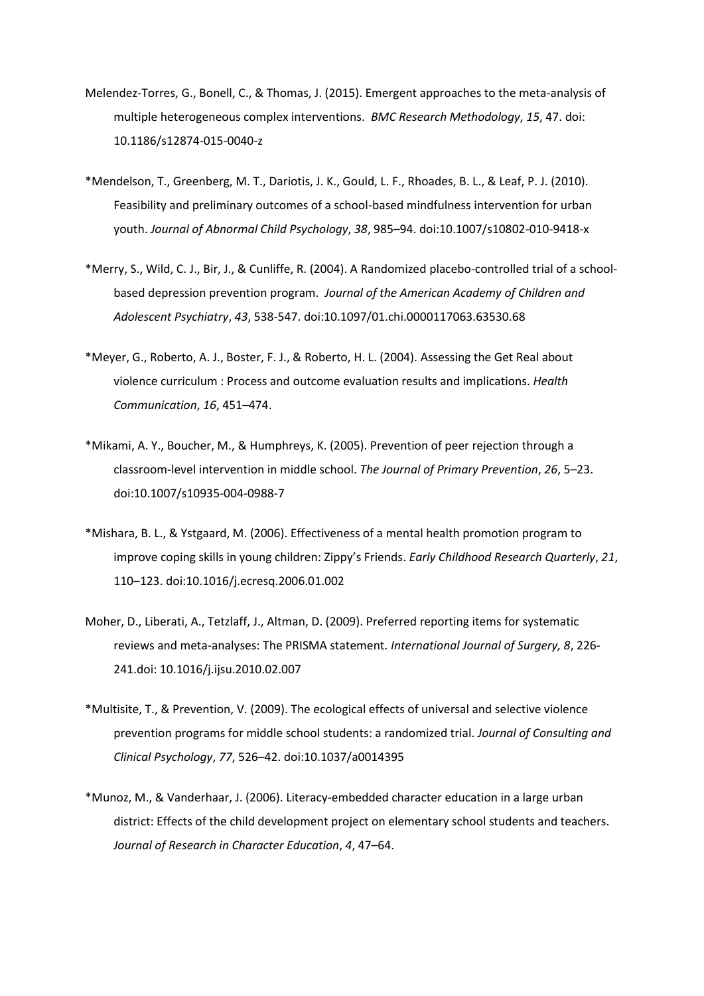- Melendez-Torres, G., Bonell, C., & Thomas, J. (2015). Emergent approaches to the meta-analysis of multiple heterogeneous complex interventions. *BMC Research Methodology*, *15*, 47. doi: 10.1186/s12874-015-0040-z
- \*Mendelson, T., Greenberg, M. T., Dariotis, J. K., Gould, L. F., Rhoades, B. L., & Leaf, P. J. (2010). Feasibility and preliminary outcomes of a school-based mindfulness intervention for urban youth. *Journal of Abnormal Child Psychology*, *38*, 985–94. doi:10.1007/s10802-010-9418-x
- \*Merry, S., Wild, C. J., Bir, J., & Cunliffe, R. (2004). A Randomized placebo-controlled trial of a schoolbased depression prevention program. *Journal of the American Academy of Children and Adolescent Psychiatry*, *43*, 538-547. doi:10.1097/01.chi.0000117063.63530.68
- \*Meyer, G., Roberto, A. J., Boster, F. J., & Roberto, H. L. (2004). Assessing the Get Real about violence curriculum : Process and outcome evaluation results and implications. *Health Communication*, *16*, 451–474.
- \*Mikami, A. Y., Boucher, M., & Humphreys, K. (2005). Prevention of peer rejection through a classroom-level intervention in middle school. *The Journal of Primary Prevention*, *26*, 5–23. doi:10.1007/s10935-004-0988-7
- \*Mishara, B. L., & Ystgaard, M. (2006). Effectiveness of a mental health promotion program to improve coping skills in young children: Zippy's Friends. *Early Childhood Research Quarterly*, *21*, 110–123. doi:10.1016/j.ecresq.2006.01.002
- Moher, D., Liberati, A., Tetzlaff, J., Altman, D. (2009). Preferred reporting items for systematic reviews and meta-analyses: The PRISMA statement. *International Journal of Surgery, 8*, 226- 241.doi: 10.1016/j.ijsu.2010.02.007
- \*Multisite, T., & Prevention, V. (2009). The ecological effects of universal and selective violence prevention programs for middle school students: a randomized trial. *Journal of Consulting and Clinical Psychology*, *77*, 526–42. doi:10.1037/a0014395
- \*Munoz, M., & Vanderhaar, J. (2006). Literacy-embedded character education in a large urban district: Effects of the child development project on elementary school students and teachers. *Journal of Research in Character Education*, *4*, 47–64.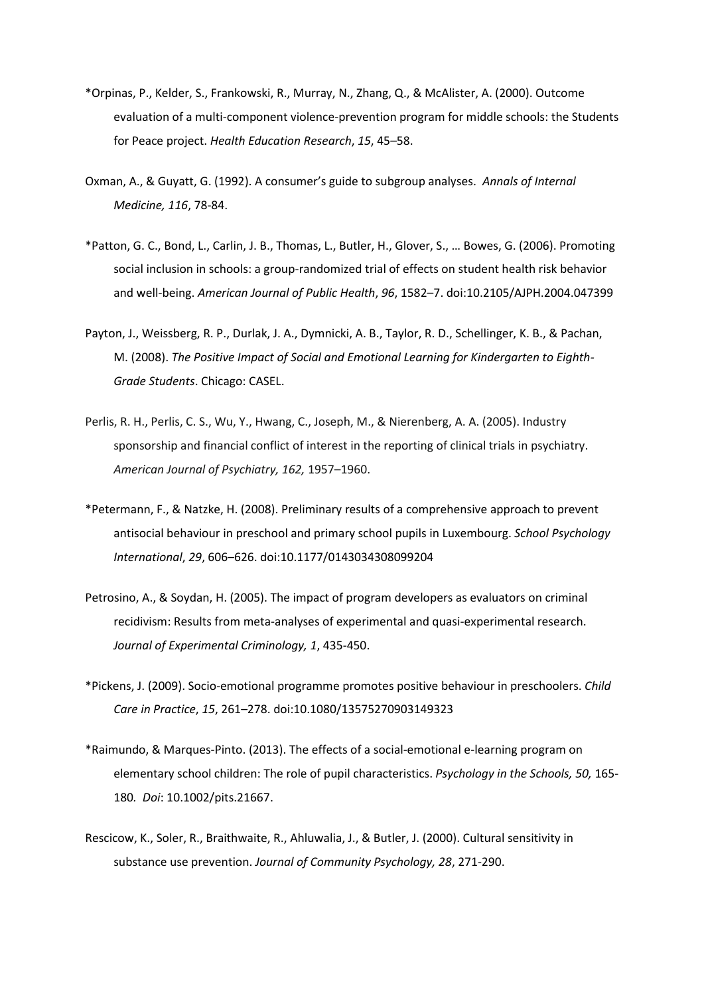- \*Orpinas, P., Kelder, S., Frankowski, R., Murray, N., Zhang, Q., & McAlister, A. (2000). Outcome evaluation of a multi-component violence-prevention program for middle schools: the Students for Peace project. *Health Education Research*, *15*, 45–58.
- Oxman, A., & Guyatt, G. (1992). A consumer's guide to subgroup analyses. *Annals of Internal Medicine, 116*, 78-84.
- \*Patton, G. C., Bond, L., Carlin, J. B., Thomas, L., Butler, H., Glover, S., … Bowes, G. (2006). Promoting social inclusion in schools: a group-randomized trial of effects on student health risk behavior and well-being. *American Journal of Public Health*, *96*, 1582–7. doi:10.2105/AJPH.2004.047399
- Payton, J., Weissberg, R. P., Durlak, J. A., Dymnicki, A. B., Taylor, R. D., Schellinger, K. B., & Pachan, M. (2008). *The Positive Impact of Social and Emotional Learning for Kindergarten to Eighth-Grade Students*. Chicago: CASEL.
- Perlis, R. H., Perlis, C. S., Wu, Y., Hwang, C., Joseph, M., & Nierenberg, A. A. (2005). Industry sponsorship and financial conflict of interest in the reporting of clinical trials in psychiatry. *American Journal of Psychiatry, 162,* 1957–1960.
- \*Petermann, F., & Natzke, H. (2008). Preliminary results of a comprehensive approach to prevent antisocial behaviour in preschool and primary school pupils in Luxembourg. *School Psychology International*, *29*, 606–626. doi:10.1177/0143034308099204
- Petrosino, A., & Soydan, H. (2005). The impact of program developers as evaluators on criminal recidivism: Results from meta-analyses of experimental and quasi-experimental research. *Journal of Experimental Criminology, 1*, 435-450.
- \*Pickens, J. (2009). Socio-emotional programme promotes positive behaviour in preschoolers. *Child Care in Practice*, *15*, 261–278. doi:10.1080/13575270903149323
- \*Raimundo, & Marques-Pinto. (2013). The effects of a social-emotional e-learning program on elementary school children: The role of pupil characteristics. *Psychology in the Schools, 50,* 165- 180*. Doi*: 10.1002/pits.21667.
- Rescicow, K., Soler, R., Braithwaite, R., Ahluwalia, J., & Butler, J. (2000). Cultural sensitivity in substance use prevention. *Journal of Community Psychology, 28*, 271-290.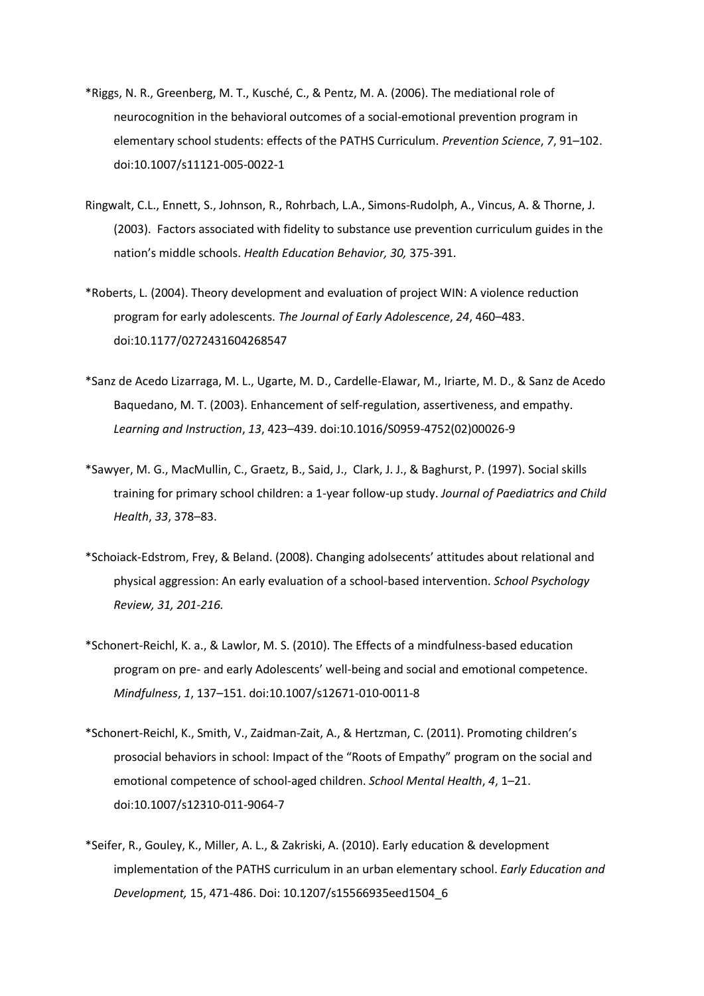- \*Riggs, N. R., Greenberg, M. T., Kusché, C., & Pentz, M. A. (2006). The mediational role of neurocognition in the behavioral outcomes of a social-emotional prevention program in elementary school students: effects of the PATHS Curriculum. *Prevention Science*, *7*, 91–102. doi:10.1007/s11121-005-0022-1
- Ringwalt, C.L., Ennett, S., Johnson, R., Rohrbach, L.A., Simons-Rudolph, A., Vincus, A. & Thorne, J. (2003). Factors associated with fidelity to substance use prevention curriculum guides in the nation's middle schools. *Health Education Behavior, 30,* 375-391.
- \*Roberts, L. (2004). Theory development and evaluation of project WIN: A violence reduction program for early adolescents. *The Journal of Early Adolescence*, *24*, 460–483. doi:10.1177/0272431604268547
- \*Sanz de Acedo Lizarraga, M. L., Ugarte, M. D., Cardelle-Elawar, M., Iriarte, M. D., & Sanz de Acedo Baquedano, M. T. (2003). Enhancement of self-regulation, assertiveness, and empathy. *Learning and Instruction*, *13*, 423–439. doi:10.1016/S0959-4752(02)00026-9
- \*Sawyer, M. G., MacMullin, C., Graetz, B., Said, J., Clark, J. J., & Baghurst, P. (1997). Social skills training for primary school children: a 1-year follow-up study. *Journal of Paediatrics and Child Health*, *33*, 378–83.
- \*Schoiack-Edstrom, Frey, & Beland. (2008). Changing adolsecents' attitudes about relational and physical aggression: An early evaluation of a school-based intervention. *School Psychology Review, 31, 201-216.*
- \*Schonert-Reichl, K. a., & Lawlor, M. S. (2010). The Effects of a mindfulness-based education program on pre- and early Adolescents' well-being and social and emotional competence. *Mindfulness*, *1*, 137–151. doi:10.1007/s12671-010-0011-8
- \*Schonert-Reichl, K., Smith, V., Zaidman-Zait, A., & Hertzman, C. (2011). Promoting children's prosocial behaviors in school: Impact of the "Roots of Empathy" program on the social and emotional competence of school-aged children. *School Mental Health*, *4*, 1–21. doi:10.1007/s12310-011-9064-7
- \*Seifer, R., Gouley, K., Miller, A. L., & Zakriski, A. (2010). Early education & development implementation of the PATHS curriculum in an urban elementary school. *Early Education and Development,* 15, 471-486. Doi: 10.1207/s15566935eed1504\_6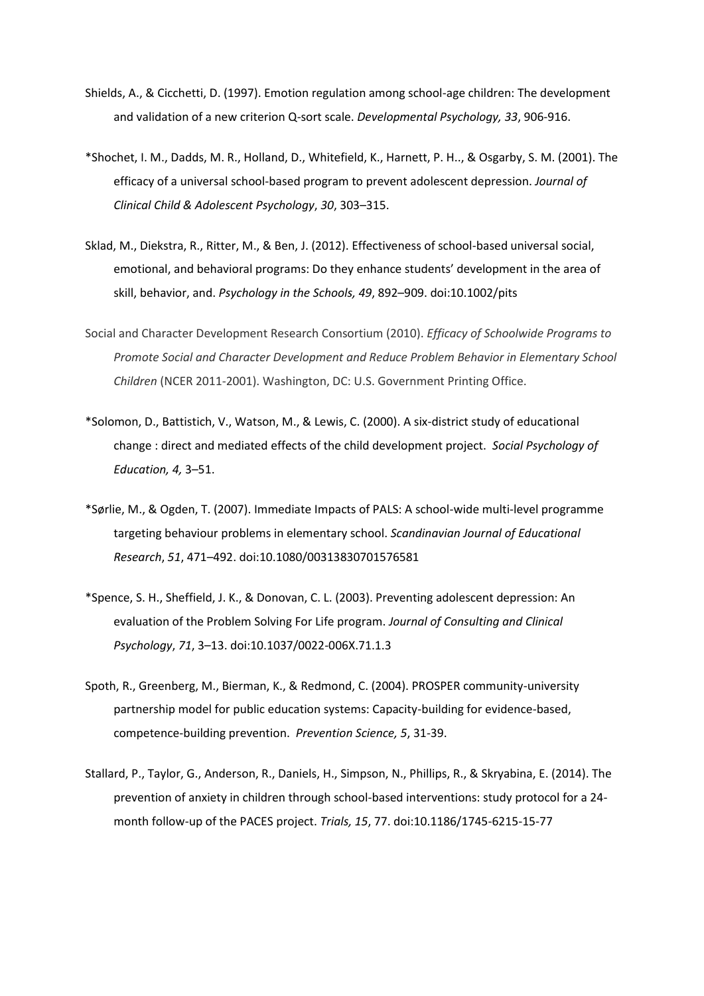- Shields, A., & Cicchetti, D. (1997). Emotion regulation among school-age children: The development and validation of a new criterion Q-sort scale. *Developmental Psychology, 33*, 906-916.
- \*Shochet, I. M., Dadds, M. R., Holland, D., Whitefield, K., Harnett, P. H.., & Osgarby, S. M. (2001). The efficacy of a universal school-based program to prevent adolescent depression. *Journal of Clinical Child & Adolescent Psychology*, *30*, 303–315.
- Sklad, M., Diekstra, R., Ritter, M., & Ben, J. (2012). Effectiveness of school‐based universal social, emotional, and behavioral programs: Do they enhance students' development in the area of skill, behavior, and. *Psychology in the Schools, 49*, 892–909. doi:10.1002/pits
- Social and Character Development Research Consortium (2010). *Efficacy of Schoolwide Programs to Promote Social and Character Development and Reduce Problem Behavior in Elementary School Children* (NCER 2011-2001). Washington, DC: U.S. Government Printing Office.
- \*Solomon, D., Battistich, V., Watson, M., & Lewis, C. (2000). A six-district study of educational change : direct and mediated effects of the child development project. *Social Psychology of Education, 4,* 3–51.
- \*Sørlie, M., & Ogden, T. (2007). Immediate Impacts of PALS: A school‐wide multi‐level programme targeting behaviour problems in elementary school. *Scandinavian Journal of Educational Research*, *51*, 471–492. doi:10.1080/00313830701576581
- \*Spence, S. H., Sheffield, J. K., & Donovan, C. L. (2003). Preventing adolescent depression: An evaluation of the Problem Solving For Life program. *Journal of Consulting and Clinical Psychology*, *71*, 3–13. doi:10.1037/0022-006X.71.1.3
- Spoth, R., Greenberg, M., Bierman, K., & Redmond, C. (2004). PROSPER community-university partnership model for public education systems: Capacity-building for evidence-based, competence-building prevention. *Prevention Science, 5*, 31-39.
- Stallard, P., Taylor, G., Anderson, R., Daniels, H., Simpson, N., Phillips, R., & Skryabina, E. (2014). The prevention of anxiety in children through school-based interventions: study protocol for a 24 month follow-up of the PACES project. *Trials, 15*, 77. doi:10.1186/1745-6215-15-77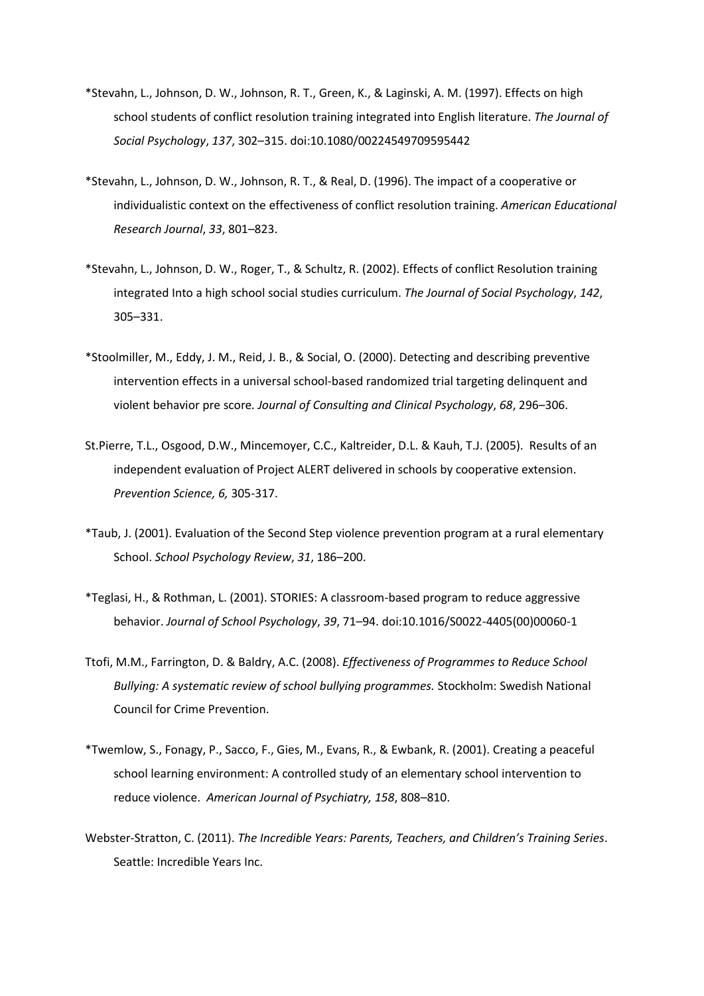- \*Stevahn, L., Johnson, D. W., Johnson, R. T., Green, K., & Laginski, A. M. (1997). Effects on high school students of conflict resolution training integrated into English literature. *The Journal of Social Psychology*, *137*, 302–315. doi:10.1080/00224549709595442
- \*Stevahn, L., Johnson, D. W., Johnson, R. T., & Real, D. (1996). The impact of a cooperative or individualistic context on the effectiveness of conflict resolution training. *American Educational Research Journal*, *33*, 801–823.
- \*Stevahn, L., Johnson, D. W., Roger, T., & Schultz, R. (2002). Effects of conflict Resolution training integrated Into a high school social studies curriculum. *The Journal of Social Psychology*, *142*, 305–331.
- \*Stoolmiller, M., Eddy, J. M., Reid, J. B., & Social, O. (2000). Detecting and describing preventive intervention effects in a universal school-based randomized trial targeting delinquent and violent behavior pre score*. Journal of Consulting and Clinical Psychology*, *68*, 296–306.
- St.Pierre, T.L., Osgood, D.W., Mincemoyer, C.C., Kaltreider, D.L. & Kauh, T.J. (2005). Results of an independent evaluation of Project ALERT delivered in schools by cooperative extension. *Prevention Science, 6,* 305-317.
- \*Taub, J. (2001). Evaluation of the Second Step violence prevention program at a rural elementary School. *School Psychology Review*, *31*, 186–200.
- \*Teglasi, H., & Rothman, L. (2001). STORIES: A classroom-based program to reduce aggressive behavior. *Journal of School Psychology*, *39*, 71–94. doi:10.1016/S0022-4405(00)00060-1
- Ttofi, M.M., Farrington, D. & Baldry, A.C. (2008). *Effectiveness of Programmes to Reduce School Bullying: A systematic review of school bullying programmes.* Stockholm: Swedish National Council for Crime Prevention.
- \*Twemlow, S., Fonagy, P., Sacco, F., Gies, M., Evans, R., & Ewbank, R. (2001). Creating a peaceful school learning environment: A controlled study of an elementary school intervention to reduce violence. *American Journal of Psychiatry, 158*, 808–810.
- Webster-Stratton, C. (2011). *The Incredible Years: Parents, Teachers, and Children's Training Series*. Seattle: Incredible Years Inc.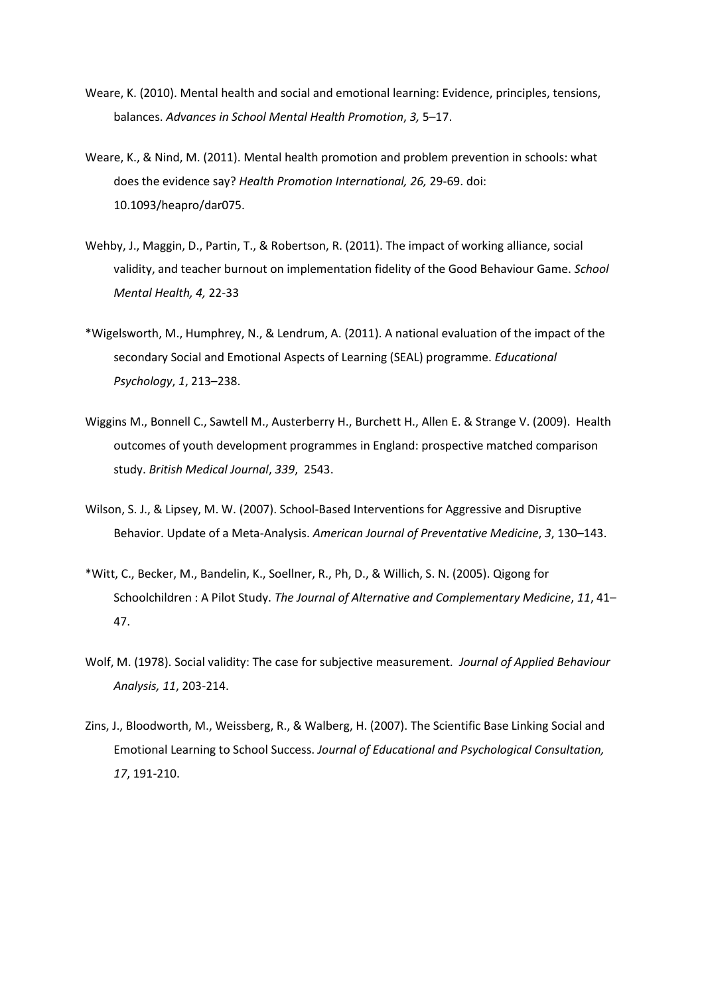- Weare, K. (2010). Mental health and social and emotional learning: Evidence, principles, tensions, balances. *Advances in School Mental Health Promotion*, *3,* 5–17.
- Weare, K., & Nind, M. (2011). Mental health promotion and problem prevention in schools: what does the evidence say? *Health Promotion International, 26,* 29-69. doi: 10.1093/heapro/dar075.
- Wehby, J., Maggin, D., Partin, T., & Robertson, R. (2011). The impact of working alliance, social validity, and teacher burnout on implementation fidelity of the Good Behaviour Game. *School Mental Health, 4,* 22-33
- \*Wigelsworth, M., Humphrey, N., & Lendrum, A. (2011). A national evaluation of the impact of the secondary Social and Emotional Aspects of Learning (SEAL) programme. *Educational Psychology*, *1*, 213–238.
- Wiggins M., Bonnell C., Sawtell M., Austerberry H., Burchett H., Allen E. & Strange V. (2009). Health outcomes of youth development programmes in England: prospective matched comparison study. *British Medical Journal*, *339*, 2543.
- Wilson, S. J., & Lipsey, M. W. (2007). School-Based Interventions for Aggressive and Disruptive Behavior. Update of a Meta-Analysis. *American Journal of Preventative Medicine*, *3*, 130–143.
- \*Witt, C., Becker, M., Bandelin, K., Soellner, R., Ph, D., & Willich, S. N. (2005). Qigong for Schoolchildren : A Pilot Study. *The Journal of Alternative and Complementary Medicine*, *11*, 41– 47.
- Wolf, M. (1978). Social validity: The case for subjective measurement*. Journal of Applied Behaviour Analysis, 11*, 203-214.
- Zins, J., Bloodworth, M., Weissberg, R., & Walberg, H. (2007). The Scientific Base Linking Social and Emotional Learning to School Success. *Journal of Educational and Psychological Consultation, 17*, 191-210.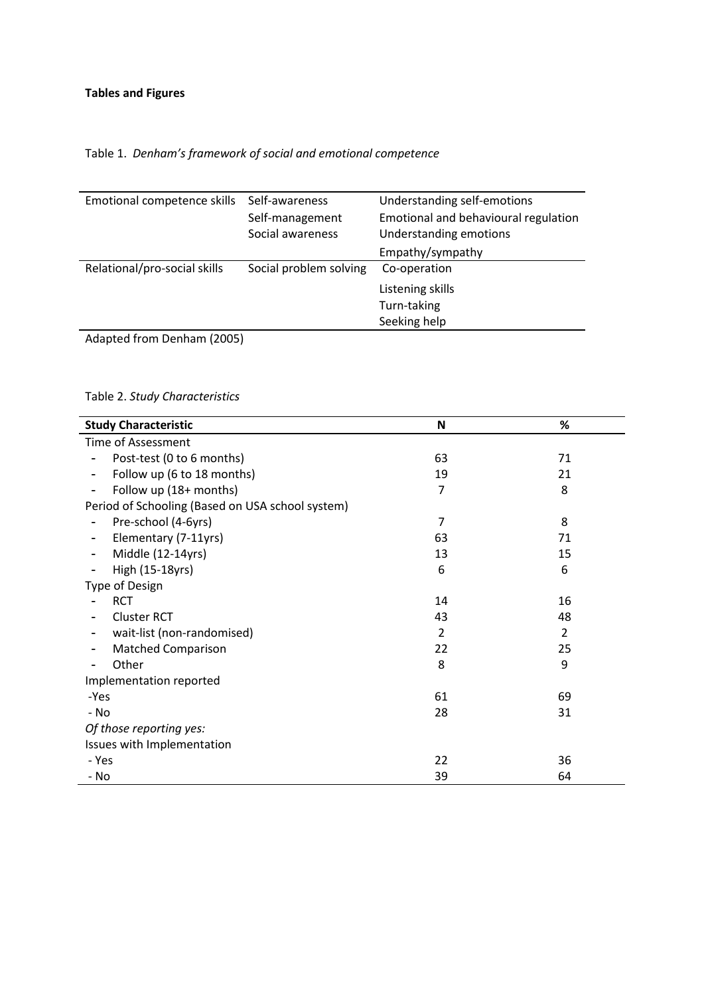# Table 1. *Denham's framework of social and emotional competence*

| Emotional competence skills               | Self-awareness         | Understanding self-emotions          |  |  |
|-------------------------------------------|------------------------|--------------------------------------|--|--|
|                                           | Self-management        | Emotional and behavioural regulation |  |  |
|                                           | Social awareness       | Understanding emotions               |  |  |
|                                           |                        | Empathy/sympathy                     |  |  |
| Relational/pro-social skills              | Social problem solving | Co-operation                         |  |  |
|                                           |                        | Listening skills                     |  |  |
|                                           |                        | Turn-taking                          |  |  |
|                                           |                        | Seeking help                         |  |  |
| $\sim$ $\sim$ $\sim$ $\sim$ $\sim$<br>- 1 |                        |                                      |  |  |

Adapted from Denham (2005)

# Table 2. *Study Characteristics*

| <b>Study Characteristic</b>                            | N              | %              |  |  |  |  |  |  |
|--------------------------------------------------------|----------------|----------------|--|--|--|--|--|--|
| <b>Time of Assessment</b>                              |                |                |  |  |  |  |  |  |
| Post-test (0 to 6 months)<br>63<br>71                  |                |                |  |  |  |  |  |  |
| Follow up (6 to 18 months)<br>$\overline{\phantom{a}}$ | 19             | 21             |  |  |  |  |  |  |
| Follow up (18+ months)                                 | 7              | 8              |  |  |  |  |  |  |
| Period of Schooling (Based on USA school system)       |                |                |  |  |  |  |  |  |
| Pre-school (4-6yrs)                                    | $\overline{7}$ | 8              |  |  |  |  |  |  |
| Elementary (7-11yrs)<br>-                              | 63             | 71             |  |  |  |  |  |  |
| Middle (12-14yrs)<br>$\overline{\phantom{a}}$          | 13             | 15             |  |  |  |  |  |  |
| High (15-18yrs)<br>$\overline{\phantom{a}}$            | 6              | 6              |  |  |  |  |  |  |
| Type of Design                                         |                |                |  |  |  |  |  |  |
| <b>RCT</b>                                             | 14             | 16             |  |  |  |  |  |  |
| <b>Cluster RCT</b>                                     | 43             | 48             |  |  |  |  |  |  |
| wait-list (non-randomised)                             | $\overline{2}$ | $\overline{2}$ |  |  |  |  |  |  |
| <b>Matched Comparison</b>                              | 22             | 25             |  |  |  |  |  |  |
| Other<br>-                                             | 8              | 9              |  |  |  |  |  |  |
| Implementation reported                                |                |                |  |  |  |  |  |  |
| -Yes                                                   | 61             | 69             |  |  |  |  |  |  |
| - No                                                   | 28             | 31             |  |  |  |  |  |  |
| Of those reporting yes:                                |                |                |  |  |  |  |  |  |
| Issues with Implementation                             |                |                |  |  |  |  |  |  |
| - Yes                                                  | 22             | 36             |  |  |  |  |  |  |
| - No                                                   | 39             | 64             |  |  |  |  |  |  |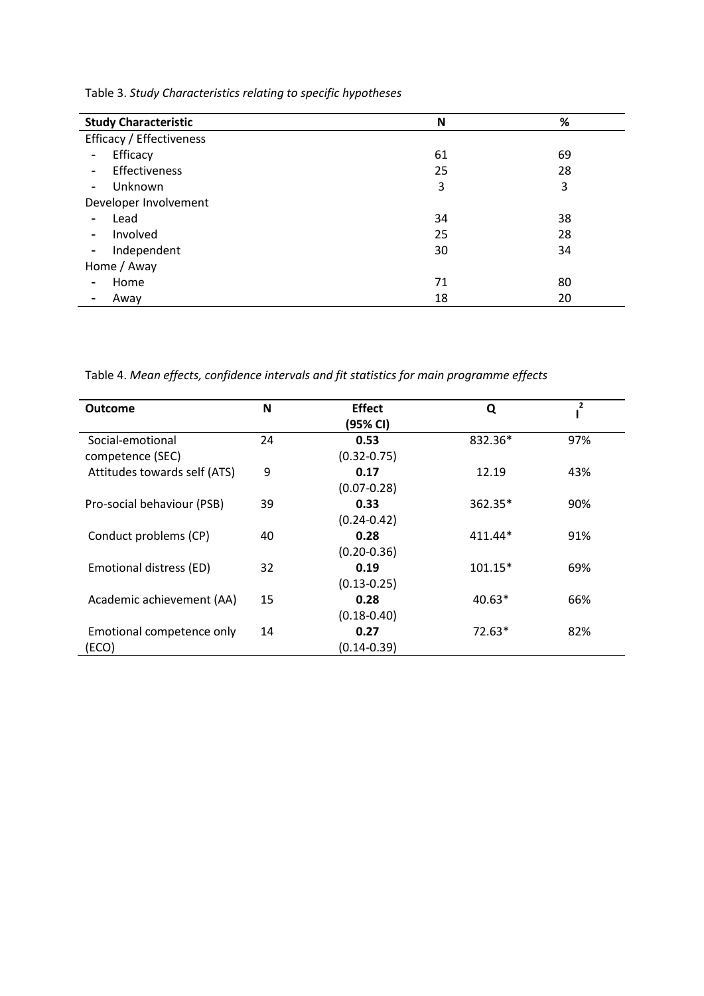Table 3. *Study Characteristics relating to specific hypotheses*

| <b>Study Characteristic</b>          | N  | %  |  |  |  |
|--------------------------------------|----|----|--|--|--|
| Efficacy / Effectiveness             |    |    |  |  |  |
| Efficacy<br>$\overline{\phantom{a}}$ | 61 | 69 |  |  |  |
| Effectiveness<br>$\sim$              | 25 | 28 |  |  |  |
| Unknown<br>$\sim$                    | 3  | 3  |  |  |  |
| Developer Involvement                |    |    |  |  |  |
| Lead<br>$\overline{\phantom{a}}$     | 34 | 38 |  |  |  |
| Involved<br>$\overline{\phantom{a}}$ | 25 | 28 |  |  |  |
| Independent<br>$\blacksquare$        | 30 | 34 |  |  |  |
| Home / Away                          |    |    |  |  |  |
| Home                                 | 71 | 80 |  |  |  |
| Away                                 | 18 | 20 |  |  |  |

Table 4. *Mean effects, confidence intervals and fit statistics for main programme effects*

| <b>Outcome</b>               | N  | <b>Effect</b>   | Q         | 2   |
|------------------------------|----|-----------------|-----------|-----|
|                              |    | (95% CI)        |           |     |
| Social-emotional             | 24 | 0.53            | 832.36*   | 97% |
| competence (SEC)             |    | $(0.32 - 0.75)$ |           |     |
| Attitudes towards self (ATS) | 9  | 0.17            | 12.19     | 43% |
|                              |    | $(0.07 - 0.28)$ |           |     |
| Pro-social behaviour (PSB)   | 39 | 0.33            | 362.35*   | 90% |
|                              |    | $(0.24 - 0.42)$ |           |     |
| Conduct problems (CP)        | 40 | 0.28            | $411.44*$ | 91% |
|                              |    | $(0.20 - 0.36)$ |           |     |
| Emotional distress (ED)      | 32 | 0.19            | $101.15*$ | 69% |
|                              |    | $(0.13 - 0.25)$ |           |     |
| Academic achievement (AA)    | 15 | 0.28            | $40.63*$  | 66% |
|                              |    | $(0.18 - 0.40)$ |           |     |
| Emotional competence only    | 14 | 0.27            | $72.63*$  | 82% |
| (ECO)                        |    | $(0.14 - 0.39)$ |           |     |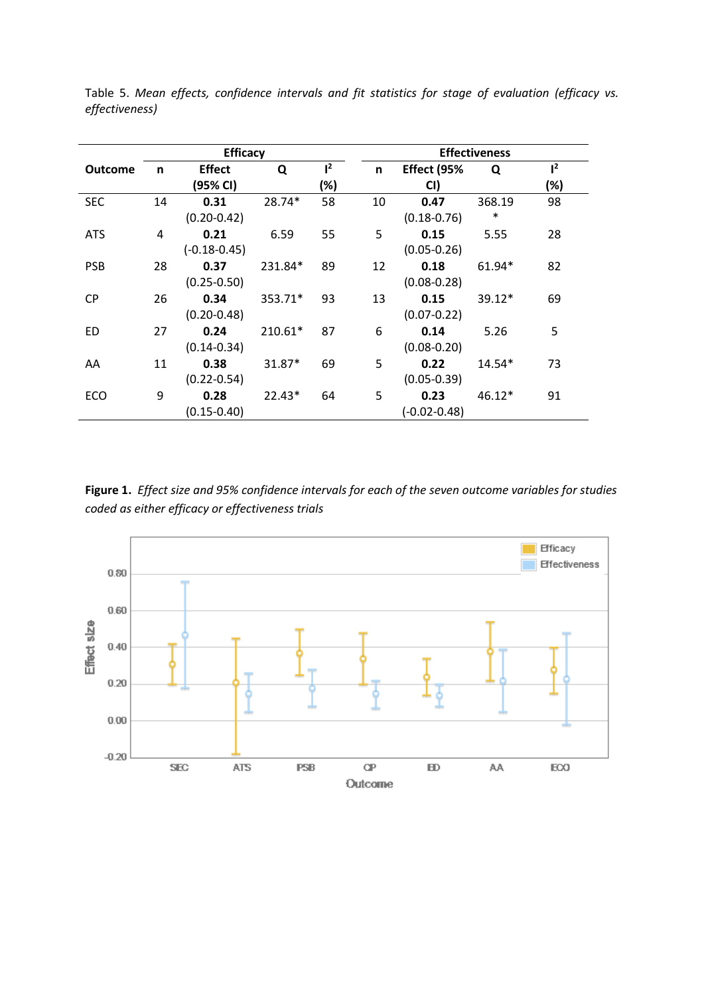|                |    | <b>Efficacy</b>  |          |       |    | <b>Effectiveness</b> |          |                |  |  |
|----------------|----|------------------|----------|-------|----|----------------------|----------|----------------|--|--|
| <b>Outcome</b> | n  | <b>Effect</b>    | Q        | $l^2$ | n. | Effect (95%          | Q        | 1 <sup>2</sup> |  |  |
|                |    | (95% CI)         |          | (%)   |    | CI)                  |          | (%)            |  |  |
| <b>SEC</b>     | 14 | 0.31             | 28.74*   | 58    | 10 | 0.47                 | 368.19   | 98             |  |  |
|                |    | $(0.20 - 0.42)$  |          |       |    | $(0.18 - 0.76)$      | $\ast$   |                |  |  |
| <b>ATS</b>     | 4  | 0.21             | 6.59     | 55    | 5  | 0.15                 | 5.55     | 28             |  |  |
|                |    | $(-0.18 - 0.45)$ |          |       |    | $(0.05 - 0.26)$      |          |                |  |  |
| <b>PSB</b>     | 28 | 0.37             | 231.84*  | 89    | 12 | 0.18                 | 61.94*   | 82             |  |  |
|                |    | $(0.25 - 0.50)$  |          |       |    | $(0.08 - 0.28)$      |          |                |  |  |
| <b>CP</b>      | 26 | 0.34             | 353.71*  | 93    | 13 | 0.15                 | $39.12*$ | 69             |  |  |
|                |    | $(0.20 - 0.48)$  |          |       |    | $(0.07 - 0.22)$      |          |                |  |  |
| ED             | 27 | 0.24             | 210.61*  | 87    | 6  | 0.14                 | 5.26     | 5              |  |  |
|                |    | $(0.14 - 0.34)$  |          |       |    | $(0.08 - 0.20)$      |          |                |  |  |
| AA             | 11 | 0.38             | 31.87*   | 69    | 5  | 0.22                 | $14.54*$ | 73             |  |  |
|                |    | $(0.22 - 0.54)$  |          |       |    | $(0.05 - 0.39)$      |          |                |  |  |
| ECO            | 9  | 0.28             | $22.43*$ | 64    | 5  | 0.23                 | $46.12*$ | 91             |  |  |
|                |    | $(0.15 - 0.40)$  |          |       |    | $(-0.02 - 0.48)$     |          |                |  |  |

Table 5. *Mean effects, confidence intervals and fit statistics for stage of evaluation (efficacy vs. effectiveness)*

**Figure 1.** *Effect size and 95% confidence intervals for each of the seven outcome variables for studies coded as either efficacy or effectiveness trials*

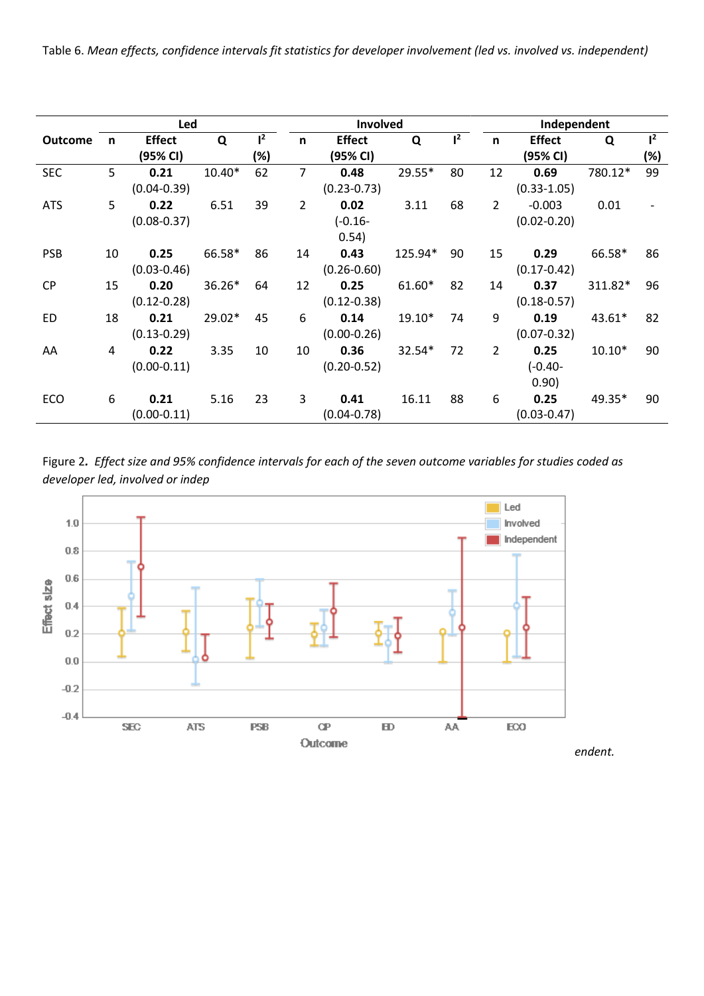Table 6. *Mean effects, confidence intervals fit statistics for developer involvement (led vs. involved vs. independent)*

|                |    | Led             |          |       |    | Involved        |         |       |                | Independent     |          |                |  |  |
|----------------|----|-----------------|----------|-------|----|-----------------|---------|-------|----------------|-----------------|----------|----------------|--|--|
| <b>Outcome</b> | n  | <b>Effect</b>   | Q        | $l^2$ | n  | <b>Effect</b>   | Q       | $l^2$ | $\mathsf{n}$   | <b>Effect</b>   | Q        | 1 <sup>2</sup> |  |  |
|                |    | (95% CI)        |          | (%)   |    | (95% CI)        |         |       |                | (95% CI)        |          | (%)            |  |  |
| <b>SEC</b>     | 5  | 0.21            | $10.40*$ | 62    | 7  | 0.48            | 29.55*  | 80    | 12             | 0.69            | 780.12*  | 99             |  |  |
|                |    | $(0.04 - 0.39)$ |          |       |    | $(0.23 - 0.73)$ |         |       |                | $(0.33 - 1.05)$ |          |                |  |  |
| <b>ATS</b>     | 5  | 0.22            | 6.51     | 39    | 2  | 0.02            | 3.11    | 68    | $\overline{2}$ | $-0.003$        | 0.01     |                |  |  |
|                |    | $(0.08 - 0.37)$ |          |       |    | $(-0.16 -$      |         |       |                | $(0.02 - 0.20)$ |          |                |  |  |
|                |    |                 |          |       |    | 0.54)           |         |       |                |                 |          |                |  |  |
| <b>PSB</b>     | 10 | 0.25            | 66.58*   | 86    | 14 | 0.43            | 125.94* | 90    | 15             | 0.29            | 66.58*   | 86             |  |  |
|                |    | $(0.03 - 0.46)$ |          |       |    | $(0.26 - 0.60)$ |         |       |                | $(0.17 - 0.42)$ |          |                |  |  |
| <b>CP</b>      | 15 | 0.20            | 36.26*   | 64    | 12 | 0.25            | 61.60*  | 82    | 14             | 0.37            | 311.82*  | 96             |  |  |
|                |    | $(0.12 - 0.28)$ |          |       |    | $(0.12 - 0.38)$ |         |       |                | $(0.18 - 0.57)$ |          |                |  |  |
| ED             | 18 | 0.21            | 29.02*   | 45    | 6  | 0.14            | 19.10*  | 74    | 9              | 0.19            | 43.61*   | 82             |  |  |
|                |    | $(0.13 - 0.29)$ |          |       |    | $(0.00 - 0.26)$ |         |       |                | $(0.07 - 0.32)$ |          |                |  |  |
| AA             | 4  | 0.22            | 3.35     | 10    | 10 | 0.36            | 32.54*  | 72    | 2              | 0.25            | $10.10*$ | 90             |  |  |
|                |    | $(0.00 - 0.11)$ |          |       |    | $(0.20 - 0.52)$ |         |       |                | $(-0.40 -$      |          |                |  |  |
|                |    |                 |          |       |    |                 |         |       |                | 0.90)           |          |                |  |  |
| ECO            | 6  | 0.21            | 5.16     | 23    | 3  | 0.41            | 16.11   | 88    | 6              | 0.25            | 49.35*   | 90             |  |  |
|                |    | $(0.00 - 0.11)$ |          |       |    | $(0.04 - 0.78)$ |         |       |                | $(0.03 - 0.47)$ |          |                |  |  |

Figure 2*. Effect size and 95% confidence intervals for each of the seven outcome variables for studies coded as developer led, involved or indep*

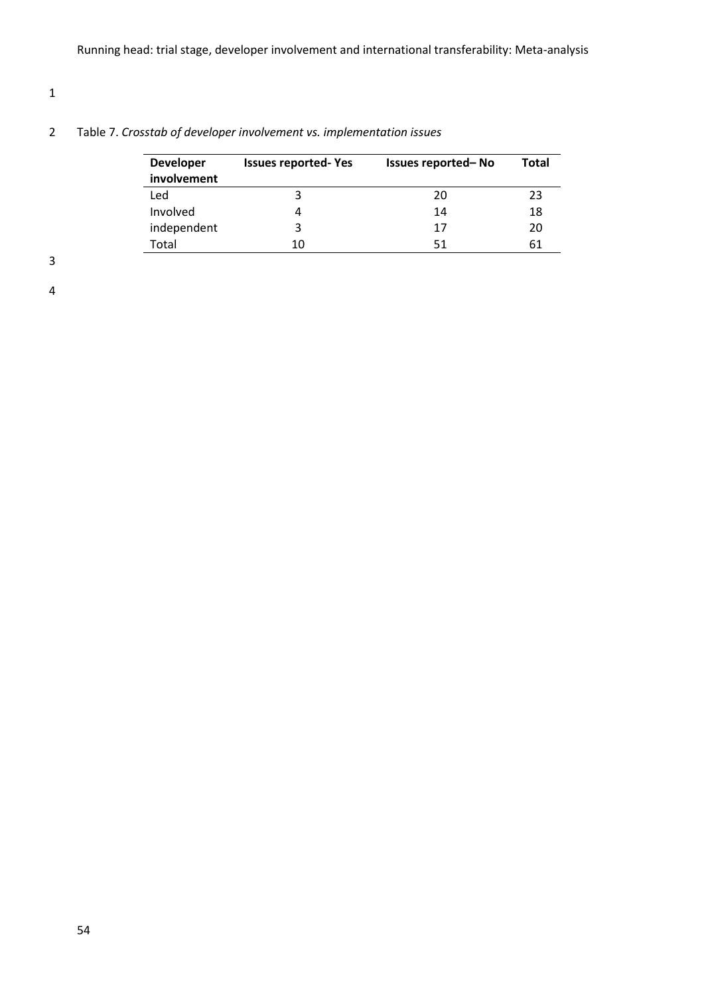# 1

# 2 Table 7. *Crosstab of developer involvement vs. implementation issues*

| <b>Developer</b><br>involvement | <b>Issues reported-Yes</b> | Issues reported-No | Total |
|---------------------------------|----------------------------|--------------------|-------|
| Led                             | 3                          | 20                 | 23    |
| Involved                        | 4                          | 14                 | 18    |
| independent                     | 3                          | 17                 | 20    |
| Total                           | 10                         | 51                 | 61    |

3

4